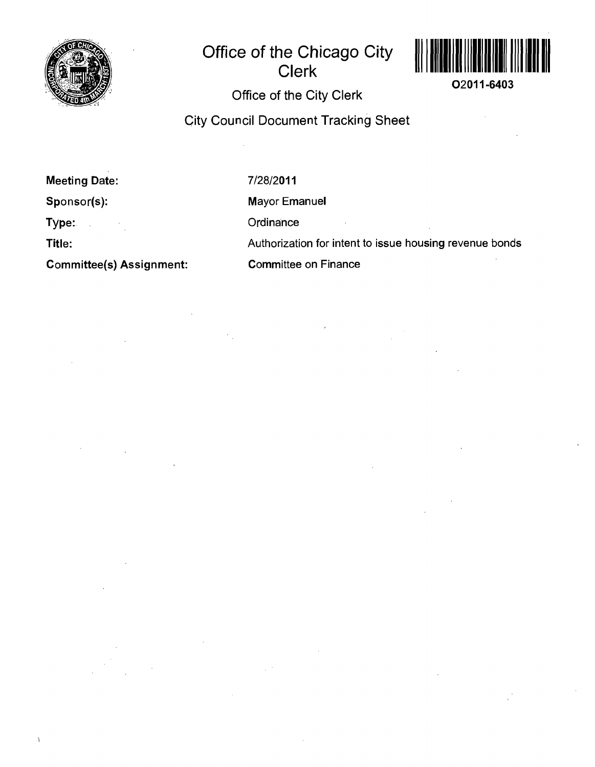

# **Office of the Chicago City Clerk**



**02011-6403** 

 $\mathcal{A}$ 

# **Office of the City Clerk**

# **City Council Document Tracking Sheet**

**Meeting Date:** 

**Sponsor(s):** 

**Type:** 

**Title:** 

 $\overline{ }$ 

**Committee(s) Assignment:** 

7/28/2011

Mayor Emanuel

**Ordinance** 

Authorization for intent to issue housing revenue bonds

Committee on Finance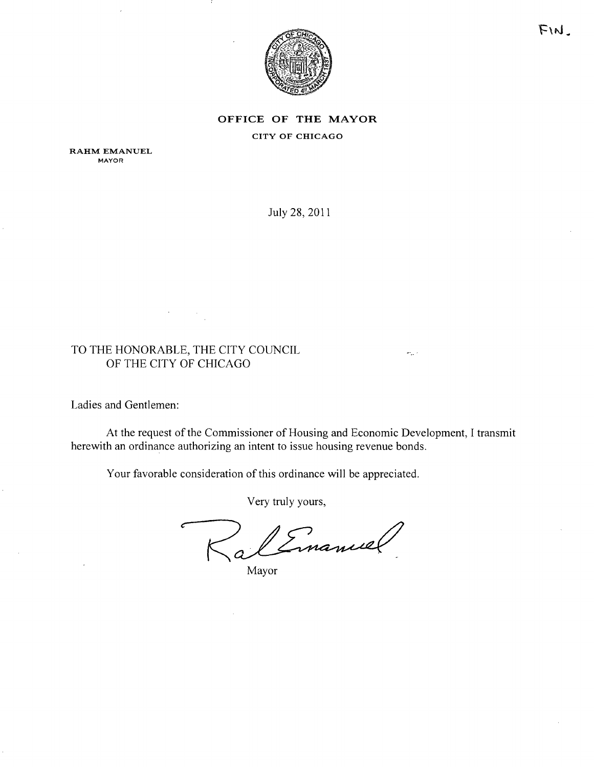

# **OFFICE OF THE MAYOR** CITY OF CHICAGO

RAHM EMANUEL **MAYOR** 

July 28, 2011

# TO THE HONORABLE, THE CITY COUNCIL OF THE CITY OF CHICAGO

 $\sim$ 

 $\hat{\mathcal{A}}$ 

Ladies and Gentlemen:

At the request of the Commissioner of Housing and Economic Development, I transmit herewith an ordinance authorizing an intent to issue housing revenue bonds.

 $\omega_{\rm{12}}$  .

Your favorable consideration of this ordinance will be appreciated.

Very truly yours,

Cinamiel

Mayor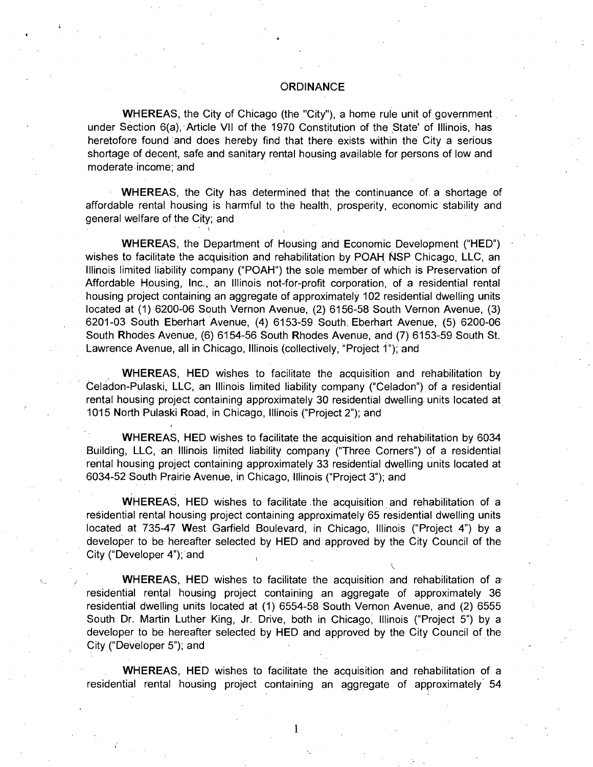### **ORDINANCE**

WHEREAS, the City of Chicago (the "City"), a home rule unit of government under Section 6(a), Article Vll of the 1970 Constitution of the State' of Illinois, has heretofore found and does hereby find that there exists within the City a serious shortage of decent, safe and sanitary rental housing available for persons of low and moderate income; and

WHEREAS, the City has determined that the continuance of a shortage of affordable rental housing is harmful to the health, prosperity, economic stability and general welfare of the City; and

WHEREAS, the Department of Housing and Economic Development ("HED") wishes to facilitate the acquisition and rehabilitation by POAH NSP Chicago, LLC, an Illinois limited liability company ("POAH") the sole member of which is Preservation of Affordable Housing, Inc., an Illinois not-for-profit corporation, of a residential rental housing project containing an aggregate of approximately 102 residential dwelling units located at (1) 6200-06 South Vernon Avenue, (2) 6156-58 South Vernon Avenue, (3) 6201-03 South Eberhart Avenue, (4) 6153-59 South. Eberhart Avenue, (5) 6200-06 South Rhodes Avenue, (6) 6154-56 South Rhodes Avenue, and (7) 6153-59 South St. Lawrence Avenue, all in Chicago, Illinois (collectively, "Project 1"); and

WHEREAS, HED wishes to facilitate the acquisition and rehabilitation by Celadon-Pulaski, LLC, an Illinois limited liability company ("Celadon") of a residential rental housing project containing approximately 30 residential dwelling units located at 1015 North Pulaski Road, in Chicago, Illinois ("Project 2"); and

WHEREAS, HED wishes to facilitate the acquisition and rehabilitation by 6034 Building, LLC, an Illinois limited liability company ("Three Corners") of a residential rental housing project containing approximately 33 residential dwelling units located at 6034-52 South Prairie Avenue, in Chicago, Illinois ("Project 3"); and

WHEREAS, HED wishes to facilitate the acquisition and rehabilitation of a residential rental housing project containing approximately 65 residential dwelling units located at 735-47 West Garfield Boulevard, in Chicago, Illinois ("Project 4") by a developer to be hereafter selected by HED and approved by the City Council of the City ("Developer 4"); and

WHEREAS, HED wishes to facilitate the acquisition and rehabilitation of a residential rental housing project containing an aggregate of approximately 36 residential dwelling units located at (1) 6554-58 South Vernon Avenue, and (2) 6555 South Dr. Martin Luther King, Jr. Drive, both in Chicago, Illinois ("Project 5") by a developer to be hereafter selected by HED and approved by the City Council of the City ("Developer 5"); and

WHEREAS, HED wishes to facilitate the acquisition and rehabilitation of a residential rental housing project containing an aggregate of approximately 54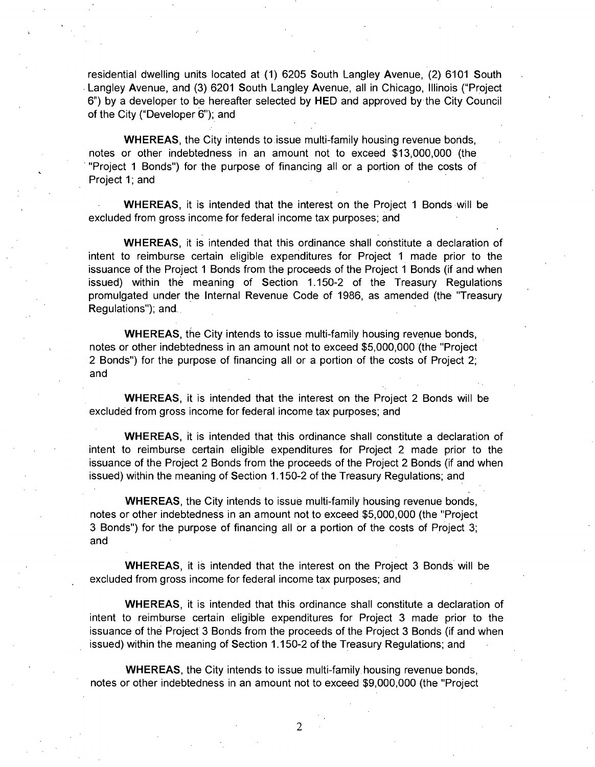residential dwelling units located at (1) 6205 South Langley Avenue, (2) 6101 South Langley Avenue, and (3) 6201 South Langley Avenue, all in Chicago, Illinois ("Project 6") by a developer to be hereafter selected by HED and approved by the City Council of the City ("Developer 6"); and

WHEREAS, the City intends to issue multi-family housing revenue bonds, notes or other indebtedness in an amount not to exceed \$13,000,000 (the "Project 1 Bonds") for the purpose of financing all or a portion of the costs of Project 1; and

WHEREAS, it is intended that the interest on the Project 1 Bonds will be excluded from gross income for federal income tax purposes; and

WHEREAS, it is intended that this ordinance shall constitute a declaration of intent to reimburse certain eligible expenditures for Project 1 made prior to the issuance of the Project 1 Bonds from the proceeds of the Project 1 Bonds (if and when issued) within the meaning of Section 1.150-2 of the Treasury Regulations promulgated under the Internal Revenue Code of 1986, as amended (the "Treasury Regulations"); and.

WHEREAS, the City intends to issue multi-family housing revenue bonds, notes or other indebtedness in an amount not to exceed \$5,000,000 (the "Project 2 Bonds") for the purpose of financing all or a portion of the costs of Project 2; and

WHEREAS, it is intended that the interest on the Project 2 Bonds will be excluded from gross income for federal income tax purposes; and

WHEREAS, it is intended that this ordinance shall constitute a declaration of intent to reimburse certain eligible expenditures for Project 2 made prior to the issuance of the Project 2 Bonds from the proceeds of the Project 2 Bonds (if and when issued) within the meaning of Section 1.150-2 of the Treasury Regulations; and

WHEREAS, the City intends to issue multi-family housing revenue bonds, notes or other indebtedness in an amount not to exceed \$5,000,000 (the "Project 3 Bonds") for the purpose of financing all or a portion of the costs of Project 3; and

WHEREAS, it is intended that the interest on the Project 3 Bonds will be excluded from gross income for federal income tax purposes; and

WHEREAS, it is intended that this ordinance shall constitute a declaration of intent to reimburse certain eligible expenditures for Project 3 made prior to the issuance of the Project 3 Bonds from the proceeds of the Project 3 Bonds (if and when issued) within the meaning of Section 1.150-2 of the Treasury Regulations; and

WHEREAS, the City intends to issue multi-family housing revenue bonds, notes or other indebtedness in an amount not to exceed \$9,000,000 (the "Project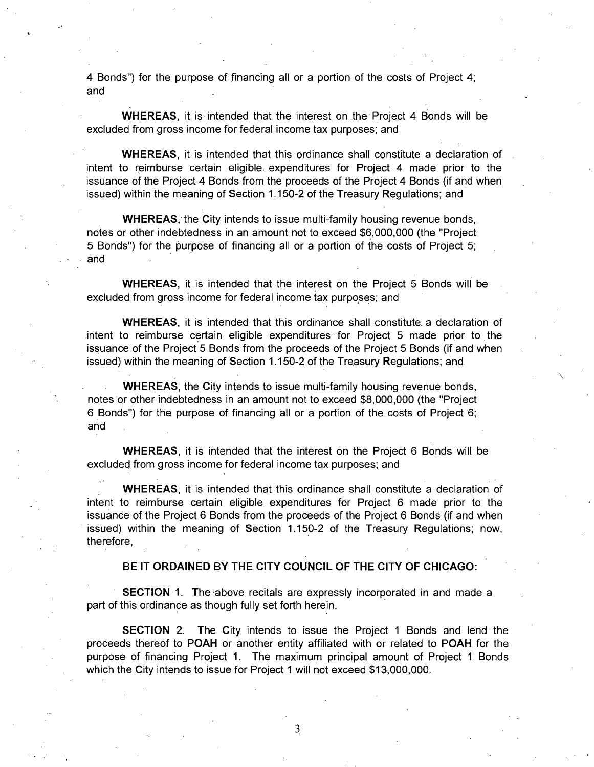4 Bonds") for the purpose of financing all or a portion of the costs of Project 4; and

WHEREAS, it is intended that the interest on the Project 4 Bonds will be excluded from gross income for federal income tax purposes; and

WHEREAS, it is intended that this ordinance shall constitute a declaration of intent to reimburse certain eligible expenditures for Project 4 made prior to the issuance of the Project 4 Bonds from the proceeds of the Project 4 Bonds (if and when issued) within the meaning of Section 1.150-2 of the Treasury Regulations; and

WHEREAS, the City intends to issue multi-family housing revenue bonds, notes or other indebtedness in an amount not to exceed \$6,000,000 (the "Project 5 Bonds") for the purpose of financing all or a portion of the costs of Project 5; and

WHEREAS, it is intended that the interest on the Project 5 Bonds will be excluded from gross income for federal income tax purposes; and

WHEREAS, it is intended that this ordinance shall constitute a declaration of intent to reimburse certain eligible expenditures for Project 5 made prior to the issuance of the Project 5 Bonds from the proceeds of the Project 5 Bonds (if and when issued) within the meaning of Section 1.150-2 of the Treasury Regulations; and

WHEREAS, the City intends to issue multi-family housing revenue bonds, notes or other indebtedness in an amount not to exceed \$8,000,000 (the "Project 6 Bonds") for the purpose of financing all or a portion of the costs of Project 6; and

WHEREAS, it is intended that the interest on the Project 6 Bonds will be excluded from gross income for federal income tax purposes; and

WHEREAS, it is intended that this ordinance shall constitute a declaration of intent to reimburse certain eligible expenditures for Project 6 made prior to the issuance of the Project 6 Bonds from the proceeds of the Project 6 Bonds (if and when issued) within the meaning of Section 1.150-2 of the Treasury Regulations; now, therefore,

**BE IT ORDAINED BY THE CITY COUNCIL OF THE CITY OF CHICAGO:** 

SECTION 1. The above recitals are expressly incorporated in and made a part of this ordinance as though fully set forth herein.

SECTION 2. The City intends to issue the Project 1 Bonds and lend the proceeds thereof to POAH or another entity affiliated with or related to POAH for the purpose of financing Project 1. The maximum principal amount of Project 1 Bonds which the City intends to issue for Project 1 will not exceed \$13,000,000.

3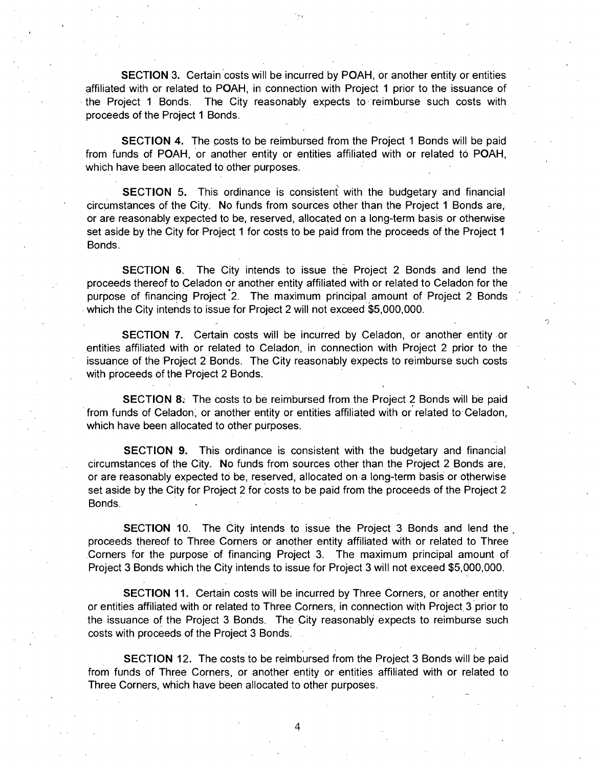SECTION 3. Certain costs will be incurred by POAH, or another entity or entities affiliated with or related to POAH, in connection with Project 1 prior to the issuance of the Project 1 Bonds. The City reasonably expects to reimburse such costs with proceeds of the Project 1 Bonds.

SECTION 4. The costs to be reimbursed from the Project 1 Bonds will be paid from funds of POAH, or another entity or entities affiliated with or related to POAH, which have been allocated to other purposes.

SECTION 5. This ordinance is consistent with the budgetary and financial circumstances of the City. No funds from sources other than the Project 1 Bonds are, or are reasonably expected to be, reserved, allocated on a long-term basis or othenwise set aside by the City for Project 1 for costs to be paid from the proceeds of the Project 1 Bonds.

SECTION 6. The City intends to issue the Project 2 Bonds and lend the proceeds thereof to Celadon or another entity affiliated with or related to Celadon for the purpose of financing Project 2. The maximum principal amount of Project 2 Bonds which the City intends to issue for Project 2 will not exceed \$5,000,000.

SECTION 7. Certain costs will be incurred by Celadon, or another entity or entities affiliated with or related to Celadon, in connection with Project 2 prior to the issuance of the Project 2 Bonds. The City reasonably expects to reimburse such costs with proceeds of the Project 2 Bonds.

SECTION 8: The costs to be reimbursed from the Project 2 Bonds will be paid from funds of Celadon, or another entity or entities affiliated with or related to Celadon, which have been allocated to other purposes.

SECTION 9. This ordinance is consistent with the budgetary and financial circumstances of the City. No funds from sources other than the Project 2 Bonds are, or are reasonably expected to be, reserved, allocated on a long-term basis or otherwise set aside by the City for Project 2 for costs to be paid from the proceeds of the Project 2 Bonds.

SECTION 10. The City intends to issue the Project 3 Bonds and lend the proceeds thereof to Three Corners or another entity affiliated with or related to Three Corners for the purpose of financing Project 3. The maximum principal amount of Project 3 Bonds which the City intends to issue for Project 3 will not exceed \$5,000,000.

SECTION 11. Certain costs will be incurred by Three Corners, or another entity or entities affiliated with or related to Three Corners, in connection with Project 3 prior to the issuance of the Project 3 Bonds. The City reasonably expects to reimburse such costs with proceeds of the Project 3 Bonds.

SECTION 12. The costs to be reimbursed from the Project 3 Bonds will be paid from funds of Three Corners, or another entity or entities affiliated with or related to Three Corners, which have been allocated to other purposes.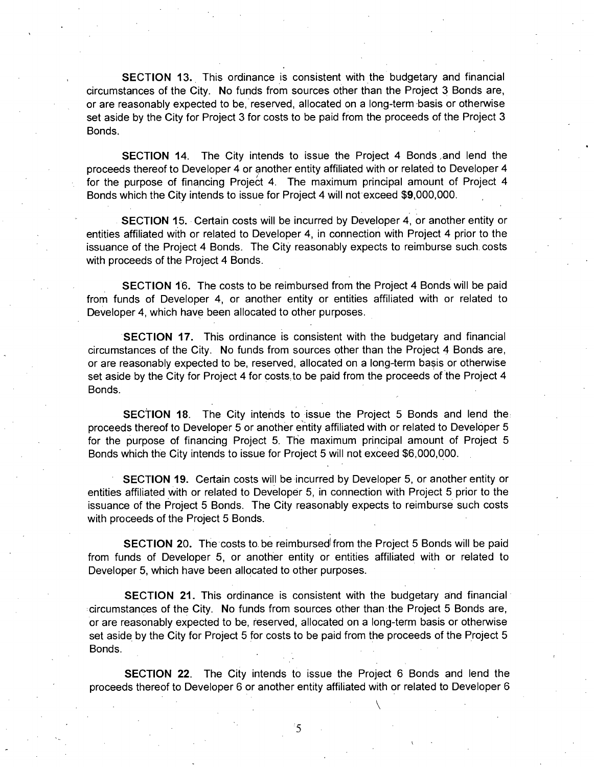SECTION 13. This ordinance is consistent with the budgetary and financial circumstances of the City. No funds from sources other than the Project 3 Bonds are, or are reasonably expected to be, reserved, allocated on a long-term basis or otherwise set aside by the City for Project 3 for costs to be paid from the proceeds of the Project 3 Bonds.

**SECTION 14.** The City intends to issue the Project 4 Bonds and lend the proceeds thereof to Developer 4 or another entity affiliated with or related to Developer 4 for the purpose of financing Project 4. The maximum principal amount of Project 4 Bonds which the City intends to issue for Project 4 will nof exceed \$9,000,000.

SECTION 15. Certain costs will be incurred by Developer 4, or another entity or entities affiliated with or related to Developer 4, in connection with Project 4 prior to the issuance of the Project 4 Bonds. The City reasonably expects to reimburse such costs with proceeds of the Project 4 Bonds.

SECTION 16. The costs to be reimbursed from the Project 4 Bonds will be paid from funds of Developer 4, or another entity or entities affiliated with or related to Developer 4, which have been allocated to other purposes.

SECTION 17. This ordinance is consistent with the budgetary and financial circumstances of the City. No funds from sources other than the Project 4 Bonds are, or are reasonably expected to be, reserved, allocated on a long-term basis or otherwise set aside by the City for Project 4 for costs to be paid from the proceeds of the Project 4 Bonds.

SECTION 18. The City intends to issue the Project 5 Bonds and lend the proceeds thereof to Developer 5 or another entity affiliated with or related to Developer 5 for the purpose of financing Project 5. The maximum principal amount of Project 5 Bonds which the City intends to issue for Project 5 will not exceed \$6,000,000.

SECTION 19. Certain costs will be incurred by Developer 5, or another entity or entities affiliated with or related to Developer 5, in connection with Project 5 prior to the issuance of the Project 5 Bonds. The City reasonably expects to reimburse such costs with proceeds of the Project 5 Bonds.

SECTION 20. The costs to be reimbursed'from the Project 5 Bonds will be paid from funds of Developer 5, or another entity or entities affiliated with or related to Developer 5, which have been allocated to other purposes.

**SECTION 21.** This ordinance is consistent with the budgetary and financial circumstances of the City. No funds from sources other than the Project 5 Bonds are, or are reasonably expected to be, reserved, allocated on a long-term basis or otherwise set aside by the City for Project 5 for costs to be paid from the proceeds of the Project 5 Bonds.

SECTION 22. The City intends to issue the Project 6 Bonds and lend the proceeds thereof to Developer 6 or another entity affiliated with or related to Developer 6

5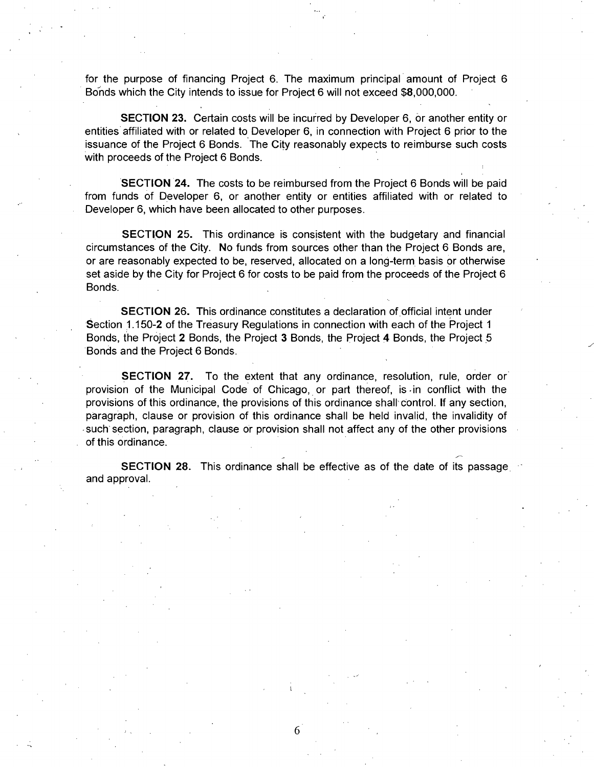for the purpose of financing Project 6. The maximum principal amount of Project 6 Bonds which the City intends to issue for Project 6 will not exceed \$8,000,000.

SECTION 23. Certain costs will be incurred by Developer 6, or another entity or entities affiliated with or related to Developer 6, in connection with Project 6 prior to the issuance of the Project 6 Bonds. The City reasonably expects to reimburse such costs with proceeds of the Project 6 Bonds.

SECTION 24. The costs to be reimbursed from the Project 6 Bonds will be paid from funds of Developer 6, or another entity or entities affiliated with or related to Developer 6, which have been allocated to other purposes.

SECTION 25. This ordinance is consistent with the budgetary and financial circumstances of the City. No funds from sources other than the Project 6 Bonds are, or are reasonably expected to be, reserved, allocated on a long-term basis or otherwise set aside by the City for Project 6 for costs to be paid from the proceeds of the Project 6 Bonds.

SECTION 26. This ordinance constitutes a declaration of official intent under Section 1.150-2 of the Treasury Regulations in connection with each of the Project 1 Bonds, the Project 2 Bonds, the Project 3 Bonds, the Project 4 Bonds, the Project 5 Bonds and the Project 6 Bonds.

SECTION 27. To the extent that any ordinance, resolution, rule, order or provision of the Municipal Code of Chicago, or part thereof, is-in conflict with the provisions of this ordinance, the provisions of this ordinance shall control. If any section, paragraph, clause or provision of this ordinance shall be held invalid, the invalidity of such section, paragraph, clause or provision shall not affect any of the other provisions of this ordinance.

**SECTION 28.** This ordinance shall be effective as of the date of its passage and approval.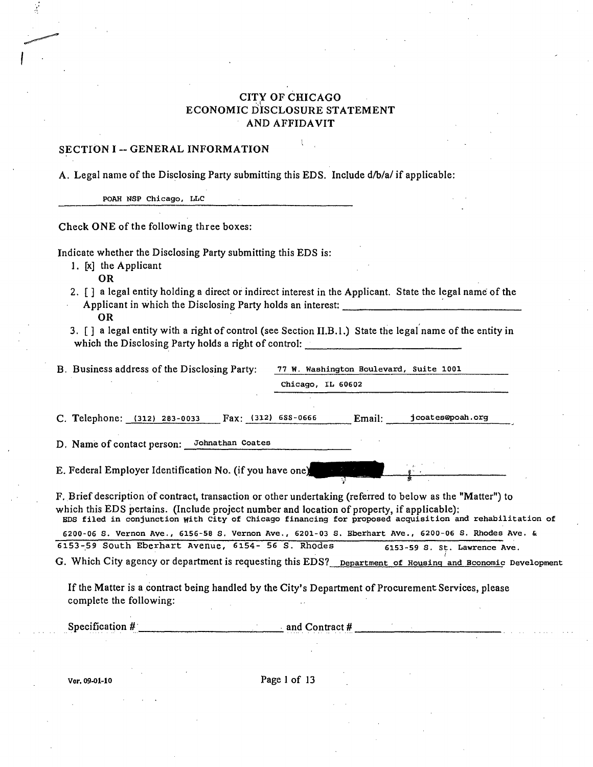### CITY OF CHICAGO ECONOMIC DISCLOSURE STATEMENT AND AFFIDAVIT

### SECTION I -- GENERAL INFORMATION

A. Legal name of the Disclosing Party submitting this EDS. Include d/b/a/ if applicable:

POAH NSP Chicago, LLC

Check ONE of the following three boxes:

Indicate whether the Disclosing Party submitting this EDS is:

1. [x] the Applicant

OR

- 2. [ ] a legal entity holding a direct or indirect interest in the Applicant. State the legal name of the Applicant in which the Disclosing Party holds an interest; OR
- 3. [ ] a legal entity with a right of control (see Section II.B.l.) State the legal name of the entity in which the Disclosing Party holds a right of control:

|  |  |  |  |  | B. Business address of the Disclosing Party: |  |
|--|--|--|--|--|----------------------------------------------|--|
|--|--|--|--|--|----------------------------------------------|--|

77 W. Washington Boulevard, Suite 1001 Chicago, IL 60602

C. Telephone: (312) 283-0033 Fax: (312) 688-0666 Email: jcoates@poah.org

D. Name of contact person: Johnathan Coates

E. Federal Employer Identification No. (if you have one)

F. Brief description of contract, transaction or other undertaking (referred to below as the "Matter") to which this EDS pertains. (Include project number and location of property, if applicable): EDS filed in conjunction with City of Chicago financing for proposed acquisition and rehabilitation of

6200-06 S. Vernon Ave., 6156-58 S. Vernon Ave., 6201-03 S. Eberhart Ave., 6200-06 S. Rhodes Ave. &<br>153-59 South Eberhart Avenue, 6154- 56 S. Rhodes 6153-59 S. St. Lawrence Ave. 6153-59 South Eberhart Avenue, 6154- 56 S. Rhodes 6153-59 S. st. Lawrence Ave.

G. Which City agency or department is requesting this EDS? Department of Housing and Bconomic Development

If the Matter is a contract being handled by the City's Department of Procurement Services, please complete the following:

Specification #  $\qquad \qquad \text{and Contract } #$ 

Vcr. 09-01-10 Page 1 of 13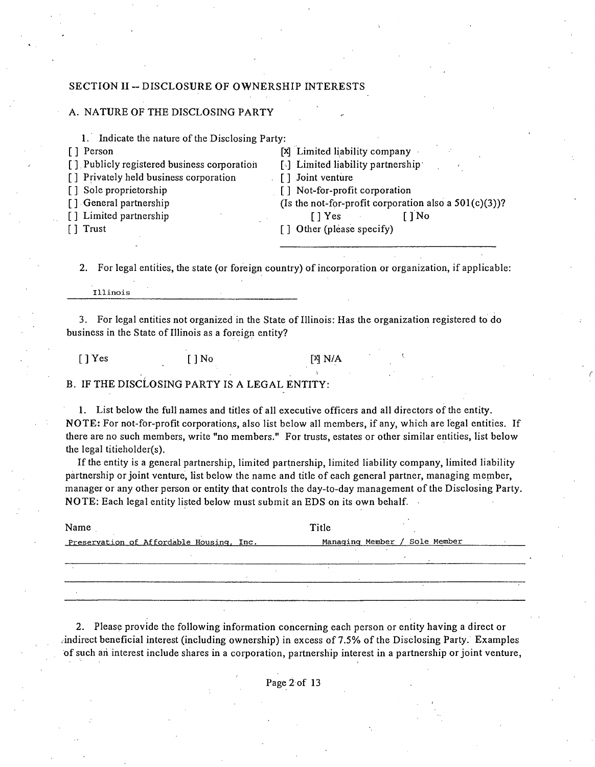### **SECTION II -- DISCLOSURE OF OWNERSHIP**

#### A. NATURE OF THE DISCLOSING PARTY

| Indicate the nature of the Disclosing Party:<br>1. |                                                          |
|----------------------------------------------------|----------------------------------------------------------|
| [ ] Person                                         | [x] Limited liability company                            |
| [] Publicly registered business corporation        | $\lceil \cdot \rceil$ Limited liability partnership      |
| [] Privately held business corporation             | [] Joint venture                                         |
| [] Sole proprietorship                             | $\lceil$ Not-for-profit corporation                      |
| [] General partnership                             | (Is the not-for-profit corporation also a $501(c)(3)$ )? |
| [] Limited partnership                             | `] No<br>[ Yes]                                          |
| $\lceil \, \rceil$ Trust                           | [] Other (please specify)                                |
|                                                    |                                                          |

2. For legal entities, the state (or foreign country) of incorporation or organization, if applicable:

Illinois

3. For legal entities not organized in the State of Illinois: Has the organization registered to do business in the State of Illinois as a foreign entity?

[]  $Yes$  []  $No$  [<sup>X</sup>]  $N/A$ 

B. IF THE DISCLOSING PARTY IS A LEGAL ENTITY:

1. List below the full names and tides of all executive officers and all directors ofthe entity. NOTE: For not-for-profit corporations, also list below all members, if any, which are legal entities. If there are no such members, write "no members." For trusts, estates or other similar entities, list below the legal titieholder(s).

If the entity is a general partnership, limited partnership, limited liability company, limited liability partnership or joint venture, list below the name and title of each general partner, managing member, manager or any other person or entity that controls the day-to-day management ofthe Disclosing Party. NOTE; Each legal entity listed below must submit an EDS on its own behalf.

| Name                                     | Title                         |
|------------------------------------------|-------------------------------|
| Preservation of Affordable Housing, Inc. | Managing Member / Sole Member |
|                                          |                               |
|                                          |                               |
|                                          |                               |

2. Please provide the following information concerning each person or entity having a direct or /indirect beneficial interest (including ownership) in excess of 7.5% ofthe Disclosing Party. Examples of such ari interest include shares in a corporation, partnership interest in a partnership or joint venture,

Page 2 of 13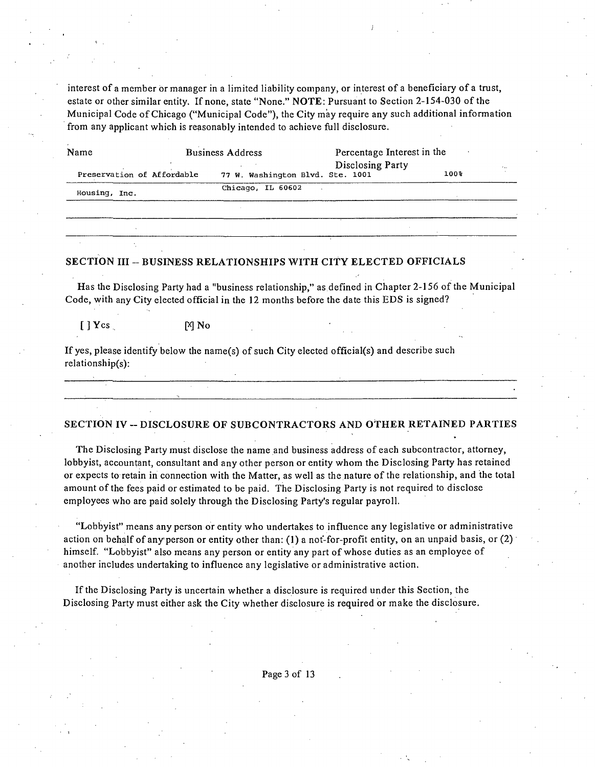interest of a member or manager in a limited liability company, or interest of a beneficiary of a trust, estate or other similar entity. If none, state "None." NOTE: Pursuant to Section 2-154-030 of the Municipal Code of Chicago ("Municipal Code"), the City may require any such additional information from any applicant which is reasonably intended to achieve full disclosure.

| Name                       | <b>Business Address</b>          | Percentage Interest in the |      |  |
|----------------------------|----------------------------------|----------------------------|------|--|
| Preservation of Affordable | 77 W. Washington Blvd. Ste. 1001 | Disclosing Party           | 100% |  |
| Housing, Inc.              | Chicago, IL 60602                |                            |      |  |

#### **SECTION III - BUSINESS RELATIONSHIPS WITH CITY ELECTED OFFICIALS**

Has the Disclosing Party had a "business relationship," as defined in Chapter 2-156 ofthe Municipal Code, with any City elected official in the 12 months before the date this EDS is signed?

 $[$   $]$   $Y$   $cs$  .  $[$   $]$   $N$   $N$   $o$ 

If yes, please identify below the name(s) of such City elected official(s) and describe such relationship(s):

#### **SECTION IV ~ DISCLOSURE OF SUBCONTRACTORS AND OTHER RETAINED PARTIES**

<u> 1980 - Johann Harry Harry Harry Harry Harry Harry Harry Harry Harry Harry Harry Harry Harry Harry Harry Harry</u>

The Disclosing Party must disclose the name and business address of each subcontractor, attorney, lobbyist, accountant, consultant and any other person or entity whom the Disclosing Party has retained or expects to retain in connection with the Matter, as well as the nature ofthe relationship, and the total amount of the fees paid or estimated to be paid. The Disclosing Party is not required to disclose employees who are paid solely through the Disclosing Party's regular payroll.

"Lobbyist" means any person or entity who undertakes to influence any legislative or administrative action on behalf of any'person or entity other than: (1) a not-for-profit entity, on an unpaid basis, or (2) himself. "Lobbyist" also means any person or entity any part of whose duties as an employee of another includes undertaking to influence any legislative or administrative action.

Ifthe Disclosing Party is uncertain whether a disclosure is required under this Section, the Disclosing Party must either ask the City whether disclosure is required or make the disclosure.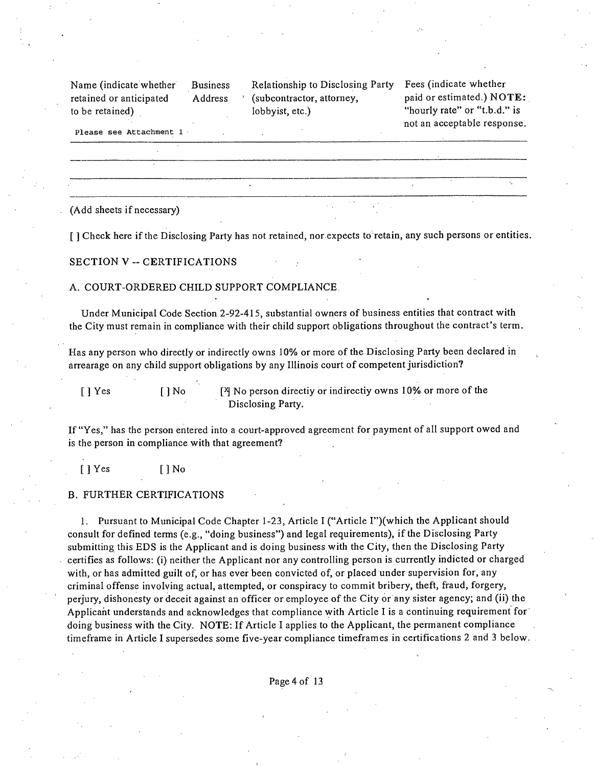| Name (indicate whether) | <b>Business</b> | Relationship to Disclosing Party Fees (indicate |                |
|-------------------------|-----------------|-------------------------------------------------|----------------|
| retained or anticipated | <b>Address</b>  | (subcontractor, attorney,                       | paid or estima |
| to be retained)         |                 | lobbyist, etc.)                                 | "hourly rate"  |

whether  $i$ ted.) NOTE: or "t.b.d." is not an acceptable response.

Please see Attachment 1

(Add sheets if necessary)

**[ ] Check here if the Disclosing Party has not retained, nor expects to retain, any such persons or entities.** 

**SECTION V - CERTIFICATIONS** 

A. COURT-ORDERED CHILD SUPPORT COMPLIANCE.

Under Municipal Code Section 2-92-415, substantial owners of business entities that contract with the City must remain in compliance with their child support obligations throughout the contract's term.

Has any person who directly or indirectly owns 10% or more of the Disclosing Party been declared in arrearage on any child support obligations by any Illinois court of competent jurisdiction?

[ ] Yes [ ] No [<sup>2</sup>] No person directiy or indirectiy owns 10% or more of the Disclosing Party.

If "Yes," has the person entered into a court-approved agreement for payment of all support owed and is the person in compliance with that agreement?

[ ] Yes [ ] No

#### B. FURTHER CERTIFICATIONS

1. Pursuant to Municipal Code Chapter 1-23, Article I ("Article I")(which the Applicant should consult for defined terms (e.g., "doing business") and legal requirements), if the Disclosing Party submitting this EDS is the Applicant and is doing business with the City, then the Disclosing Party certifies as follows: (i) neither the Applicant nor any controlling person is currently indicted or charged with, or has admitted guilt of, or has ever been convicted of, or placed under supervision for, any criminal offense involving actual, attempted, or conspiracy to commit bribery, theft, fraud, forgery, perjury, dishonesty or deceit against an officer or employee of the City or any sister agency; and (ii) the Applicant understands and acknowledges that compliance with Article I is a continuing requirement for doing business with the City. NOTE: If Article I applies to the Applicant, the permanent compliance timeframe in Article I supersedes some five-year compliance timeframes in certifications 2 and 3 below.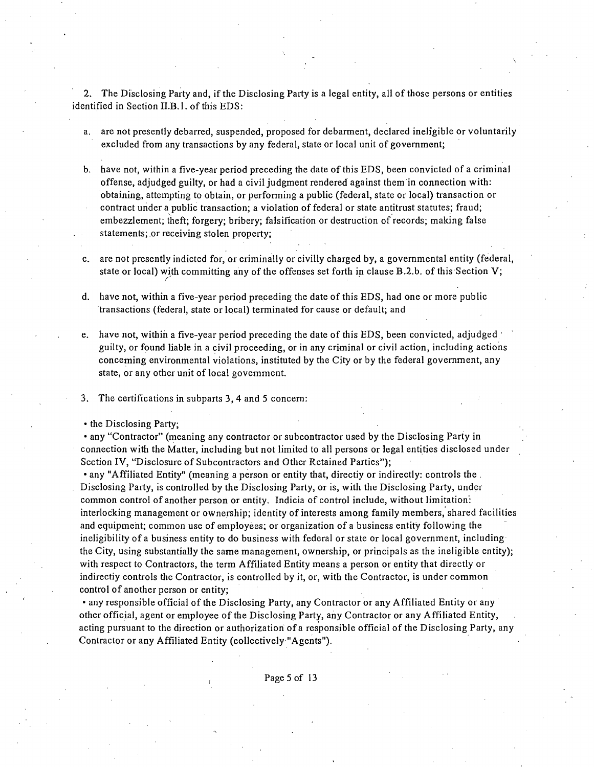2. The Disclosing Party and, if the Disclosing Party is a legal entity, all of those persons or entities identified in Section II.B.l. of this EDS:

- a. are not presently debarred, suspended, proposed for debarment, declared ineligible or voluntarily excluded from any transactions by any federal, state or local unit of government;
- b. have not, within a five-year period preceding the date of this EDS, been convicted of a criminal offense, adjudged guilty, or had a civil judgment rendered against them in connection with: obtaining, attempting to obtain, or performing a public (federal, state or local) transaction or contract under a public transaction; a violation of federal or state antitrust statutes; fraud; embezzlement; theft; forgery; bribery; falsification or destruction of records; making false statements; or receiving stolen property;
- c. are not presently indicted for, or criminally or civilly charged by, a governmental entity (federal, state or local) with committing any of the offenses set forth in clause B.2.b. of this Section V;
- d. have not, within a five-year period preceding the date of this EDS, had one or more public transactions (federal, state or local) terminated for cause or default; and
- e. have not, within a five-year period preceding the date of this EDS, been convicted, adjudged ' guilty, or found liable in a civil proceeding, or in any criminal or civil action, including actions conceming environmental violations, instituted by the City or by the federal government, any state, or any other unit of local govemment.
- 3. The certifications in subparts 3, 4 and 5 concern:
- the Disclosing Party;

• any "Contractor" (meaning any contractor or subcontractor used by the Disclosing Party in connection with the Matter, including but not limited to all persons or legal entities disclosed under Section IV, "Disclosure of Subcontractors and Other Retained Parties");

• any "Affiliated Entity" (meaning a person or entity that, directiy or indirectly: controls the . . Disclosing Party, is controlled by the Disclosing Party, or is, with the Disclosing Party, under common control of another person or entity. Indicia of control include, without limitation': interlocking management or ownership; identity of interests among family members, shared facilities and equipment; common use of employees; or organization of a business entity following the ineligibility of a business entity to do business with federal or state or local government, including the City, using substantially the same management, ownership, or principals as the ineligible entity); with respect to Contractors, the term Affiliated Entity means a person or entity that directly or indirectiy controls the Contractor, is controlled by it, or, with the Contractor, is under common control of another person or entity;

• any responsible official of the Disclosing Party, any Contractor or any Affiliated Entity or any other official, agent or employee of the Disclosing Party, any Contractor or any Affiliated Entity, acting pursuant to the direction or authorization of a responsible official of the Disclosing Party, any Contractor or any Affiliated Entity (collectively "Agents").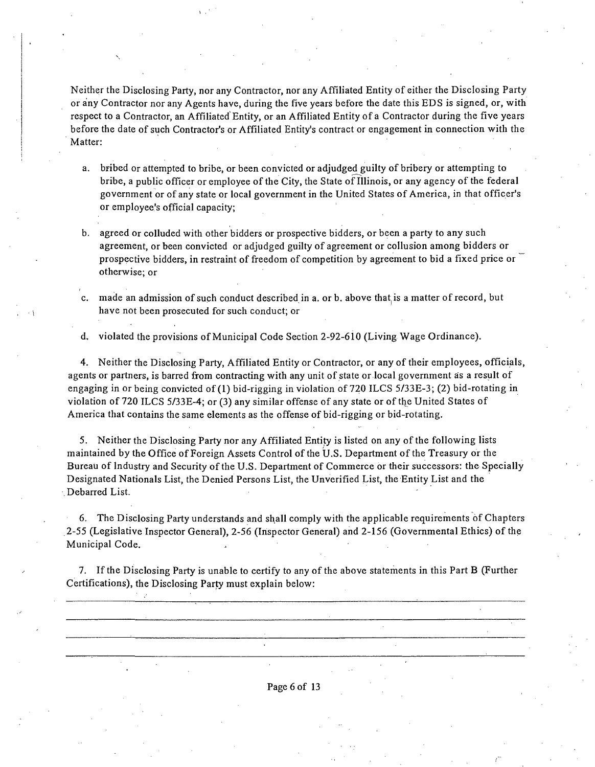Neither the Disclosing Party, nor any Contractor, nor any Affiliated Entity of either the Disclosing Party or any Contractor nor any Agents have, during the five years before the date this EDS is signed, or, with respect to a Contractor, an Affiliated Entity, or an Affiliated Entity of a Contractor during the five years before the date of such Contractor's or Affiliated Entity's contract or engagement in connection with the Matter:

- a. bribed or attempted to bribe, or been convicted or adjudged guilty of bribery or attempting to bribe, a public officer or employee of the City, the State of Illinois, or any agency of the federal government or of any state or local government in the United States of America, in that officer's or employee's official capacity;
- b. agreed or colluded with other bidders or prospective bidders, or been a party to any such agreement, or been convicted or adjudged guilty of agreement or collusion among bidders or prospective bidders, in restraint of freedom of competition by agreement to bid a fixed price or otherwise; or
- c. made an admission of such conduct described in a. or b. above that^is a matter of record, but have not been prosecuted for such conduct; or

d. violated the provisions of Municipal Code Section 2-92-610 (Living Wage Ordinance).

4. Neither the Disclosing Party, Affiliated Entiiy or Contractor, or any of their employees, officials, agents or partners, is barred from contracting with any unit of state or local government as a result of engaging in or being convicted of (1) bid-rigging in violation of 720 ILCS 5/33E-3; (2) bid-rotating in violation of 720 ILCS 5/33E-4; or (3) any similar offense of any state or of the United States of America that contains the same elements as the offense of bid-rigging or bid-rotating.

5. Neither the Disclosing Party nor any Affiliated Entity is listed on any of the following lists maintained by the Office of Foreign Assets Control ofthe U.S. Department of the Treasury or the Bureau of Industry and Security of the U.S. Department of Commerce or their successors: the Specially Designated Nationals List, the Denied Persons List, the Unverified List, the Entity List and the . Debarred List.

6. The Disclosing Party understands and shall comply with the applicable requirements of Chapters 2-55 (Legislative Inspector General), 2-56 (Inspector General) and 2-156 (Governmental Ethics) of the Municipal Code. .

7. Ifthe Disclosing Party is unable to certify to any of the above statements in this Part B (Further Certifications), the Disclosing Party must explain below:

Page 6 of 13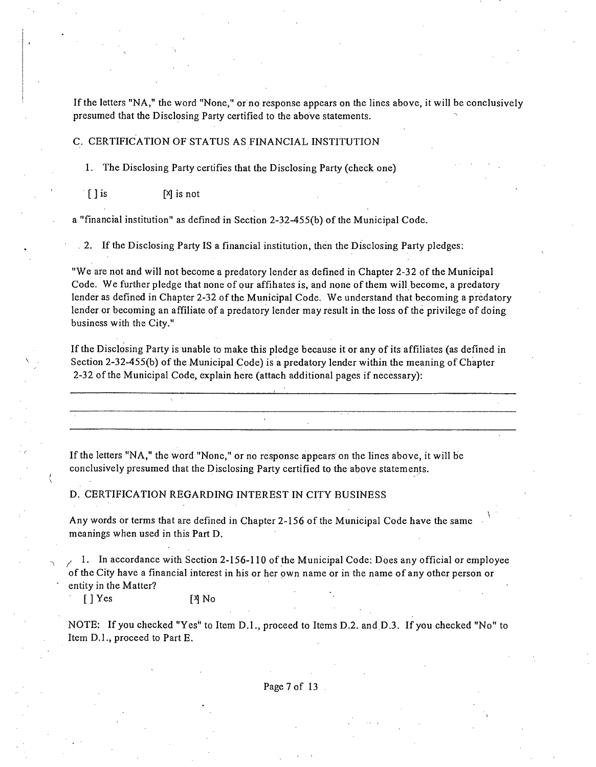If the letters "NA," the word "None," or no response appears on the lines above, it will be conclusively presumed that the Disclosing Party certified to the above statements.

#### C. CERTIFICATION OF STATUS AS FINANCIAL INSTITUTION

1. The Disclosing Party certifies that the Disclosing Party (check one)

 $\begin{bmatrix} \end{bmatrix}$  is  $\begin{bmatrix} x \\ y \end{bmatrix}$  is not

a "financial institution" as defined in Section 2-32-455(b) of the Municipal Code.

. 2. Ifthe Disclosing Party IS a financial institution, then the Disclosing Party pledges:

"We are not and will not become a predatory lender as defined in Chapter 2-32 of the Municipal Code. We further pledge that none of our affihates is, and none of them will become, a predatory lender as defined in Chapter 2-32 of the Municipal Code. We understand that becoming a predatory lender or becoming an affiliate of a predatory lender may result in the loss of the privilege of doing business with the City."

If the Disclosing Party is unable to make this pledge because it or any of its affiliates (as defined in Section 2-32-455(b) of the Municipal Code) is a predatory lender within the meaning of Chapter 2-32 ofthe Municipal Code, explain here (attach additional pages if necessary):

Ifthe letters "NA," the word "None," or no response appears on the lines above, it will be conclusively presumed that the Disclosing Party certified to the above statements.

D. CERTIFICATION REGARDING INTEREST IN CITY BUSINESS

Any words or terms that are defined in Chapter 2-156 of the Municipal Code have the same ^ meanings when used in this Part D.

1. In accordance with Section 2-156-110 of the Municipal Code: Does any official or employee ofthe City have a financial interest in his or her own name or in the name of any other person or entity in the Matter?

[] Yes [4] No

NOTE: If you checked "Yes" to Item D.l. , proceed to Items D.2. and D.3. If you checked "No" to Item D.]., proceed to Part E.

Page 7 of 13.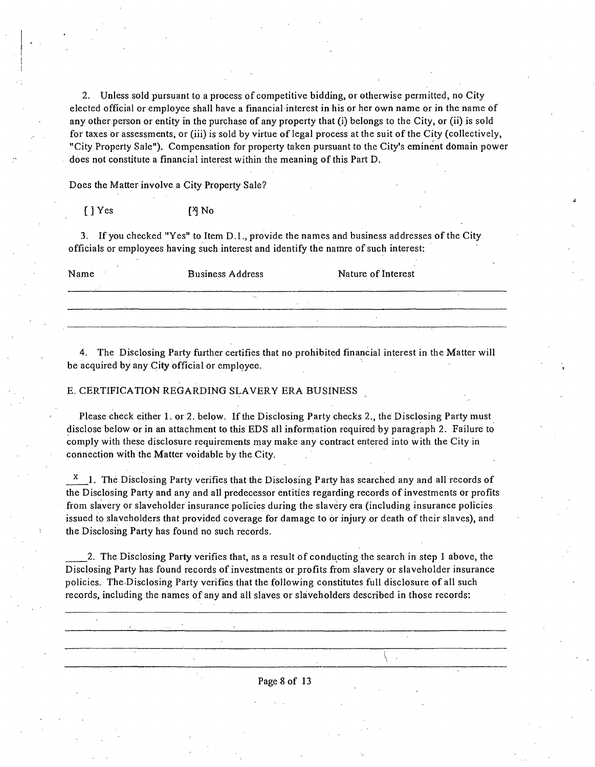2. Unless sold pursuant to a process of competitive bidding, or otherwise permitted, no City elected official or employee shall have a financial interest in his or her own name or in the name of any other person or entity in the purchase of any property that (i) belongs to the City, or (ii) is sold for taxes or assessments, or (iii) is sold by virtue of legal process at the suit of the City (collectively, "City Property Sale"). Compensation for property taken pursuant to the City's eminent domain power does not constitute a financial interest within the meaning of this Part D.

Does the Matter involve a City Property Sale?

[] Yes [<sup>2</sup>] No

3. If you checked "Yes" to Item D.L, provide the names and business addresses of the City officials or employees having such interest and identify the namre of such interest:

| Name | <b>Business Address</b> | Nature of Interest |
|------|-------------------------|--------------------|
|      |                         |                    |
|      |                         |                    |

4. The Disclosing Party further certifies that no prohibited financial interest in the Matter will be acquired by any City official or employee.

#### E. CERTIFICATION REGARDING SLAVERY ERA BUSINESS

Please check either 1. or 2. below. If the Disclosing Party checks 2., the Disclosing Party must disclose below or in an attachment to this EDS all information required by paragraph 2. Failure to comply with these disclosure requirements may make any contract entered into with the City in connection with the Matter voidable by the City.

 $^{\chi}$  1. The Disclosing Party verifies that the Disclosing Party has searched any and all records of the Disclosing Party and any and all predecessor entities regarding records of investments or profits from slavery or slaveholder insurance policies during the slavery era (including insurance policies issued to slaveholders that provided coverage for damage to or injury or death of their slaves), and the Disclosing Party has found no such records.

2. The Disclosing Party verifies that, as a result of conducting the search in step 1 above, the Disclosing Party has found records of investments or profits from slavery or slaveholder insurance policies. The Disclosing Party verifies that the following constitutes full disclosure of all such records, including the names of any and all slaves or slaveholders described in those records:

Page 8 of 13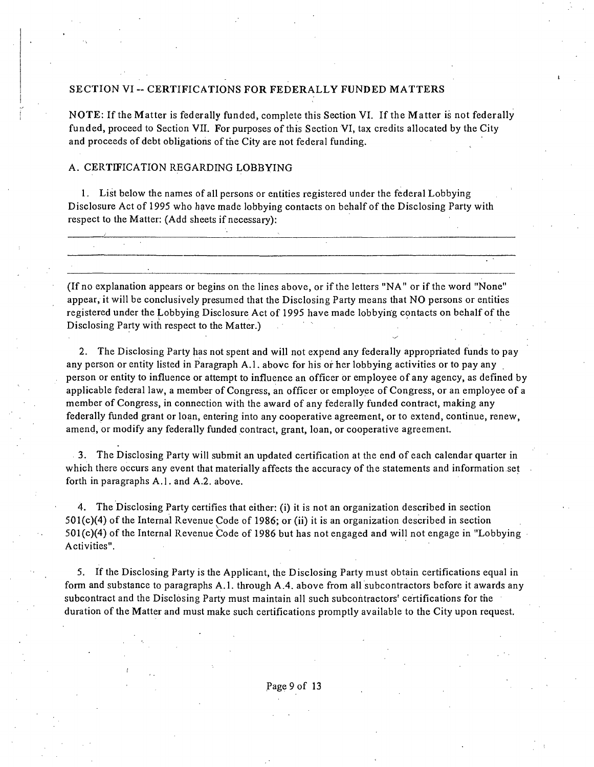### SECTION VI -- CERTIFICATIONS FOR FEDERALLY FUNDED MATTERS

NOTE: If the Matter is federally funded, complete this Section VI. If the Matter is not federally funded, proceed to Section VII. For purposes of this Section VI, tax credits allocated by the City and proceeds of debt obligations of the City are not federal funding.

#### A. CERTIFICATION REGARDING LOBBYING

1. List below the names of all persons or entities registered under the federal Lobbying Disclosure Act of 1995 who have made lobbying contacts on behalf of the Disclosing Party with respect to the Matter: (Add sheets if necessary):

(If no explanation appears or begins on the lines above, or ifthe letters "NA" or if the word "None" appear, it will be conclusively presumed that the Disclosing Party means that NO persons or entities registered under the Lobbying Disclosure Act of 1995 have made lobbying contacts on behalf ofthe Disclosing Party with respect to the Matter.)

2. The Disclosing Party has not spent and will not expend any federally appropriated funds to pay any person or entity listed in Paragraph A.l. above for his or her lobbying activities or to pay any person or entity to influence or attempt to influence an officer or employee of any agency, as defined by applicable federal law, a member of Congress, an officer or employee of Congress, or an employee of a member of Congress, in connection with the award of any federally funded contract, making any federally funded grant or loan, entering into any cooperative agreement, or to extend, continue, renew, amend, or modify any federally funded contract, grant, loan, or cooperative agreement.

3. The Disclosing Party will submit an updated certification at the end of each calendar quarter in which there occurs any event that materially affects the accuracy of the statements and information set forth in paragraphs A.l . and A.2. above.

4. The Disclosing Party certifies that either: (i) it is not an organization described in section 501(c)(4) of the Internal Revenue Code of 1986; or (ii) it is an organization described in section 501(c)(4) of the Internal Revenue Code of 1986 but has not engaged and will not engage in "Lobbying Activities".

5. If the Disclosing Party is the Applicant, the Disclosing Party must obtain certifications equal in form and substance to paragraphs A.l . through A.4. above from all subcontractors before it awards any subcontract and the Disclosing Party must maintain all such subcontractors' certifications for the duration of the Matter and must make such certifications promptly available to the City upon request.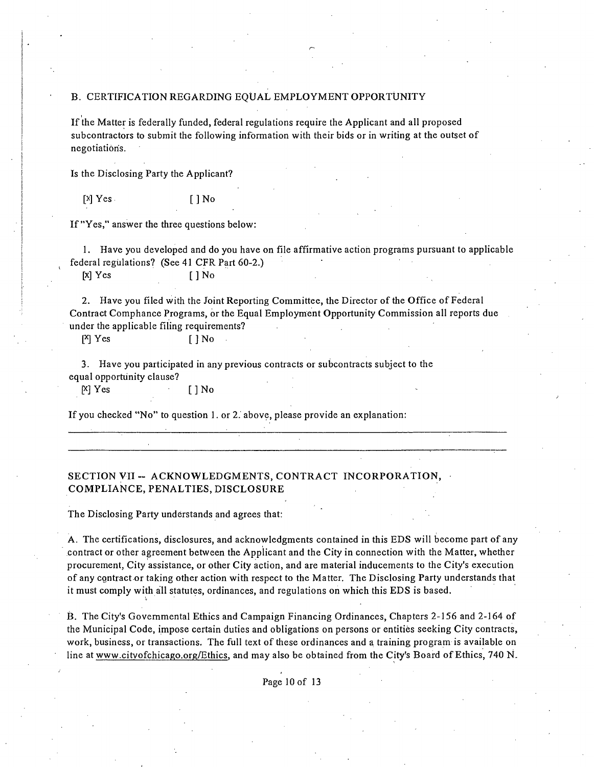#### B. CERTIFICATION REGARDING EQUAL EMPLOYMENT OPPORTUNITY

Ifthe Matter is federally funded, federal regulations require the Applicant and all proposed subcontractors to submit the following information with their bids or in writing at the outset of negotiation's.

Is the Disclosing Party the Applicant?

 $[X]$  Yes  $[ ]$  No

If "Yes," answer the three questions below:

1. Have you developed and do you have on file affirmative action programs pursuant to applicable federal regiilations? (See 41 CFR Part 60-2.)

[x]Yes []No

2. Have you filed with the Joint Reporting Committee, the Director of the Office of Federal Contract Comphance Programs, or the Equal Employment Opportunity Commission all reports due under the applicable filing requirements?

[<sup>X</sup>] Yes [] No

3. Have you participated in any previous contracts or subcontracts subject to the equal opportunity clause?

pcjYes []No

If you checked "No" to question 1. or 2. above, please provide an explanation;

### **SECTION VII - ACKNOWLEDGMENTS, CONTRACT INCORPORATION, COMPLIANCE, PENALTIES, DISCLOSURE**

The Disclosing Party understands and agrees that:

A. The certifications, disclosures, and acknowledgments contained in this EDS will become part of any contract or other agreement between the Applicant and the City in connection with the Matter, whether procurement. City assistance, or other City action, and are material inducements to the City's execution of any cgntract or taking other action with respect to the Matter. The Disclosing Party understands that it must comply with all statutes, ordinances, and regulations on which this EDS is based.

B. The City's Governmental Ethics and Campaign Financing Ordinances, Chapters 2-156 and 2-164 of the Municipal Code, impose certain duties and obligations on persons or entities seeking City contracts, work, business, or transactions. The full text of these ordinances and a training program is available on line at www.cityofchicago.org/Ethics, and may also be obtained from the City's Board of Ethics, 740 N.

Page 10 of 13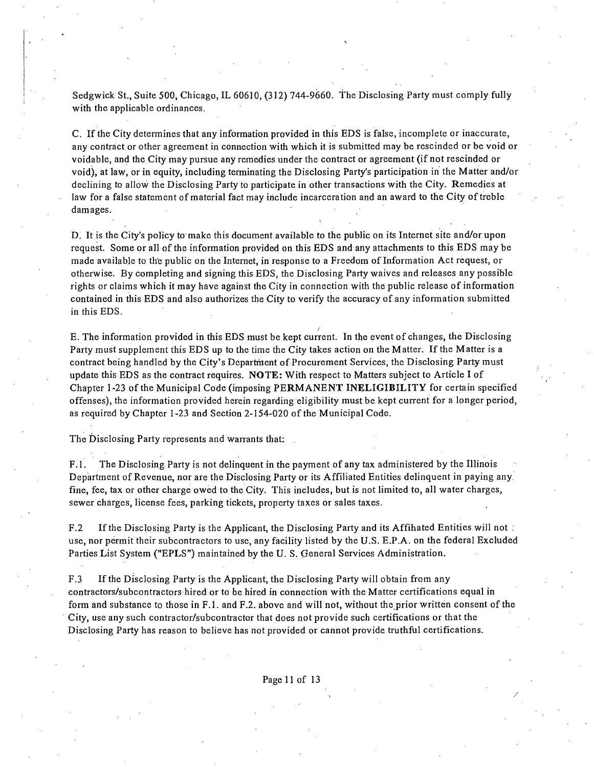Sedgwick St., Suite 500, Chicago, IL 60610, (312) 744-9660. The Disclosing Party must comply fully with the applicable ordinances.

C. If the City determines that any information provided in this EDS is false, incomplete or inaccurate, any contract or other agreement in connection with which it is submitted may be rescinded or be void or voidable, and the City may pursue any remedies under the contract or agreement (if not rescinded or void), at law, or in equity, including terminating the Disclosing Party's participation in the Matter and/or declining to allow the Disclosing Party to participate in other transactions with the City. Remedies at law for a false statement of material fact may include incarceration and an award to the City of treble damages.

D. It is the City's policy to make this document available to the public on its Internet site and/or upon request. Some or all of the information provided on this EDS and any attachments to this EDS may be made available to the public on the Internet, in response to a Freedom of Information Act request, or otherwise. By completing and signing this EDS, the Disclosing Party waives and releases any possible rights or claims which it may have against the City in connection with the public release of information contained in this EDS and also authorizes the City to verify the accuracy of any information submitted in this EDS.

E. The information provided in this EDS must be kept current. In the event of changes, the Disclosing Party must supplement this EDS up to the time the City takes action on the Matter. If the Matter is a contract being handled by the City's Department of Procurement Services, the Disclosing Party must update this EDS as the contract requires. NOTE: With respect to Matters subject to Article I of Chapter 1-23 of the Municipal Code (imposing PERMANENT INELIGIBILITY for certain specified offenses), the information provided herein regarding eligibility must be kept current for a longer period, as required by Chapter 1-23 and Section 2-154-020 of the Municipal Code.

The Disclosing Party represents and warrants that:

F.1. The Disclosing Party is not delinquent in the payment of any tax administered by the Illinois Department of Revenue, nor are the Disclosing Party or its Affiliated Entities delinquent in paying any. fine, fee, tax or other charge owed to the City. This includes, but is not limited to, all water charges, sewer charges, license fees, parking tickets, property taxes or sales taxes.

F.2 If the Disclosing Party is the Applicant, the Disclosing Party and its Affihated Entities will not ; use, nor permit their subcontractors to use, any facility listed by the U.S. E.P.A. on the federal Excluded Parties List System ("EPLS") maintained by the U. S. General Services Administration.

F.3 If the Disclosing Party is the Applicant, the Disclosing Party will obtain from any contractors/subcontractors hired or to be hired in connection with the Matter certifications equal in form and substance to those in F.1. and F.2. above and will not, without the prior written consent of the City, use any such contractor/subcontractor that does not provide such certifications or that the Disclosing Party has reason to believe has not provided or cannot provide truthful certifications.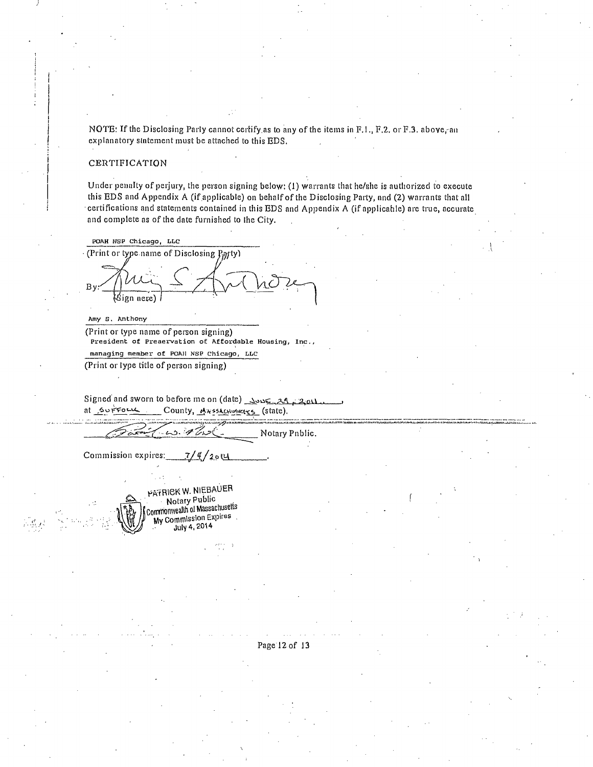NOTE: If the Disclosing Parly cannot certify as to any of the items in F.1., F.2, or F.3. above, an explanatory sintement must be attached to this EDS.

#### CERTIFICATION

Under penalty of perjury, the person signing below; (1) warrants that he/she is authorized to execute this EDS and Appendix A (if.applicable) on behalf ofthe Disclosing Party, nnd (2) warrants that all certifications and statements contained in this EDS and Appendix A (if applicatile) are true, accurate and complete as of the date furnished to the City.

POAH HSP Chicago, LLC (Print or type name of Disclosing  $P_{ij}$ yty) (Sign nere)

Amy S. Anthony

(Print or type name of person signing) President of Preaervation of Affordable Housing, Inc., managing member of POA)I NSP Chicago, LLC

(Print or lype title of person signing)

Signed and sworn to before me on (date) Aone 21, 2011 County, MassActusetts (state).

Notary Pnblic.

Commission expires:  $\frac{7}{4}$  /2014

PATRICK W. NIEBAUER Notary Public Commonwealih 01 Massachusetts My Commission Expires July 4,2014

Page 12 of 13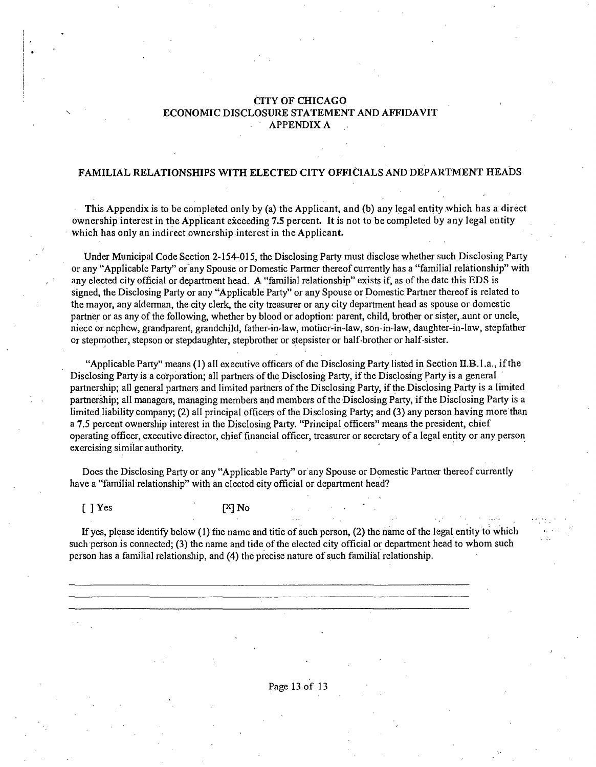### **CITY OF CHICAGO ECONOMIC DISCLOSURE STATEMENT AND AFFIDAVIT APPENDIXA**

### **FAMILIAL RELATIONSHIPS WITH ELECTED CITY OFFICIALS AND DEPARTMENT HEADS**

**This Appendix is to be completed only by (a) the Applicant, and (b) any legal entity which has a direct ownership interest in the Applicant exceeding 7.5 percent. It is not to be completed by any legal entity Which has only an indirect ownership interest in the Applicant.** 

Under Municipal Code Section 2-154-015, the Disclosing Party must disclose whether such Disclosing Party or any "Applicable Party" or any Spouse or Domestic Parmer thereof currently has a "familial relationship" with any elected city official or department head. A "familial relationship" exists if, as of the date this EDS is signed, the Disclosing Parfy or any "Applicable Party" or any Spouse or Domestic Partner thereof is related to the mayor, any alderman, the city clerk, the city treasurer or any city department head as spouse or domestic partner or as any of the following, whether by blood or adoption: parent, child, brother or sister, aunt or uncle, niece or nephew, grandparent, grandchild, father-in-law, motiier-in-law, son-in-law, daughter-in-law, stepfather or stepmother, stepson or stepdaughter, stepbrother or stepsister or half-brother or half-sister.

"Applicable Party" means (1) all executive officers of die Disclosing Party listed in Section II.B. l.a., if the Disclosing Party is a corporation; all partners of the Disclosing Party, if the Disclosing Party is a general partnership; all general partners and limited partners of the Disclosing Party, if the Disclosing Party is a limited partnership; all managers, managing members and members of the Disclosing Party, ifthe Disclosing Party is a limited liability company; (2) all principal officers of the Disclosing Party; and (3) any person having more than a 7.5 percent ownership interest in the Disclosing Party. "Principal officers" means the president, chief operating officer, executive director, chief financial officer, treasurer or secretary of a legal entity or any person exercising similar authority.

Does the Disclosing Party or any "Applicable Party" or any Spouse or Domestic Partaer thereof currently have a "familial relationship" with an elected city official or department head?

 $[$  ] Yes  $[$   $]$  Yes  $[$   $]$  No

If yes, please identify below  $(1)$  file name and titie of such person,  $(2)$  the name of the legal entity to which such person is connected; (3) the name and tide of the elected city official or department head to whom such person has a familial relationship, and (4) the precise nature of such familial relationship.

Page 13 of 13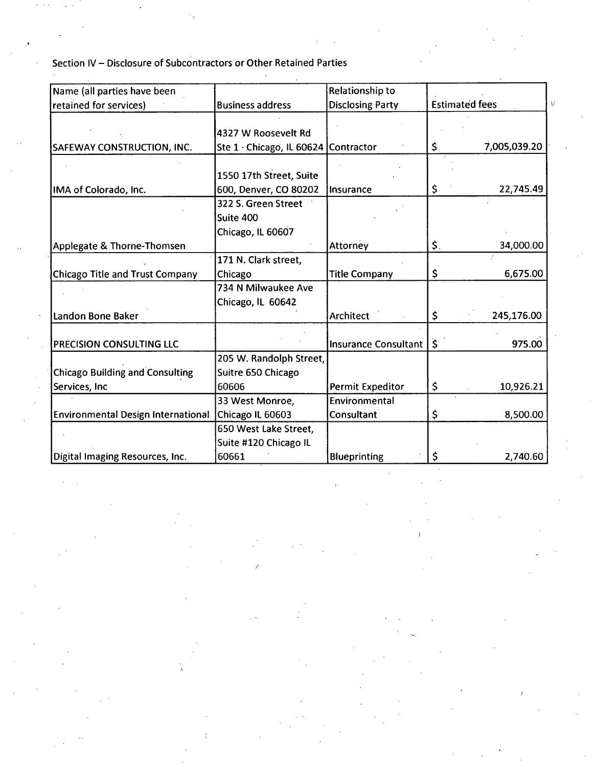Section IV - Disclosure of Subcontractors or Other Retained Parties

| Name (all parties have been               |                                      | Relationship to         |                       |              |
|-------------------------------------------|--------------------------------------|-------------------------|-----------------------|--------------|
| retained for services)                    | <b>Business address</b>              | <b>Disclosing Party</b> | <b>Estimated fees</b> |              |
|                                           |                                      |                         |                       |              |
|                                           | 4327 W Roosevelt Rd                  |                         |                       |              |
| <b>SAFEWAY CONSTRUCTION, INC.</b>         | Ste 1 · Chicago, IL 60624 Contractor |                         | \$                    | 7,005,039.20 |
|                                           |                                      |                         |                       |              |
|                                           | 1550 17th Street, Suite              |                         |                       |              |
| IMA of Colorado, Inc.                     | 600, Denver, CO 80202                | Insurance               | \$                    | 22,745.49    |
|                                           | 322 S. Green Street                  |                         |                       |              |
|                                           | Suite 400                            |                         |                       |              |
|                                           | Chicago, IL 60607                    |                         |                       |              |
| Applegate & Thorne-Thomsen                |                                      | Attorney                | \$.                   | 34,000.00    |
|                                           | 171 N. Clark street,                 |                         |                       |              |
| Chicago Title and Trust Company           | Chicago                              | <b>Title Company</b>    | \$                    | 6,675.00     |
|                                           | 734 N Milwaukee Ave                  |                         |                       |              |
|                                           | Chicago, IL 60642                    |                         |                       |              |
| Landon Bone Baker                         |                                      | <b>Architect</b>        | \$                    | 245,176.00   |
| <b>PRECISION CONSULTING LLC</b>           |                                      | Insurance Consultant    | $\mathsf{S}$          | 975.00       |
|                                           | 205 W. Randolph Street,              |                         |                       |              |
| <b>Chicago Building and Consulting</b>    | Suitre 650 Chicago                   |                         |                       |              |
|                                           |                                      |                         |                       |              |
| Services, Inc                             | 60606                                | Permit Expeditor        | \$                    | 10,926.21    |
|                                           | 33 West Monroe,                      | Environmental           |                       |              |
| <b>Environmental Design International</b> | Chicago IL 60603                     | Consultant              | \$                    | 8,500.00     |
|                                           | 650 West Lake Street,                |                         |                       |              |
|                                           | Suite #120 Chicago IL                |                         |                       |              |
| Digital Imaging Resources, Inc.           | 60661                                | Blueprinting            | \$                    | 2,740.60     |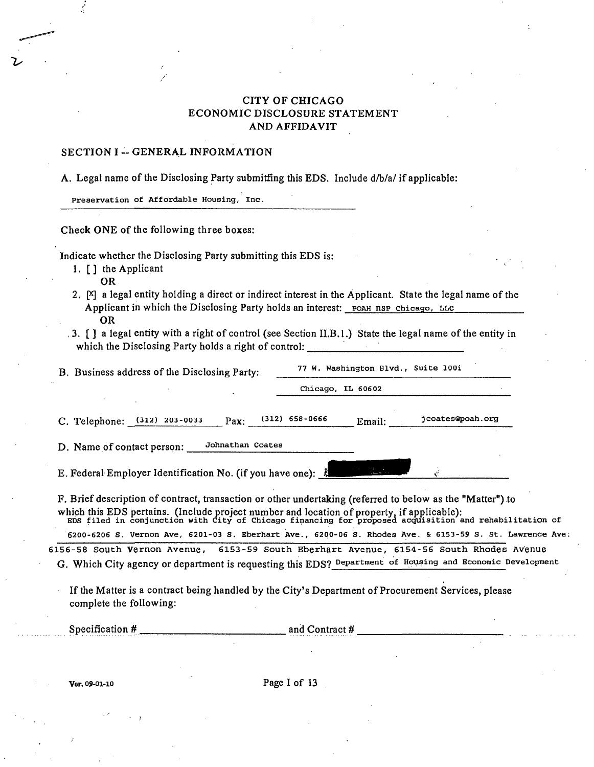### CITY OF CHICAGO ECONOMIC DISCLOSURE STATEMENT AND AFFIDAVIT

#### SECTION I - GENERAL INFORMATION

A. Legal name of the Disclosing Party submitfing this EDS. Include d/b/a/ if applicable:

Preservation of Affordable Housing, Inc.

Check ONE of the following three boxes:

Indicate whether the Disclosing Party submitting this EDS is:

1. [ ] the Applicant

OR

- 2. [X] a legal entity holding a direct or indirect interest in the Applicant. State the legal name of the Applicant in which the Disclosing Party holds an interest: POAH NSP Chicago, LLC OR
- ,3. [] a legal entity with a right of control (see Section n.B.l.) State the legal name of the entity in which the Disclosing Party holds a right of control: \_\_\_\_\_\_\_\_\_\_\_\_\_\_\_\_\_\_\_\_\_\_\_\_\_\_\_

|                                                                                                                                                                                                                                                                                                                                                                                  |                  | Chicago, IL 60602                 |                  |
|----------------------------------------------------------------------------------------------------------------------------------------------------------------------------------------------------------------------------------------------------------------------------------------------------------------------------------------------------------------------------------|------------------|-----------------------------------|------------------|
| C. Telephone: (312) 203-0033<br>Pax:                                                                                                                                                                                                                                                                                                                                             | $(312)$ 658-0666 | Email:                            | jcoates@poah.org |
| Johnathan Coates<br>D. Name of contact person:                                                                                                                                                                                                                                                                                                                                   |                  |                                   |                  |
|                                                                                                                                                                                                                                                                                                                                                                                  |                  |                                   |                  |
|                                                                                                                                                                                                                                                                                                                                                                                  |                  | and the state of the state of the |                  |
| E. Federal Employer Identification No. (if you have one): 4<br>F. Brief description of contract, transaction or other undertaking (referred to below as the "Matter") to<br>which this EDS pertains. (Include project number and location of property, if applicable):<br>EDS filed in conjunction with City of Chicago financing for proposed acquisition and rehabilitation of |                  |                                   |                  |

If the Matter is a contract being handled by the City's Department of Procurement Services, please complete the following;

Specification # and Contract #

Ver. 09-01-10 Page I of 13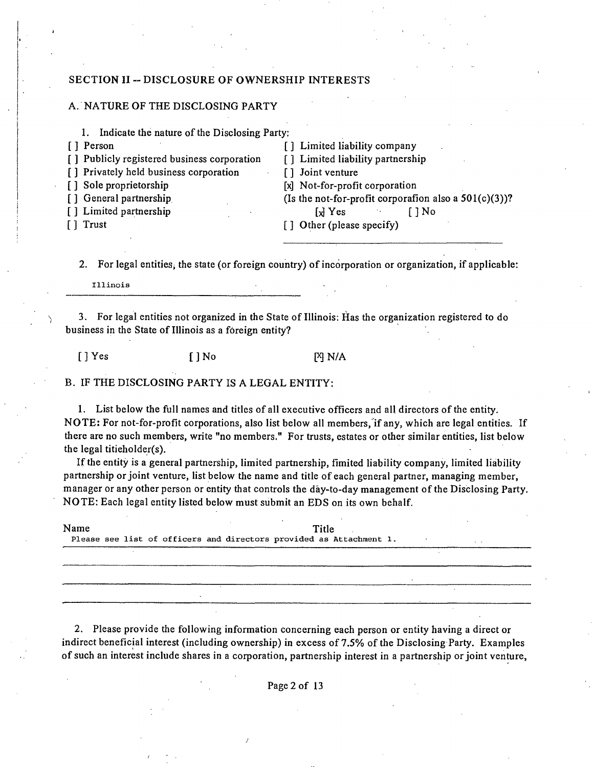#### **SECTION II -- DISCLOSURE OF OWNERSHIP INTERESTS**

#### A. NATURE OF THE DISCLOSING PARTY

- 1. Indicate the nature of the Disclosing Party;
- [ ] Person [ ] Company
- [] Publicly registered business corporation [] Limited liability partnership
- [] Privately held business corporation [] Joint venture
- 
- 
- 

[] Sole proprietorship [x] Not-for-profit corporation [] General partnership (Is the not-for-profit corporafion also a 501(c)(3))? [] Limited partnership [xl] Yes [] No [ ] Trust [ ] Other (please specify)

2. For legal entities, the state (or foreign country) of incorporation or organization, if applicable:

Illinois

^ 3. For legal entities not organized in the State of Illinois; Has the organization registered to do business in the State of Illinois as a foreign entity?

 $[ ]$  Yes  $[ ]$  No  $[$   $]$  N/A

B. IF THE DISCLOSING PARTY IS A LEGAL ENTITY:

1. List below the full names and titles of all executive officers and all directors ofthe enfity. NOTE: For not-for-profit corporations, also list below all members, if any, which are legal entities. If there are no such members, write "no members." For trusts, estates or other similar entities, list below the legal titieholder(s).

If the entity is a general partnership, limited partnership, fimited liability company, limited liability partnership or joint venture, list below the name and title of each general partner, managing member, manager or any other person or entity that controls the day-to-day management of the Disclosing Party. NOTE: Each legal entity listed below must submit an EDS on its own behalf.

| Name |  |  |  | Title<br>Please see list of officers and directors provided as Attachment 1. |  |  |  |
|------|--|--|--|------------------------------------------------------------------------------|--|--|--|
|      |  |  |  |                                                                              |  |  |  |
|      |  |  |  |                                                                              |  |  |  |

2. Please provide the following information concerning each person or entity having a direct or indirect beneficial interest (including ownership) in excess of 7.5% of the Disclosing Party. Examples of such an interest include shares in a corporation, partnership interest in a partnership or joint venture.

Page 2 of 13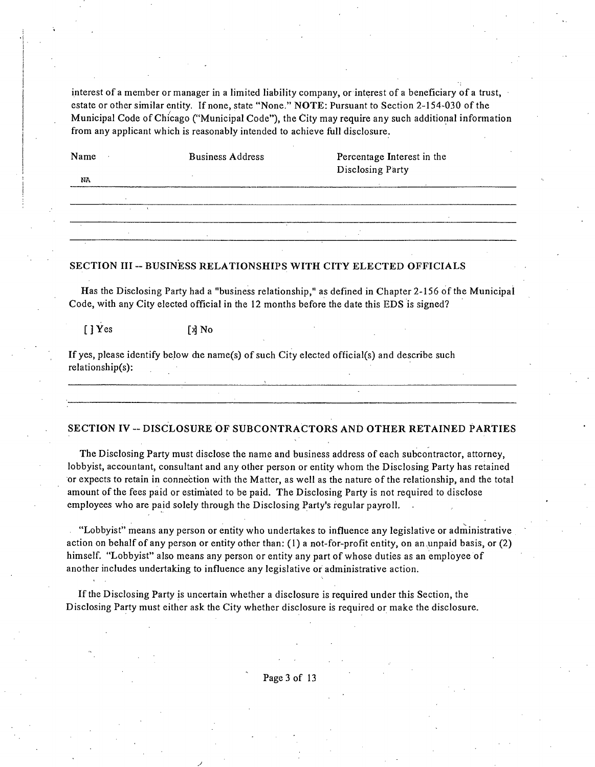interest of a member or manager in a limited liability company, or interest of a beneficiary of a trust, estate or other similar entity. If none, state "None." NOTE: Pursuant to Section 2-154-030 of the Municipal Code of Chicago ("Municipal Code"), the City may require any such additional infomiation from any applicant which is reasonably intended to achieve full disclosure.

| Name<br>NA | <b>Business Address</b> | Percentage Interest in the<br>Disclosing Party |  |
|------------|-------------------------|------------------------------------------------|--|
|            |                         |                                                |  |
|            |                         |                                                |  |
|            |                         |                                                |  |

#### **SECTION III - BUSINESS RELATIONSHIPS WITH CITY ELECTED OFFICIALS**

Has the Disclosing Party had a "business relationship," as defined in Chapter 2-156 of the Municipal Code, with any City elected official in the 12 months before the date this EDS is signed?

[] Yes [x] No

If yes, please identify below die name(s) of such City elected official(s) and describe such relationship(s):

#### **SECTION IV - DISCLOSURE OF SUBCONTRACTORS AND OTHER RETAINED PARTIES**

The Disclosing Party must disclose the name and business address of each subcontractor, attorney, lobbyist, accountant, consultant and any other person or entity whom the Disclosing Party has retained or expects to retain in connection with the Matter, as well as the nature of the relationship, and the total amount of the fees paid or estimated to be paid. The Disclosing Party is not required to disclose employees who are paid solely through the Disclosing Party's regular payroll.

"Lobbyist" means any person or entity who undertakes to influence any legislative or administrative action on behalf of any person or entity other than; (1) a not-for-profit entity, on an .unpaid basis, or (2) himself. "Lobbyist" also means any person or entity any part of whose duties as an employee of another includes undertaking to influence any legislative or administrative action.

Ifthe Disclosing Party is uncertain whether a disclosure is required under this Section, the Disclosing Party must either ask the City whether disclosure is required or make the disclosure.

Page 3 of 13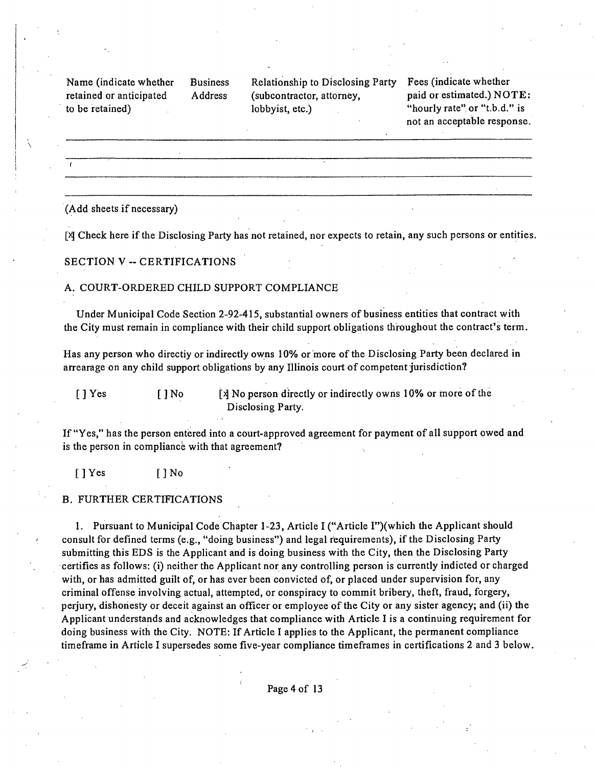Name (indicate whether Business retained or anticipated Address to be retained)

Relationship to Disclosing Party (subcontractor, attorney, lobbyist, etc.)

Fees (indicate whether paid or estimated.) NOTE: "hourly rate" or "t.b.d." is not an acceptable response.

(Add sheets if necessary)

[x] Check here if the Disclosing Party has not retained, nor expects to retain, any such persons or entities.

#### SECTION V -- CERTIFICATIONS

#### A. COURT-ORDERED CHILD SUPPORT COMPLIANCE

Under Municipal Code Secfion 2-92-415, substantial owners of business entities that contract with the City must remain in compliance with their child support obligations throughout the contract's term.

Has any person who directiy or indirectly owns 10% or more of the Disclosing Party been declared in arrearage on any child support obligations by any Illinois court of competent jurisdiction?

[ ] Yes [ ] No [x] No person directly or indirectly owns 10% or more of the Disclosing Party.

If "Yes," has the person entered into a court-approved agreement for payment of all support owed and is the person in compliance with that agreement?

[JYes [JNo

#### B. FURTHER CERTIFICATIONS

1. Pursuant to Municipal Code Chapter 1-23, Article I ("Article I")(which the Applicant should consult for defined terms (e.g., "doing business") and legal requirements), if the Disclosing Party submitting this EDS is the Applicant and is doing business with the City, then the Disclosing Party certifies as follows: (i) neither the Applicant nor any controlling person is currently indicted or charged with, or has admitted guilt of, or has ever been convicted of, or placed under supervision for, any criminal offense involving actual, attempted, or conspiracy to commit bribery, theft, fraud, forgery, perjury, dishonesty or deceit against an officer or employee of the City or any sister agency; and (ii) the Applicant understands and acknowledges that compliance with Article I is a continuing requirement for doing business with the City. NOTE: If Article I applies to the Applicant, the permanent compliance timeframe in Article I supersedes some five-year compliance timeframes in certifications 2 and 3 below.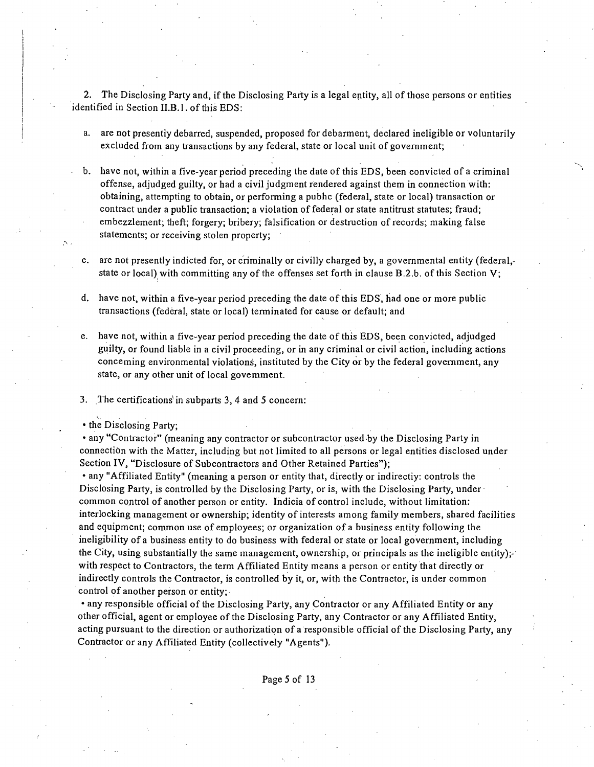2. The Disclosing Party and, if the Disclosing Party is a legal entity, all of those persons or entities identified in Section II.B.l. of this EDS;

- a. are not presentiy debarred, suspended, proposed for debarment, declared ineligible or voluntarily excluded from any transactions by any federal, state or local unit of government;
- have not, within a five-year period preceding the date of this EDS, been convicted of a criminal offense, adjudged guilty, or had a civil judgment rendered against them in connection with; obtaining, attempting to obtain, or performing a pubhc (federal, state or local) transaction or contract under a public transaction; a violation of federal or state antitrust statutes; fraud; embezzlement; theft; forgery; bribery; falsification or destruction of records; making false statements; or receiving stolen property;
- c. are not presently indicted for, or criminally or civilly charged by, a governmental entity (federal, $\cdot$ state or local) with committing any of the offenses set forth in clause B.2.b. of this Section V;
- d. have not, within a five-year period preceding the date of this EDS, had one or more public transactions (federal, state or local) terminated for cause or default; and
- e. have not, within a five-year period preceding the date of this EDS, been convicted, adjudged guilty or found liable in a civil proceeding, or in any criminal or civil action, including actions conceming environmental violations, instituted by the City or by the federal government, any state, or any other unit of local govemment.
- 3. The certifications'in subparts 3, 4 and 5 concern:
- the Disclosing Party;

• any "Contractor" (meaning any contractor or subcontractor used by the Disclosing Party in connection with the Matter, including but not limited to all persons or legal entities disclosed under Section IV, "Disclosure of Subcontractors and Other Retained Parties");

• any "Affiliated Entity" (meaning a person or entity that, directly or indirectiy; controls the Disclosing Party, is controlled by the Disclosing Party, or is, with the Disclosing Party, under common control of another person or entity. Indicia of control include, without limitation: interlocking management or ownership; identity of interests among family members, shared facilities and equipment; common use of employees; or organization of a business entity following the ineligibility of a business entity to do business with federal or state or local government, including the City, using substantially the same management, ownership, or principals as the ineligible entity); $\cdot$ with respect to Contractors, the term Affiliated Entity means a person or entity that directly or indirectly controls the Contractor, is controlled by it, or, with the Contractor, is under common control of another person or entity;

• any responsible official ofthe Disclosing Party, any Contractor or any Affiliated Entity or any other official, agent or employee of the Disclosing Party, any Contractor or any Affiliated Entity, acting pursuant to the direction or authorization of a responsible official of the Disclosing Party, any Contractor or any Affiliated Entity (collectively "Agents").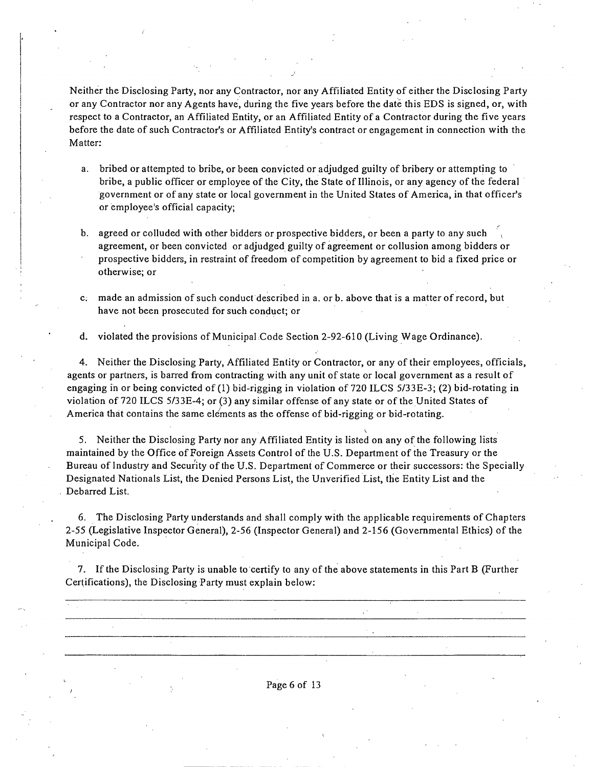Neither the Disclosing Party, nor any Contractor, nor any Affiliated Entity of either the Disclosing Party or any Contractor nor any Agents have, during the five years before the date this EDS is signed, or, with respect to a Contractor, an Affiliated Entity, or an Affiliated Entity of a Contractor during the five years before the date of such Contractor's or Affiliated Entity's contract or engagement in connection with the Matter:

- a. bribed or attempted to bribe, or been convicted or adjudged guilty of bribery or attempting to bribe, a public officer or employee of the City, the State of Illinois, or any agency of the federal government or of any state or local government in the United Slates of America, in that officer's or employee's official capacity;
- b. agreed or colluded with other bidders or prospective bidders, or been a party to any such , agreement, or been convicted or adjudged guilty of agreement or collusion among bidders or prospective bidders, in restraint of freedom of competition by agreement to bid a fixed price or otherwise; or
- c. made an admission of such conduct described in a. or b. above that is a matter of record, but have not been prosecuted for such conduct; or

d. violated the provisions of Municipal Code Section 2-92-610 (Living Wage Ordinance).

4. Neither the Disclosing Party, Affiliated Entity or Contractor, or any of their employees, officials, agents or partners, is barred from contracting with any unit of state or local government as a result of engaging in or being convicted of (1) bid-rigging in violation of 720 ILCS 5/33E-3; (2) bid-rotating in violation of 720 ILCS 5/33E-4; or (3) any similar offense of any state or of the United States of America that contains the same elements as the offense of bid-rigging or bid-rotating.

5. Neither the Disclosing Party nor any Affiliated Entity is listed on any of the following lists maintained by the Office of Foreign Assets Control of the U.S. Department of the Treasury or the Bureau of Industry and Security of the U.S. Department of Commerce or their successors: the Specially Designated Nationals List, the Denied Persons List, the Unverified List, the Entity List and the Debarred List.

I.

6. The Disclosing Party understands and shall comply with the applicable requirements of Chapters 2-55 (Legislative Inspector General), 2-56 (Inspector General) and 2-156 (Governmental Ethics) of the Municipal Code.

7. If the Disclosing Party is unable to certify to any of the above statements in this Part B (Further Certifications), the Disclosing Party must explain below:

Page 6 of 13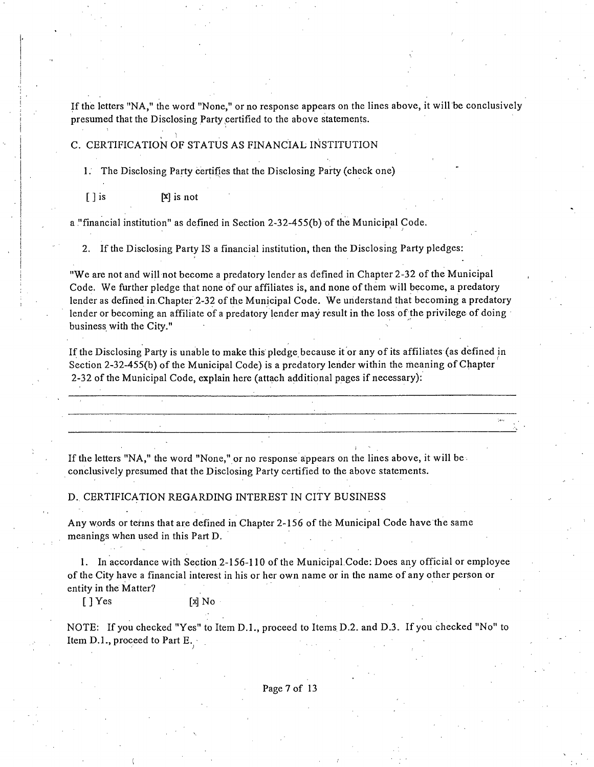Ifthe letters "NA," the word "None," or no response appears on the lines above, it will be conclusively presumed that the Disclosing Party certified to the above statements.

### C. CERTIFICATION OF STATUS AS FINANCIAL INSTITUTION

1. The Disclosing Party certifies that the Disclosing Party (check one)

[ ] is  $[x]$  is not

a "financial institution" as defined in Section 2-32-455(b) of the Municipal Code.

2. If the Disclosing Party IS a financial institution, then the Disclosing Party pledges:

"We are not and will not become a predatory lender as defined in Chapter 2-32 of the Municipal Code. We further pledge that none of our affiliates is, and none of them will become, a predatory lender as defined in Chapter 2-32 of the Municipal Code. We understand that becoming a predatory lender or becoming an affiliate of a predatory lender may result in the loss of the privilege of doing business with the City."

If the Disclosing Party is unable to make this pledge because it or any of its affiliates (as defined in Section 2-32-455(b) of the Municipal Code) is a predatory lender within the meaning of Chapter 2-32 of the Municipal Code, explain here (attach additional pages if necessary):

If the letters "NA," the word "None," or no response appears on the lines above, it will be conclusively presumed that the Disclosing Party certified to the above statements.

D. CERTIFICATION REGARDING INTEREST IN CITY BUSINESS

Any words or tehns that are defined in Chapter 2-156 of the Municipal Code have the same meanings when used in this Part D.

1. In accordance with Section 2-156-110 of the Municipal.Code: Does any official or employee of the City have a financial interest in his or her own name or in the name of any other person or entity in the Matter?

[ ] Yes [x] No

NOTE: If you checked "Yes" to Item D.1., proceed to Items D.2. and D.3. If you checked "No" to Item D.L, proceed to Part E.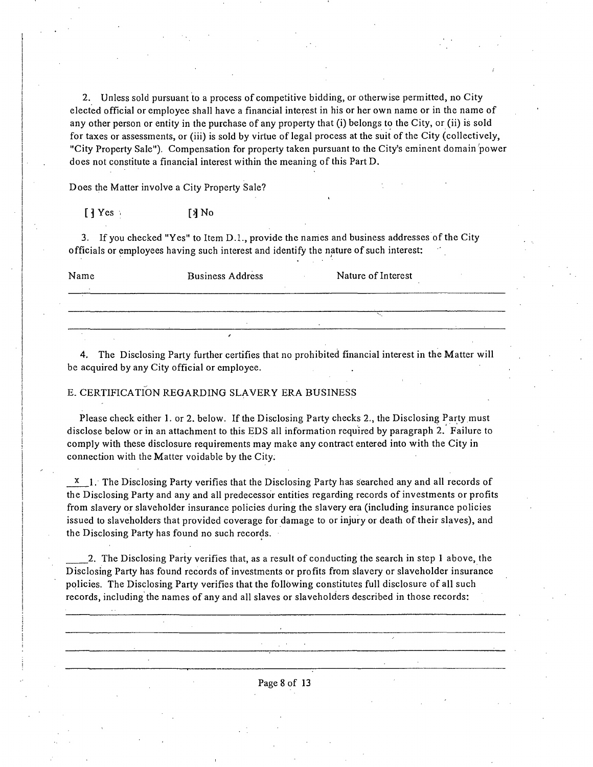2. Unless sold pursuant to a process of competitive bidding, or otherwise permitted, no City elected official or employee shall have a financial interest in his or her own name or in the name of any other person or entity in the purchase of any property that (i) belongs to the City, or (ii) is sold for taxes or assessments, or (iii) is sold by virtue of legal process at the suit of the City (collectively, "City Property Sale"). Compensation for property taken pursuant to the City's eminent domain power does not constitute a financial interest within the meaning of this Part D.

Does the Matter involve a City Property Sale?

 $[$   $]$  Yes  $[$   $]$  No

3. If you checked "Yes" to Item  $D.1$ , provide the names and business addresses of the City officials or employees having such interest and identify the nature of such interest:

| Name | <b>Business Address</b> | Nature of Interest |
|------|-------------------------|--------------------|
|      |                         |                    |
|      |                         |                    |
|      |                         |                    |
|      |                         |                    |

4. The Disclosing Party further certifies that no prohibited financial interest in the Matter will be acquired by any City official or employee.

#### E. CERTIFICATION REGARDING SLAVERY ERA BUSINESS

Please check either 1. or 2. below. If the Disclosing Party checks 2., the Disclosing Party must disclose below or in an attachment to this EDS all information required by paragraph 2. Failure to comply with these disclosure requirements may make any contract entered into with the City in connection with the Matter voidable by the City.

X 1. The Disclosing Party verifies that the Disclosing Party has searched any and all records of the Disclosing Party and any and all predecessor entities regarding records of investments or profits from slavery or slaveholder insurance policies during the slavery era (including insurance policies issued to slaveholders that provided coverage for damage to or injury or death of their slaves), and the Disclosing Party has found no such records.

2. The Disclosing Party verifies that, as a result of conducting the search in step 1 above, the Disclosing Party has found records of investments or profits from slavery or slaveholder insurance policies. The Disclosing Party verifies that the following constitutes full disclosure of all such records, including the names of any and all slaves or slaveholders described in those records: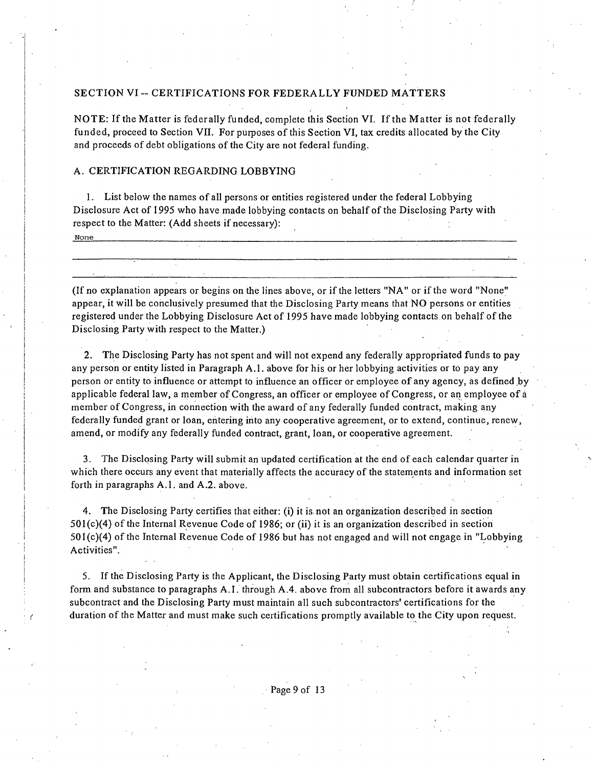### **SECTION VI - CERTIFICATIONS FOR FEDERALLY FUNDED MATTERS**

NOTE: If the Matter is federally funded, complete this Section VI. If the Matter is not federally funded, proceed to Section VII. For purposes of this Section VI, tax credits allocated by the City and proceeds of debt obligations of the City are not federal funding.

#### A. CERTIFICATION REGARDING LOBBYING

1. List below the names of all persons or entities registered under the federal Lobbying Disclosure Act of 1995 who have made lobbying contacts on behalf of the Disclosing Party with respect to the Matter: (Add sheets if necessary): None

(If no explanation appears or begins on the lines above, or if the letters "NA" or if the word "None" appear, it will be conclusively presumed that the Disclosing Party means that NO persons or entities registered under the Lobbying Disclosure Act of 1995 have made lobbying contacts on behalf ofthe Disclosing Party with respect to the Matter.)

2. The Disclosing Party has not spent and will not expend any federally appropriated funds to pay any person or entity listed in Paragraph A.l . above for his or her lobbying activities or to pay any person or entity to influence or attempt to influence an officer or employee of any agency, as defined by applicable federal law, a member of Congress, an officer or employee of Congress, or an employee of a member of Congress, in connection with the award of any federally funded contract, making any federally funded grant or loan, entering into any cooperative agreement, or to extend, continue, renew, amend, or modify any federally funded contract, grant, loan, or cooperative agreement.

3. The Disclosing Party will submit an updated certification at the end of each calendar quarter in which there occurs any event that materially affects the accuracy of the statements and information set forth in paragraphs A.1. and A.2. above.

4. The Disclosing Party certifies that either: (i) it is not an organization described in section 501(c)(4) of the Internal Revenue Code of 1986; or (ii) it is an organization described in section 501(c)(4) of the Internal Revenue Code of 1986 but has not engaged and will not engage in "Lobbying Activities".

5. If the Disclosing Party is the Applicant, the Disclosing Party must obtain certifications equal in form and substance to paragraphs A. I. through A.4. above from all subcontractors before it awards any subcontract and the Disclosing Party must maintain all such subcontractors' certifications for the duration of the Matter and must make such certifications promptly available to the City upon request.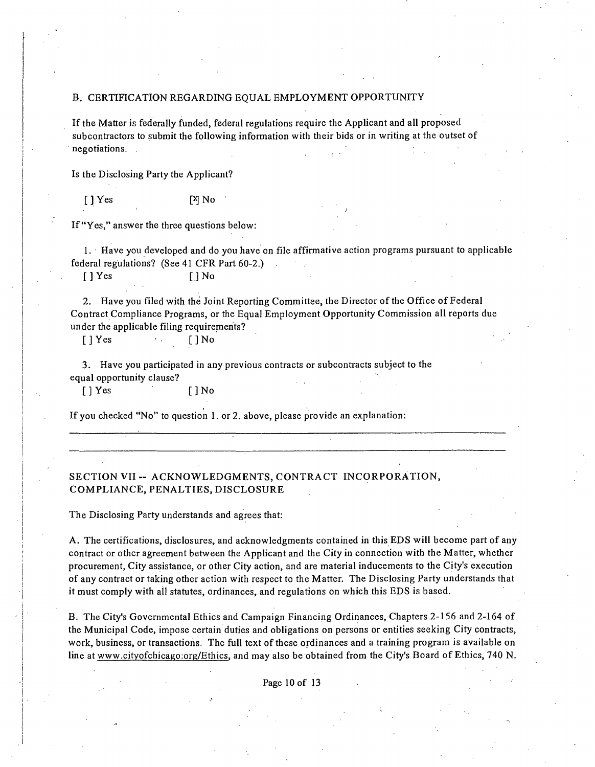#### B. CERTIFICATION REGARDING EQUAL EMPLOYMENT OPPORTUNITY

Ifthe Matter is federally funded, federal regulations require the Applicant and all proposed subcontractors to submit the following information with their bids or in writing at the outset of negotiations.

Is the Disclosing Party the Applicant?

[JYes [X]No •

If "Yes," answer the three questions below;

1. Have you developed and do you have on file affirmative action programs pursuant to applicable federal regulations? (See 41 CFR Part 60-2.)

[] Yes [] No

2. Have you filed with the Joint Reporting Committee, the Director of the Office of Federal Contract Compliance Programs, or the Equal Employment Opportunity Commission all reports due under the applicable filing requirements?

[] Yes • . []No

3. Have you participated in any previous contracts or subconttacts subject to the equal opportunity clause?

[] Yes [] No

If you checked "No" to question 1. or 2. above, please provide an explanation;

### **SECTION VII - ACKNOWLEDGMENTS, CONTRACT INCORPORATION, COMPLIANCE, PENALTIES, DISCLOSURE**

The Disclosing Party understands and agrees that;

A. The certifications, disclosures, and acknowledgments contained in this EDS will become part of any contract or other agreement between the Applicant and the City in connection with the Matter, whether procurement. City assistance, or other City action, and are material inducements to the City's execution of any contract or taking other action with respect to the Matter. The Disclosing Party understands that it must comply with all statutes, ordinances, and regulations on which this EDS is based.

B. The City's Governmental Ethics and Campaign Financing Ordinances, Chapters 2-156 and 2-164 of the Municipal Code, impose certain duties and obligations on persons or entities seeking City contracts, work, business, or transactions. The full text of these ordinances and a training program is available on line at www.cityofchicago.org/Ethics, and may also be obtained from the City's Board of Ethics, 740 N.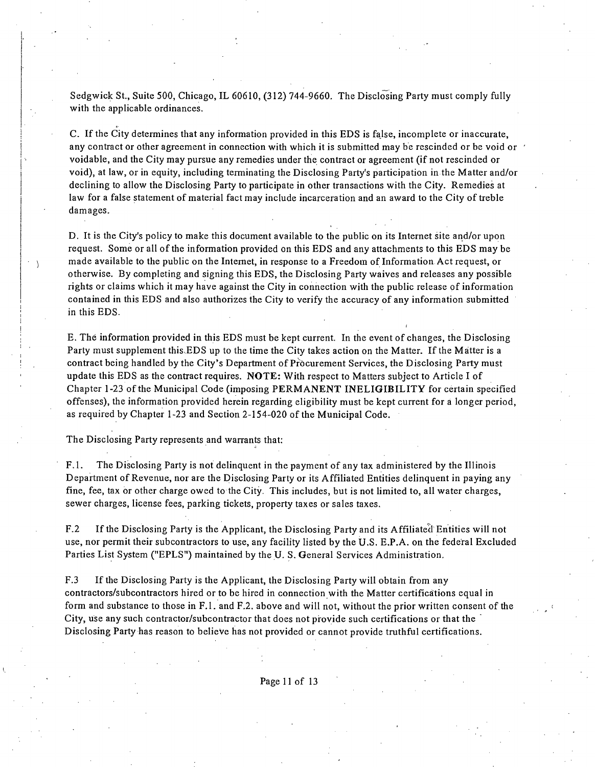Sedgwick St., Suite 500, Chicago, IL 60610, (312) 744-9660. The Disclosing Party must comply fully with the applicable ordinances.

C. Ifthe City determines that any information provided in this EDS is false, incomplete or inaccurate, any contract or other agreement in connection with which it is submitted may be rescinded or be void or  $\theta$ voidable, and the City may pursue any remedies under the contract or agreement (if not rescinded or void), at law, or in equity, including terminating the Disclosing Party's participation in the Matter and/or declining to allow the Disclosing Party to participate in other transactions with the City. Remedies at law for a false statement of material fact may include incarceration and an award to the City of treble damages.

D. It is the City's policy to make this document available to the public on its Internet site and/or upon request. Some or all of the information provided on this EDS and any attachments to this EDS may be made available to the public on the Internet, in response to a Freedom of Information Act request, or otherwise. By completing and signing this EDS, the Disclosing Party waives and releases any possible rights or claims which it may have against the City in connection with the public release of information contained in this EDS and also authorizes the City to verify the accuracy of any information submitted in this EDS.

E. The information provided in this EDS must be kept current. In the event of changes, the Disclosing Party must supplement this.EDS up to the time the City takes action on the Matter. If the Matter is a contract being handled by the City's Department of Procurement Services, the Disclosing Party must update this EDS as the contract requires. NOTE: With respect to Matters subject to Article I of Chapter 1-23 of the Municipal Code (imposing PERMANENT INELIGIBILITY for certain specified offenses), the information provided herein regarding eligibility must be kept current for a longer period, as required by Chapter 1-23 and Section 2-154-020 of the Municipal Code.

The Disclosing Party represents and warrants that:

 $\left\langle \cdot \right\rangle$ 

F.1. The Disclosing Party is not delinquent in the payment of any tax administered by the Illinois Department of Revenue, nor are the Disclosing Party or its Affiliated Entities delinquent in paying any fine, fee, tax or other charge owed to the City. This includes, but is not limited to, all water charges, sewer charges, license fees, parking tickets, property taxes or sales taxes.

F.2 If the Disclosing Party is the Applicant, the Disclosing Party and its Affiliated Entities will not use, nor permit their subcontractors to use, any facility listed by the U.S. E.P.A. on the federal Excluded Parties List System ("EPLS") maintained by the U- S. General Services Administration.

F.3 If the Disclosing Party is the Applicant, the Disclosing Party will obtain from any contractors/subcontractors hired or to be hired in connection with the Matter certifications equal in form and substance to those in F.l. and F.2. above and will not, without the prior written consent of the City, use any such contractor/subcontractor that does not provide such certifications or that the " Disclosing Party has reason to believe has not provided or cannot provide truthful certifications.

Page 11 of 13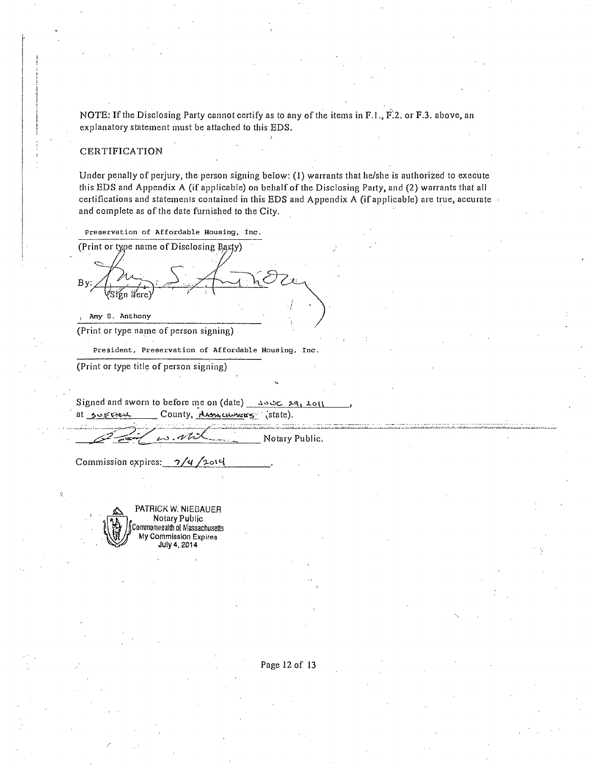NOTE: If the Disclosing Party cannot certify as to any of the items in F.I., F.2. or F.3. above, an explanatory statement must be attached to this EDS.

#### CERTIFICATION

Under penally of perjury, the person signing below; (1) warrants that he/she is authorized to execute this EDS and Appendix A (if applicable) on behalf of the Disclosing Party, and (2) warrants that all certifications and statemenis contained in this EDS and Appendix A (if applicable) are true, accurate and complete as of the date furnished to the City.

Preservation of Affordable Housing, Inc.

(Print or type name of Disclosing Barty) By řen liere)

Amy S. Anthony

(Print or type name of person signing)

President, Preservation of Affordable Housing, Inc.

(Print or type title of person signing)

Signed and sworn to before me on (date)  $\frac{1}{2}$  $at$  survey County, these chosens (state).

Notary Public.

*Commission expires: 7/4/2014* 

PATRICK W. NIEBAUER Notary Public Commonv/ealth ol Massachusetts My Commission Expires July 4,2014

Page 12 of 13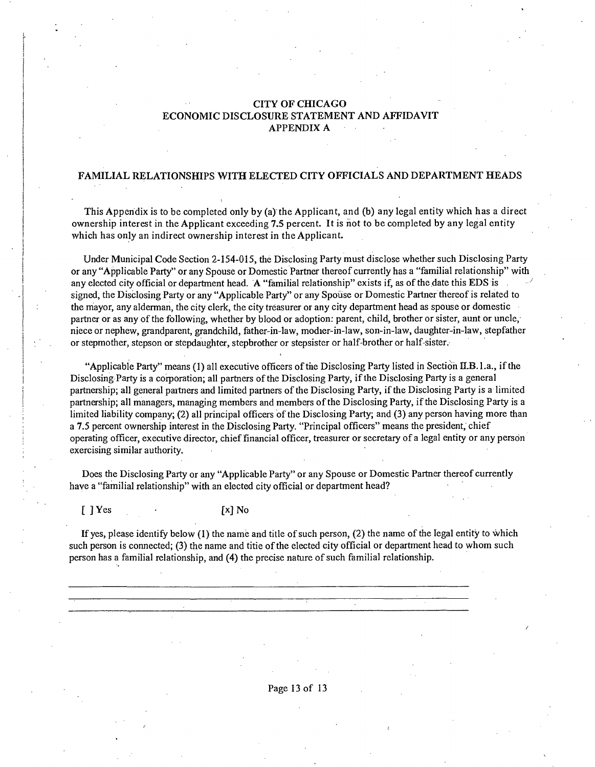### **CITY OF CHICAGO ECONOMIC DISCLOSURE STATEMENT AND AFFIDAVIT APPENDIXA**

### **FAMILIAL RELATIONSHIPS WITH ELECTED CITY OFFICIALS AND DEPARTMENT HEADS**

**This Appendix is to be completed only by (a) the Applicant, and (b) any legal entity which has a direct ownership interest in the Applicant exceeding 7.5 percent. It is not to be completed by any legal entity vvhich has only an indirect ownership interest in the Applicant.** 

Under Municipal Code Section 2-154-015, the Disclosing Party must disclose whether such Disclosing Party or any "Applicable Party" or any Spouse or Domestic Partner thereof currently has a "familial relationship" with any elected city official or department head. A "familial relationship" exists if, as of the date this EDS is signed, the Disclosing Party or any "Applicable Party" or any Spouse or Domestic Partner thereof is related to the mayor, any alderman, the city clerk, the city treasurer or any city department head as spouse or domestic partner or as any of the following, whether by blood or adoption: parent, child, brother or sister, aunt or uncle, niece or nephew, grandparent, grandchild, father-in-law, modier-in-Iaw, son-in-law, daughter-in-law, stepfather or stepmother, stepson or stepdaughter, stepbrother or stepsister or half-brother or half-sister.

"Applicable Party" means (1) all executive officers of the Disclosing Party listed in Section II.B.1.a., if the Disclosing Party is a corporation; all partners of the Disclosing Party, if the Disclosing Party is a general partnership; all general paitners and limited partners of the Disclosing Party, if the Disclosing Party is a limited partnership; all managers, managing members and members of the Disclosing Party, ifthe Disclosing Party is a limited liability company; (2) all principal officers of the Disclosing Party; and (3) any person having more than a 7.5 percent ownership interest in the Disclosing Party. "Principal officers" means the president, chief operating officer, executive director, chief financial officer, treasurer or secretary of a legal entity or any person exercising similar authority.

Does the Disclosing Party or any "Applicable Party" or any Spouse or Domestic Partner thereof currently have a "familial relationship" with an elected city official or department head?

 $[\ ]$  Yes  $[\ ]$  No

If yes, please identify below  $(1)$  the name and title of such person,  $(2)$  the name of the legal entity to which such person is connected; (3) the name and titie of the elected city official or department head to whom such person has a familial relationship, and (4) the precise nature of such familial relationship.

Page 13 of 13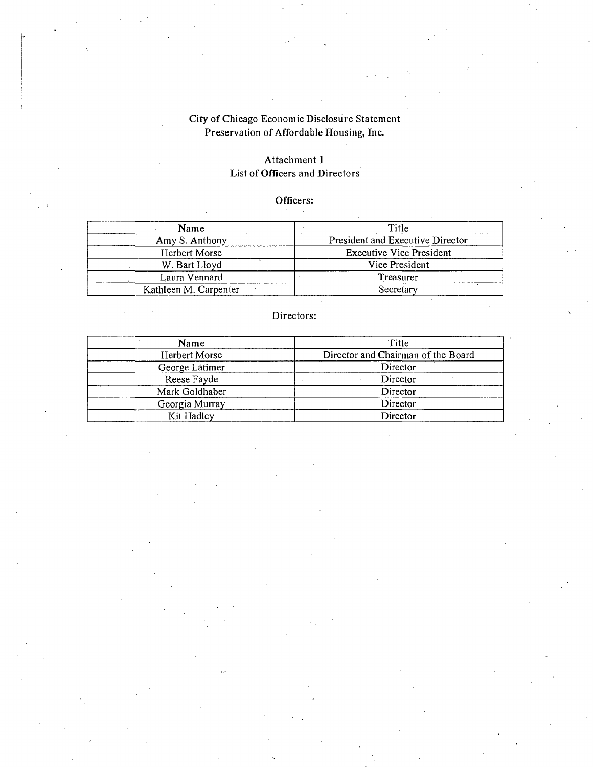# **City of Chicago Economic Disclosure Statement**  Preservation of Affordable Housing, Inc.

## **Attachment 1 List of Officers and Directors**

# **Officers:**

| Name                  | Title                            |
|-----------------------|----------------------------------|
| Amy S. Anthony        | President and Executive Director |
| Herbert Morse         | <b>Executive Vice President</b>  |
| W. Bart Lloyd         | Vice President                   |
| Laura Vennard         | Treasurer                        |
| Kathleen M. Carpenter | Secretary                        |

### **Directors:**

| Name           | Title                              |
|----------------|------------------------------------|
| Herbert Morse  | Director and Chairman of the Board |
| George Latimer | Director                           |
| Reese Fayde    | Director                           |
| Mark Goldhaber | Director                           |
| Georgia Murray | Director                           |
| Kit Hadley     | Director                           |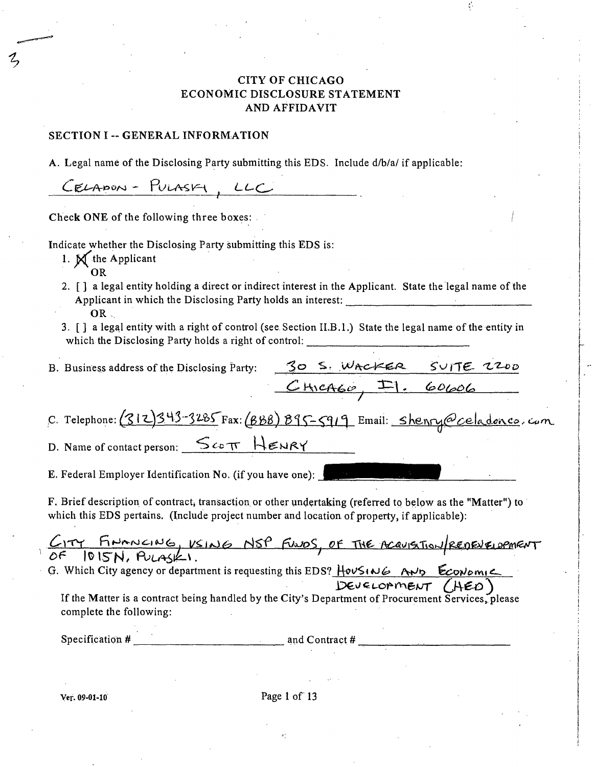## CITY OF CHICAGO ECONOMIC DISCLOSURE STATEMENT AND AFFIDAVIT

### SECTION I -- GENERAL INFORMATION

A. Legal name of the Disclosing Party submitting this EDS. Include d/b/a/ if applicable:

CELAPON - PULASKY, LLC

Check ONE of the following three boxes:

Indicate whether the Disclosing Party submitting this EDS is:

- 1.  $\mathbb{N}^{\uparrow}$  the Applicant
	- OR
- 2. [ ] a legal entity holding a direct or indirect interest in the Applicant. State the legal name of the Applicant in which the Disclosing Party holds an interest: OR  $\sim$
- 3. [ ] a legal entity with a right of control (see Section II.B. 1.) State the legal name of the entity in which the Disclosing Party holds a right of control:

*B. Business address of the Disclosing Party:* <u>30 S. Wacker SUITE 2200</u><br>CHICAGO,  $F_1$ . 60606

*C. Telephone: (SIZ)343-3285 Fax: (BBB) 895-5919 Email: shenry@celadonco. com* 

D. Name of contact person:  $\frac{\mathcal{S}_{cc\pi}}{\mathcal{S}_{cc\pi}}$  HENRY

E. Federal Employer Identification No. (if you have one):

F. Brief description of contract, transaction or other undertaking (referred to below as the "Matter") to which this EDS pertains. (Include project number and location of property, if applicable):

| FINANCING, USING NSP FUNDS, OF THE ACQUISITION/REDEVELOPMENT                                                                  |
|-------------------------------------------------------------------------------------------------------------------------------|
| 1015N, Pousk.<br>DΕ                                                                                                           |
| G. Which City agency or department is requesting this EDS? HouSING AND ECONOMIC                                               |
| DEVELOPMENT (HED)                                                                                                             |
| If the Matter is a contract being handled by the City's Department of Procurement Services, please<br>complete the following: |
|                                                                                                                               |

Specification  $#$   $\qquad \qquad \qquad$  and Contract  $#$ 

Ver. 09-01-10 Page 1 of 13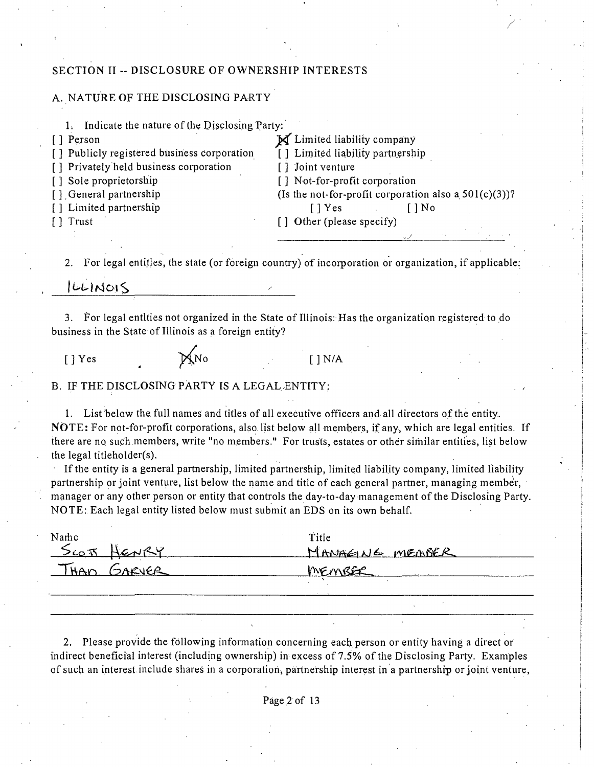### **SECTION II - DISCLOSURE OF OWNERSHIP INTERESTS**

### A. NATURE OF THE DISCLOSING PARTY

1. Indicate the nature of the Disclosing Party:

[ ] Publicly registered biisiness corporation [ ] Limited liabi<br>[ ] Privately held business corporation [ ] Joint venture

[] Privately held business corporation [] Sole proprietorship

[] Person [1] Person [1] Person [1] Person [1] Person [1] Person [1] Publicly registered business corporation [1] Limited liability partnership [ ] Sole proprietorship [ ] Not-for-profit corporation [ ] General partnership (Is the not-for-profit corporation (Is the not-for-profit corporation also a  $501(c)(3)$ )?<br>[] Yes [] No [ ] Limited partnership [ ] ] Trust [ ] Trust [ ] Trust [ ] Ro [ ] Des [ ] Des [ ] Des [ ] Des [ ] Des [ ] Des [ ] Des [ ] Des [ ] Des [ ] Des [ ] Des [ ] Des [ ] Des [ ] Des [ ] Des [ ] Des [ ] Des [ ] Des [ ] Des [ ] Des [ ] Other (please specify)

2. For legal entitles, the state (or foreign country) of incorporation or organization, if applicable:

 $|UU|$ NOIS

3. For legal entities not organized in the State of Illinois: Has the organization registered to do business in the State of Illinois as a foreign entity?

 $[ ]$  Yes  $\mathcal{Y}_{\Lambda}^{(N_{0})}$  []N/A

B. IF THE DISCLOSING PARTY IS A LEGAL ENTITY:

1. List below the full names and titles of all executive officers and all directors of the entity. NOTE: For not-for-profit corporations, also list below all members, if any, which are legal entities. If there are no such members, write "no members," For trusts, estates or other similar entities, list below the legal titieholder(s).

If the entity is a general partnership, limited partnership, limited liability company, limited liability partnership or joint venture, list below the name and title of each general partner, managing member, manager or any other person or entity that controls the day-to-day management of the Disclosing Party. NOTE: Each legal entity listed below must submit an EDS on its own behalf.

| Narhc       | Title           |
|-------------|-----------------|
| SCOTT HENRY | MANAGINE MEABER |
| THAD GARVER | MEMBER          |
|             |                 |

2. Please provide the following information concerning each person or entity having a direct or indirect beneficial interest (including ownership) in excess of  $7.5%$  of the Disclosing Party. Examples of such an interest include shares in a corporation, partnership interest in a partnership or joint venture.

Page 2 of 13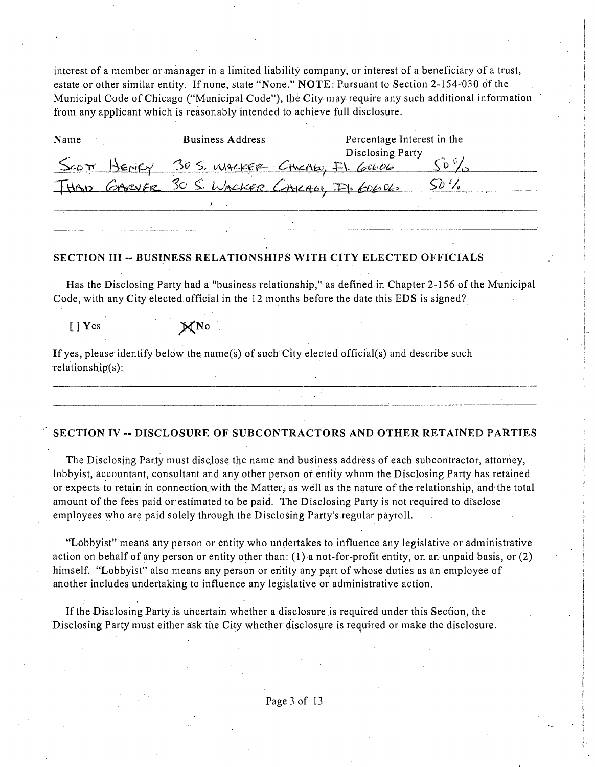interest of a member or manager in a limited liability company, or interest of a beneficiary of a trust, estate or other similar entity. If none, state "None,"  $NOTE$ : Pursuant to Section 2-154-030 of the Municipal Code of Chicago ("Municipal Code"), the City may require any such additional information from any applicant which is reasonably intended to achieve full disclosure.

| Name                   |            | <b>Business Address</b>                   | Percentage Interest in the |  |
|------------------------|------------|-------------------------------------------|----------------------------|--|
|                        |            |                                           | Disclosing Party           |  |
| $\mathcal{S}$ co $\pi$ | $H$ $ENCY$ | 30 S. WALKER CHICAEO, FI 60606            |                            |  |
|                        |            | THAD GARVER 30 S. WACKER CACAGO, FI-60606 |                            |  |
|                        |            |                                           |                            |  |

### **SECTION III - BUSINESS RELATIONSHIPS WITH CITY ELECTED OFFICIALS**

Has the Disclosing Party had a "business relationship," as defined in Chapter 2-156 of the Municipal Code, with any City elected official in the 12 months before the date this EDS is signed?

 $[$   $]$  Yes  $\mathbb{X}^{\mathbb{N}}$ o .

If yes, please identify below the name(s) of such City elected official(s) and describe such  $relationship(s)$ :

#### **SECTION IV - DISCLOSURE OF SUBCONTRACTORS AND OTHER RETAINED PARTIES**

The Disclosing Party must.disclose the name and business address of each subcontractor, attorney, lobbyist, accountant, consultant and any other person or entity whom the Disclosing Party has retained or expects to retain in connection with the Matter, as well as the nature of the relationship, and the total amount of the fees paid or estimated to be paid. The Disclosing Party is not required to disclose employees who are paid solely through the Disclosing Party's regular payroll.

"Lobbyist" means any person or entity who undertakes to influence any legislative or administrative action on behalf of any person or entity other than: (1) a not-for-profit entity, on an unpaid basis, or (2) himself. "Lobbyist" also means any person or entity any part of whose duties as an employee of another includes undertaking to influence any legislative or administrative action.

If the Disclosing Party is uncertain whether a disclosure is required under this Secfion, the Disclosing Party must either ask tiie City whether disclosure is required or make the disclosure.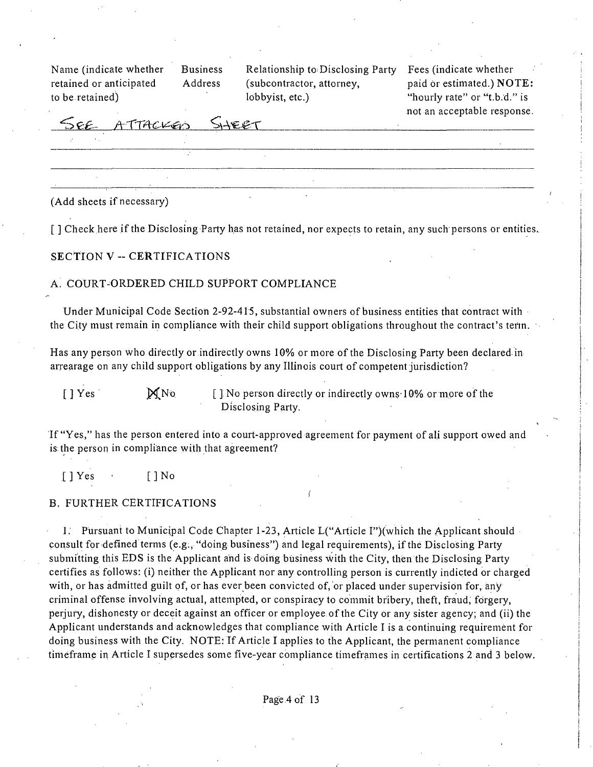to be retained) lobbyist, etc.) The mode of the extractional telectricity is to be retained in the local value of the extraction of the extraction of the extraction of the extraction of the extraction of the extraction of

**Name (indicate whether Business Relationship to Disclosing Party Fees (indicate whether retained or anticipated Address (subcontractor, attorney, paid or estimated.) NOTE:** 

not an acceptable response.

SEE *AXincu^-^ ^sA'^.^X* 

(Add sheets if necessary)

**[ ] Check here ifthe Disclosing Party has not retained, nor expects to retain, any such persons or entities.** 

### **SECTION V - CERTIFICATIONS**

#### <sup>A</sup> ; COURT-ORDERED CHILD SUPPORT COMPLIANCE

Under Municipal Code Section 2-92-415, substantial owners of business entities that contract with the City must remain in compliance with their child support obligations throughout the contract's term.

Has any person who directly or indirectly owns 10% or more of the Disclosing Party been declared in arrearage on any child support obligations by any Illinois court of competent jurisdiction?

 $[ ]$  Yes  $M_N$ <sup>No</sup> [ ] No person directly or indirectly owns-10% or more of the Disclosing Party.

If "Yes," has the person entered into a court-approved agreement for payment of ali support owed and is the person in compliance with that agreement?

[JYes • [JNo

#### B. FURTHER CERTIFICATIONS

1. Pursuant to Municipal Code Chapter 1-23, Article L("Arficle I")(which the Applicant should consult for defined terms (e.g., "doing business") and legal requirements), if the Disclosing Party submitting this EDS is the Applicant and is doing business with the City, then the Disclosing Party certifies as follows: (i) neither the Applicant nor any controlling person is currently indicted or charged with, or has admitted guilt of, or has ever been convicted of, or placed under supervision for, any criminal offense involving actual, attempted, or conspiracy to commit bribery, theft, fraud, forgery, perjury, dishonesty or deceit against an officer or employee of the City or any sister agency; and (ii) the AppUcant understands and acknowledges that compliance with Article I is a continuing requirement for doing business with the City. NOTE: If Article I applies to the Applicant, the permanent compliance timeframe in Article I supersedes some five-year compliance timeframes in certifications 2 and 3 below.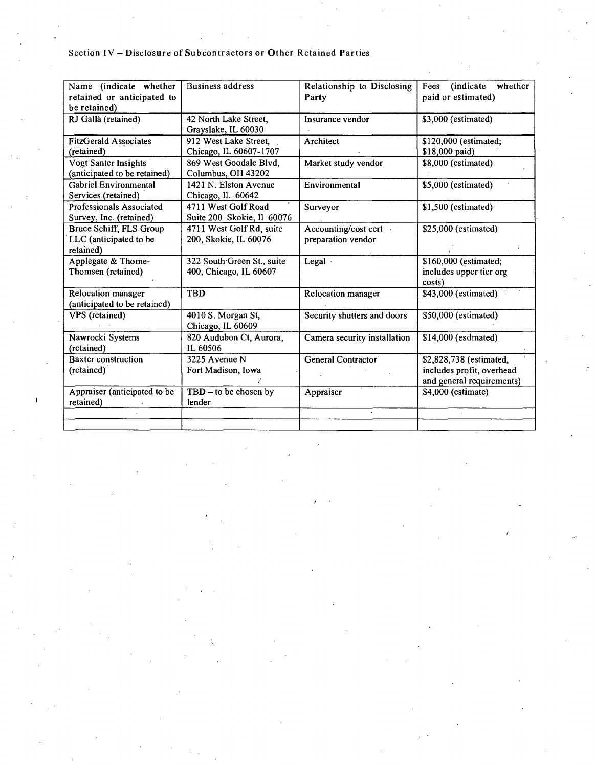# **Section IV - Disclosure of Subcontractors or Other Retained Parties**

| Name (indicate whether<br>retained or anticipated to<br>be retained) | <b>Business address</b>                              | Relationship to Disclosing<br>Party        | (indicate<br>whether<br>Fees<br>paid or estimated)                                |
|----------------------------------------------------------------------|------------------------------------------------------|--------------------------------------------|-----------------------------------------------------------------------------------|
| RJ Galla (retained)                                                  | 42 North Lake Street,<br>Grayslake, IL 60030         | Insurance vendor                           | \$3,000 (estimated)                                                               |
| <b>FitzGerald Associates</b><br>(retained)                           | 912 West Lake Street,<br>Chicago, IL 60607-1707      | Architect                                  | \$120,000 (estimated;<br>\$18,000 paid)                                           |
| Vogt Santer Insights<br>(anticipated to be retained)                 | 869 West Goodale Blvd,<br>Columbus, OH 43202         | Market study vendor                        | \$8,000 (estimated)                                                               |
| <b>Gabriel Environmental</b><br>Services (retained)                  | 1421 N. Elston Avenue<br>Chicago, 11. 60642          | Environmental                              | \$5,000 (estimated)                                                               |
| Professionals Associated<br>Survey, Inc. (retained)                  | 4711 West Golf Road<br>Suite 200 Skokie, 11 60076    | Surveyor                                   | \$1,500 (estimated)                                                               |
| Bruce Schiff, FLS Group<br>LLC (anticipated to be<br>retained)       | 4711 West Golf Rd, suite<br>200, Skokie, IL 60076    | Accounting/cost cert<br>preparation vendor | \$25,000 (estimated)                                                              |
| Applegate & Thome-<br>Thomsen (retained)                             | 322 South Green St., suite<br>400; Chicago, IL 60607 | Legal .                                    | \$160,000 (estimated;<br>includes upper tier org<br>costs)                        |
| Relocation manager<br>(anticipated to be retained)                   | <b>TBD</b>                                           | Relocation manager                         | \$43,000 (estimated)                                                              |
| <b>VPS</b> (retained)                                                | 4010 S. Morgan St,<br>Chicago, IL 60609              | Security shutters and doors                | \$50,000 (estimated)                                                              |
| Nawrocki Systems<br>(retained)                                       | 820 Audubon Ct, Aurora,<br>IL 60506                  | Camera security installation               | \$14,000 (esdmated)                                                               |
| Baxter construction<br>(retained)                                    | 3225 Avenue N<br>Fort Madison, Iowa                  | General Contractor                         | \$2,828,738 (estimated,<br>includes profit, overhead<br>and general requirements) |
| Appraiser (anticipated to be<br>retained)                            | $TBD -$ to be chosen by<br>lender                    | Appraiser                                  | \$4,000 (estimate)                                                                |
|                                                                      |                                                      |                                            |                                                                                   |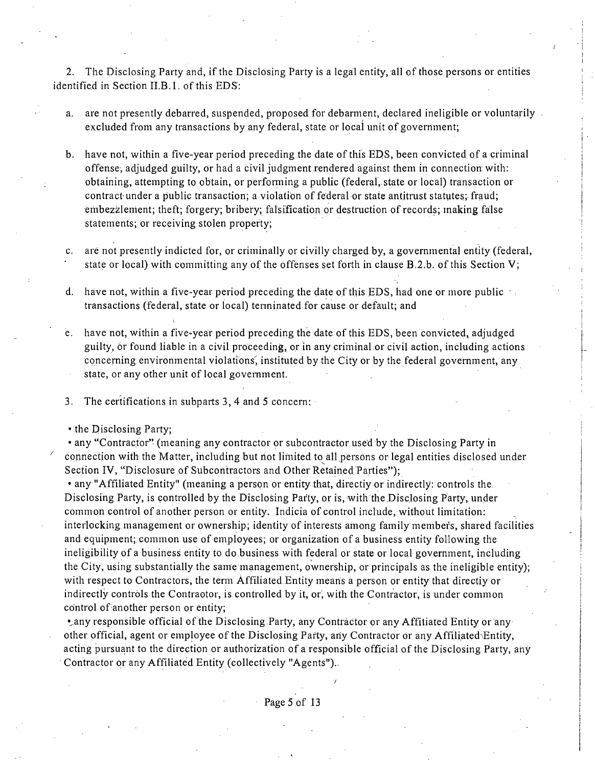2. The Disclosing Party and, if the Disclosing Party is a legal entity, all of those persons or entities identified in Section II.B. 1. of this EDS:

- a. are not presently debarred, suspended, proposed for debarment, declared ineligible or voluntarily excluded from any transactions by any federal, state or local unit of government;
- b. have not, within a five-year period preceding the date of this EDS, been convicted of a criminal offense, adjudged guilty. Or had a civil judgment rendered against them in connection with: obtaining, attempting to obtain, or performing a public (federal, state or local) transaction or contract-under a public transaction; a violation of federal or state antitrust statutes; fraud; embezzlement; theft; forgery; bribery; falsification or destruction of records; inaking false statements; or receiving stolen property;
- c. are not presently indicted for, or criminally or civilly charged by, a govemmental entity (federal, state or local) with committing any of the offenses set forth in clause  $B.2.b.$  of this Section V;
- d. have not, within a five-year period preceding the date of this EDS, had one or more public  $\cdot$ . transactions (federal, state or local) tenninated for cause or default; and
- e. have not, within a five-year period preceding the date of this EDS, been convicted, adjudged guilty, or found liable in a civil proceeding, or in any criminal or civil action, including actions concerning environmental violations, instituted by the City or by the federal government, any state, or any other unit of local government.
- 3. The certifications in subparts 3, 4 and 5 concern:
- the Disclosing Party;

• any "Contractor" (meaning any contractor or subcontractor used by the Disclosing Party in connection with the Matter, including but riot limited to all persons or legal entities disclosed under Section IV, "Disclosure of Subcontractors and Other Retained Parties");

• any "Affiliated Entity" (meaning a person or entity that, directiy or indirectly: controls the Disclosing Party, is controlled by the Disclosing Party, or is, with the Disclosing Party, under common control of another person or entity. Indicia of control include, without limitation: interlocking management or ownership; identity of interests among family members, shared facilities and equipment; common use of employees; or organization of a business entity following the ineligibility of a business entity to do business with federal or state or local govemment, including the City, using substantially the same management, ownership, or principals as the ineligible entity); with respect to Contractors, the term Affiliated Entity means a person or entity that directiy or indirectly controls the Contraotor, is controlled by it, or, with the Contractor, is under common control of another person or entity;

• any responsible official of the Disclosing Party, any Contractor or any Affitiated Entity or any other official, agent or employee of the Disclosing Party, any Contractor or any Affiliated^Entity, acting pursuant to the direction or authorization of a responsible official of the Disclosing Party, any Contractor or any Affiliated Enfity (collectively "Agents")..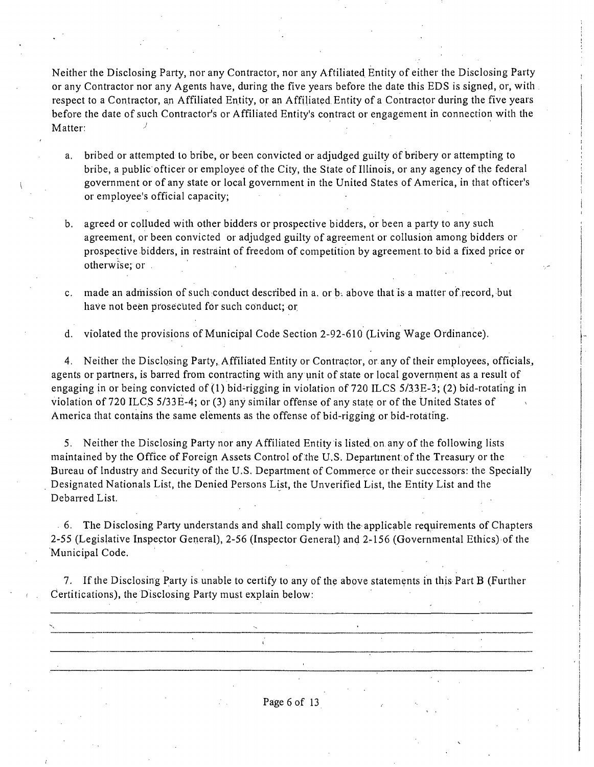Neither the Disclosing Party, nor any Contractor, nor any Affiliated. Entity of either the Disclosing Party or any Contractor nor any Agents have, during the five years before the date this EDS is signed, or, with respect to a Contractor, an Affiliated Entity, or an Affiliated, Enfity of a Contractor during the five years before the date of such Contractor's or Affiliated Enfity's contract or engagement in connection with the Matter:

- a. bribed or attempted lo bribe, or been convicted or adjudged guilty df bribery or attempting to bribe, a public officer or employee of the City, the State of Illinois, or any agency of the federal government or of any state or local government in the United States of America, in that officer's or employee's official capacity;
- b. agreed or colluded with other bidders or prospective bidders, or been a party to any such agreement, or been convicted or adjudged guilty of agreement or collusion among bidders or prospective bidders, in restraint of freedom of competition by agreement to bid a fixed price or otherwise; or -
- c. made an adihission of such conduct described in a. or b. above that is a matter of record, but have not been prosecuted for such conduct; or

d. violated the provisions of Municipal Code Section 2-92-610 (Living Wage Ordinance).

4. Neither the Disclosing Party, Affiliated Enfity or Contractor, or any of their employees, officials, agents or partners, is barred from contracting with any unit of state or local government as a result of engaging in or being convicted of  $(1)$  bid-rigging in violation of 720 ILCS 5/33E-3; (2) bid-rotating in violation of 720 ILCS 5/33E-4; or (3) any similar offense pf any state or of the United States of America that contains the same elements as the offense of bid-rigging or bid-rotating.

5. Neither the Disclosing Party nor any Affiliated Entity is listed on any of the following lists maintained by the Office of Foreign Assets Control of the U.S. Departinent: of the Treasury or the Bureau of Industry and Security of the U.S. Department of Commerce or their successors: the Specially Designated Nationals List, the Denied Persons List, the Unverified List, the Entity List and the Debarred List.

6. The Disclosing Party understands and shall comply with the applicable requirements of Chapters 2-55 (Legislative Inspector General), 2-56 (Inspector General) and 2-156 (Governmental Ethics) of the Municipal Code.

7. If the Disclosing Party is unable to certify to any of the above statements in this Part B (Further Certitications), the Disclosing Party must explain below:

 $\frac{1}{4}$ 

Page 6 of 13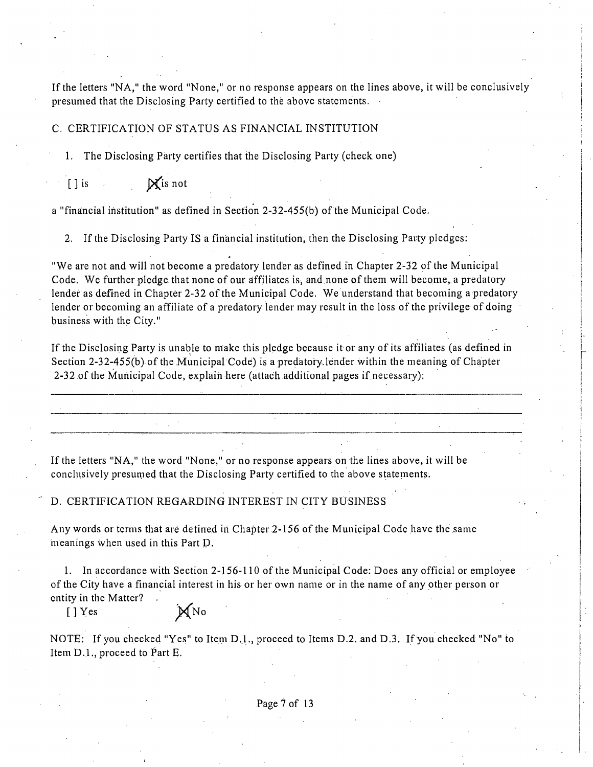If the letters "NA," the word "None," or no response appears on the lines above, it will be conclusively presumed that the Disclosing Party certified to the above statements.

### C. CERTIFICATION OF STATUS AS FINANCIAL INSTITUTION

1. The Disclosing Party certifies that the Disclosing Party (check one)

 $[ ]$  is  $\mathbb{X}$  is not

a "financial insfitution" as defined in Secfion 2-32-455(b) of the Municipal Code.

2. If the Disclosing Party IS a financial institution, then the Disclosing Party pledges:

"We are not and will not become a predatory lender as defined in Chapter 2-32 of the Municipal Code. We further pledge that none of our affiliates is, and none of them will become, a predatory lender as defined in Chapter 2-32 of the Municipal Code. We understand that becoming a predatory lender or becoming an affiliate of a predatory lender may result in the loss of the privilege of doing business with the City."

If the Disclosing Party is unable to make this pledge because it or any of its affiliates (as defined in Section 2-32-455(b) of the Municipal Code) is a predatory lender within the meaning of Chapter 2-32 of the Municipal Code, explain here (attach additional pages if necessary):

If the letters "NA," the word "None," or no response appears on the lines above, it will be conclusively presumed that the Disclosing Party certified to the above statements.

### D. CERTIFICATION REGARDING INTEREST IN CITY BUSINESS

Any words or terms that are detined in Chapter 2-156 of the Municipal Code have the same meanings when used in this Part D-

1. In accordance with Section 2-156-110 of the Municipal Code: Does any official or employee of the City have a financial interest in his or her own name or in the name of any other person or entity in the Matter?

 $[]$  Yes  $\mathbb{X}$  No

NOTE: If you checked "Yes" to Item D.1., proceed to Items D.2. and D.3. If you checked "No" to Item D.L, proceed to Part E.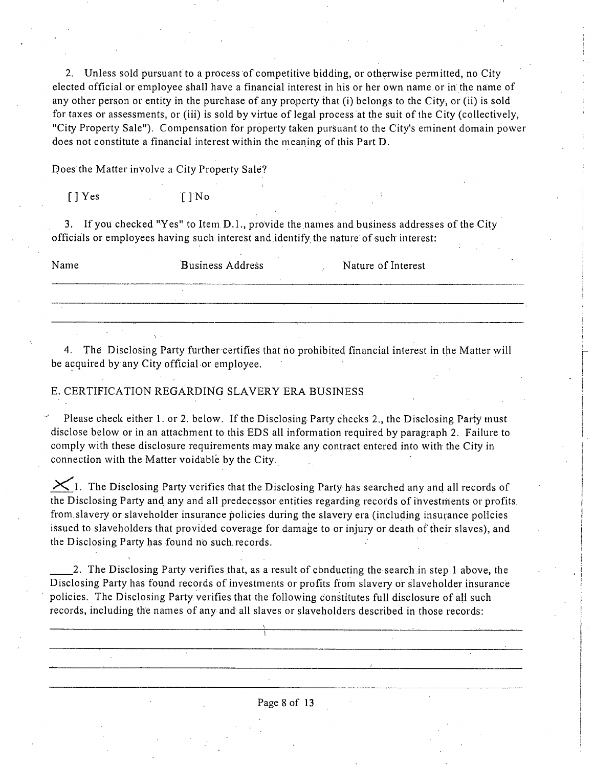2. Unless sold pursuant to a process of competitive bidding, or otherwise permitted, no City elected official or employee shall have a financial interest in his or her own name or in the name of any other person or entity in the purchase of any property that (i) belongs to the City, or (ii) is sold for taxes or assessments, or (iii) is sold by virtue of legal process at the suit of the City (collectively, "City Property Sale"). Compensation for property taken pursuant to the City's eminent domain power does not constitute a financial interest within the meaning of this Part D.

Does the Matter involve a City Property Sale?

[] Yes [] No

3. If you checked "Yes" to Item D.l. , provide the names and business addresses of the City officials or employees having such interest and .identify the nature of such interest:

| Name | <b>Business Address</b> | Nature of Interest |  |  |
|------|-------------------------|--------------------|--|--|
|      |                         |                    |  |  |
|      |                         |                    |  |  |

4. The Disclosing Party further certifies that no prohibited financial interest in the Matter will be acquired by any City official or employee.

### E. CERTIFICATION REGARDING SLAVERY ERA BUSINESS

Please check either 1. or 2. below. If the Disclosing Party checks 2., the Disclosing Party inust disclose below or in an attachment to this EDS all information required by paragraph 2. Failure to comply with these disclosure requirements may make any contract entered into with the City in connection with the Matter voidable by the City.

 $K_1$ . The Disclosing Party verifies that the Disclosing Party has searched any and all records of the Disclosing Party and any and all predecessor entities regarding records of investments or profits from slavery or slaveholder insurance policies during the slavery era (including insurance policies issued to slaveholders that provided coverage for damage to or injury or death of their slaves), and the Disclosing Party has found no such, records.

2. The Disclosing Party verifies that, as a result of conducting the search in step 1 above, the Disclosing Party has found records of investments or profits from slavery or slaveholder insurance policies. The Disclosing Party verifies that the following constitutes full disclosure of all such records, including the names of any and all slaves or slaveholders described in those records: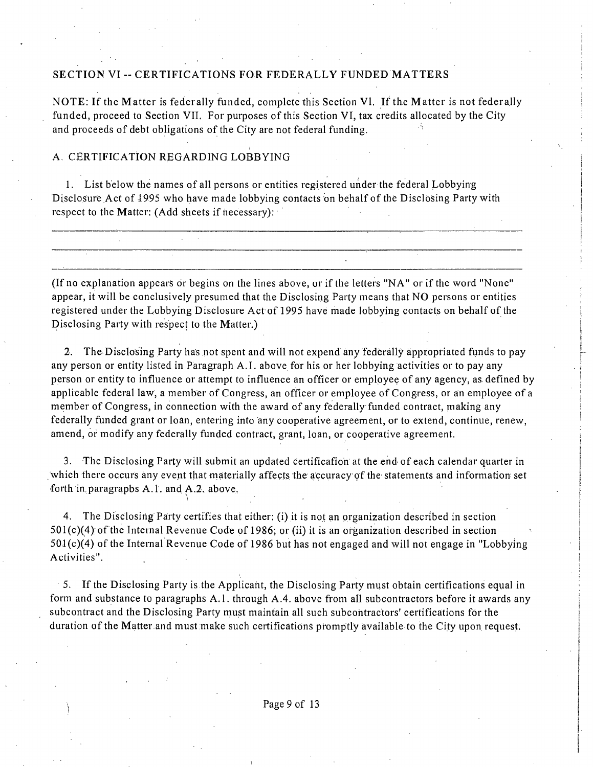### **SECTION VI - CERTIFICATIONS FOR FEDERALLY FUNDED MATTERS**

NOTE: If the Matter is federally funded, complete this Section Vl. If the Matter is not federally funded, proceed to Section VII, For purposes of this Section VI, tax credits allocated by the City and proceeds of debt obligations of the City are not federal funding.

### A. CERTIFICATION REGARDING LOBBYING

1. List below the names of all persons or entities registered under the federal Lobbying Disclosure Act of 1995 who have made lobbying contacts on behalf of the Disclosing Party with respect to the Matter: (Add sheets if necessary):

(If no explanation appears or begins on the lines above, or if the letters "NA" or ifthe word "None" appear, it will be conclusively presumed that the Disclosing Party means that NO persons or entities registered under the Lobbying Disclosure Act of 1995 have made lobbying contacts on behalf of the Disclosing Party with respect to the Matter.)

2. The Disclosing Party has not spent and will not expend any federally appropriated funds to pay any person or entity listed in Paragraph A.I. above for his or her lobbying activities or to pay any person or entity to influence or attempt to influence an officer or employee of any agency, as. defined by applicable federal law, a member of Congress, an officer or employee of Congress, or an employee of a member of Congress, in connection with the award of any federally funded contract, making any federally funded grant or loan, entering into any cooperative agreement, or to extend, continue, renew, amend, or modify any federally funded contract, grant, loan, or cooperative agreement.

3. The Disclosing Party will submit an updated certificafion at the end of each calendar quarter in which there occurs any event that materially affects the accuracy of the statements and information set forth in paragraphs A.1. and A.2. above.

4. The Disclosing Party certifies that either: (i) it is not an organization described in section  $501(c)(4)$  of the Internal Revenue Code of 1986; or (ii) it is an organization described in section  $501(c)(4)$  of the Internal Revenue Code of 1986 but has not engaged and will not engage in "Lobbying Activities".

5. If the Disclosing Party is the Applicant, the Disclosing Party must obtain certifications equal in form and substance to paragraphs A.1. through A.4. above from all subcontractors before it awards any subcontract and the Disclosing Party must maintain all such subcontractors' cerfifications for the duration of the Matter and must make such certifications promptly available to the City upon request.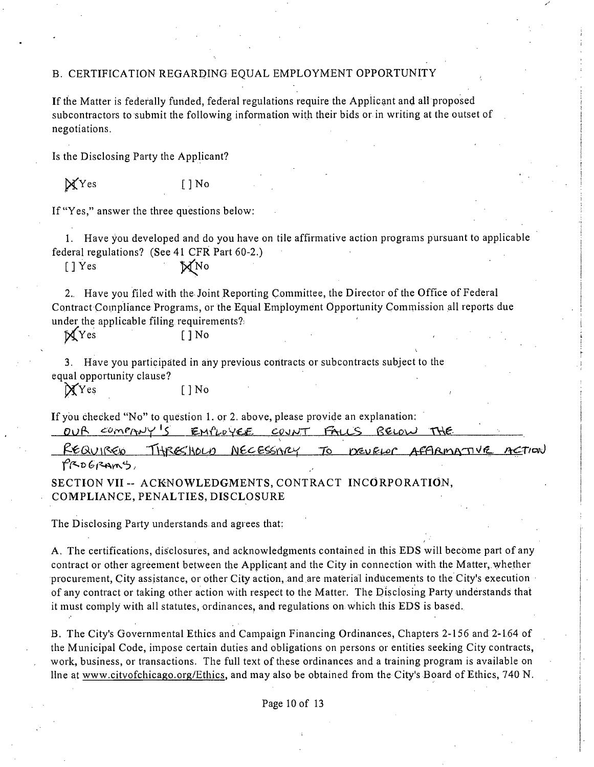## B. CERTIFICATION REGARDING EQUAL EMPLOYMENT OPPORTUNITY

If the Matter is federally funded, federal regulations require the Applicant and all proposed subcontractors to submit the following information with their bids or in writing at the outset of negotiations.

Is the Disclosing Party the Applicant?

 $\mathcal{X}$ Yes I ] No

If "Yes," answer the three questions below:

*1. Have you developed and do you have on file affirmative action programs pursuant to applicable federal regulafions? (See 41 CFR Part60-2.)* 

*[JYes "p^No* 

2.. Have you filed with the Joint Reporting Committee, the Director of the Office of Federal Contract Compliance Programs, or the Equal Employment Opportunity Commission all reports due under the applicable filing requirements?

 $\mathbb{X}$  Yes []No

3. Have you participated in any previous contracts or subcontracts subject to the equal opportunity clause?

P(YQ S []No

If you checked "No" to question 1. or 2. above, please provide an explanation:<br> $QVR = \frac{COMPMV}{S} = EMLQVCE = CQVVT$ 

REQUIRED THRESHOLD NECESSARY TO DEVELOR AFFIRMATIVE ACTION PROGRAMS,

**SECTION VII - ACKNOWLEDGMENTS, CONTRACT INCORPORATION, COMPLIANCE, PENALTIES, DISCLOSURE** 

The Disclosing Party understands and agrees that:

A. The certifications, disclosures, and acknowledgments contained in this EDS will become part of any contract or other agreement between the Applicant and the City in connection with the Matter, whether procurement. City assistance, or other City action, and are material inducements to the City's execution of any contract or taking other action with respect to the Matter. The Disclosing Party understands that it must comply with all statutes, ordinances, and regulations on which this EDS is based.

B. The City's Governmental Ethics and Campaign Financing Ordinances, Chapters 2-156 and 2-164 of the Municipal Code, impose certain duties and obligations on persons or entities seeking City contracts, work, business, or transactions. The full text of these ordinances and a training program is available on Une at www.citvofchicago.org/Ethics, and may also be obtained from the City's Board of Ethics, 740 N .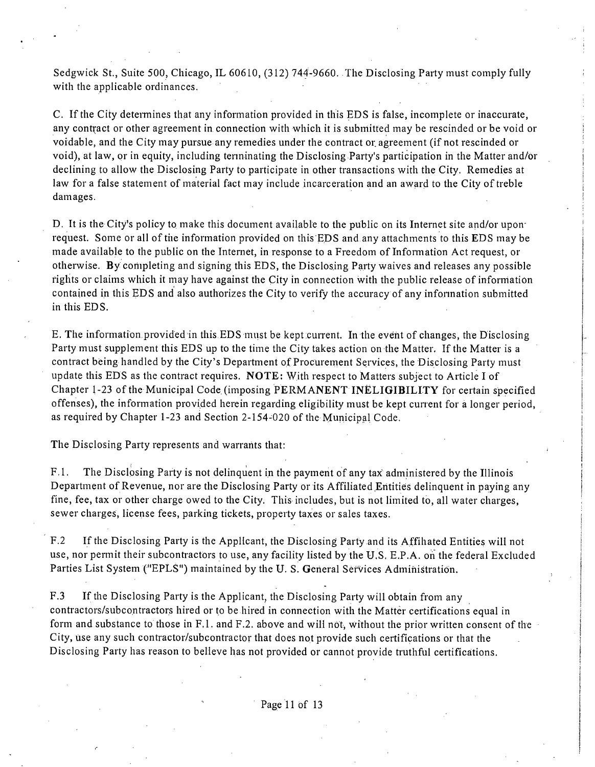Sedgwick St., Suite 500, Chicago, IL 60610, (312) 744-9660. The Disclosing Party must comply fully with the applicable ordinances,

C. If the City determines that any information provided in this EDS is false, incomplete or inaccurate, any contract or other agreement in connection with which it is submitted may be rescinded or be void or voidable, and the City may pursue any remedies under the contract or. agreement (if not rescinded or void), at law, or in equity, including tenninating the Disclosing Party's participation in the Matter and/Or declining to allow the Disclosing Party to participate in other transactions with the City, Remedies at law for a false statement of material fact may include incarceration and an award to the City of treble damages.

D. It is the City's policy to make this document available to the public on its Internet site and/or uponrequest. Some or all of the information provided on this EDS and any attachments to this EDS may be made available to the public on the Intemet, in response to a Freedom of Information Act request, or otherwise. By completing and signing this EDS, the Disclosing Party waives and releases any possible rights or claims which it may have against the City in connection with the public release of information contained in this EDS and also authorizes the City to verify the accuracy of any infonnation submitted in this EDS.

E. The information provided in this EDS must be kept current. In the event of changes, the Disclosing Party must supplement this EDS up to the time the City takes action on the Matter. If the Matter is a contract being handled by the City's Department of Procurement Services, the Disclosing Party must update this EDS as the contract requires, NOTE: With respect to Matters subject to Article I of Chapter 1-23 of the Municipal Code (imposing PERMANENT INELIGIBILITY for certain specified offenses), the information provided herein regarding eligibility must be kept current for a longer period, as required by Chapter 1-23 and Section 2-154-020 of the Municipal Code.

The Disclosing Party represents and warrants that:

F. 1. The Disclosing Party is not delinquent in the payment of any tax administered by the Illinois Department of Revenue, nor are the Disclosing Party or its Affiliated Entities delinquent in paying any fine, fee, tax or other charge owed to the City, This includes, but is not limited to, all water charges, sewer charges, license fees, parking tickets, property taxes or sales taxes.

F.2 If the Disclosing Party is the Applicant, the Disclosing Party and its Affihated Entities will not use, nor permit their subcontractors to use, any facility listed by the U.S. E.P.A. on the federal Excluded Parties List System ("EPLS") maintained by the U. S. General Services Administration.

F.3 If the Disclosing Party is the Applicant, the Disclosing Party will obtain from any contractors/subcontractors hired or to be hired in connection with the Matter certifications equal in form and substance to those in F.1. and F.2. above and will not, without the prior written consent of the City, use any such contractor/subcontractor that does not provide such certifications or that the Disclosing Party has reason to belleve has not provided or cannot provide truthful certifications.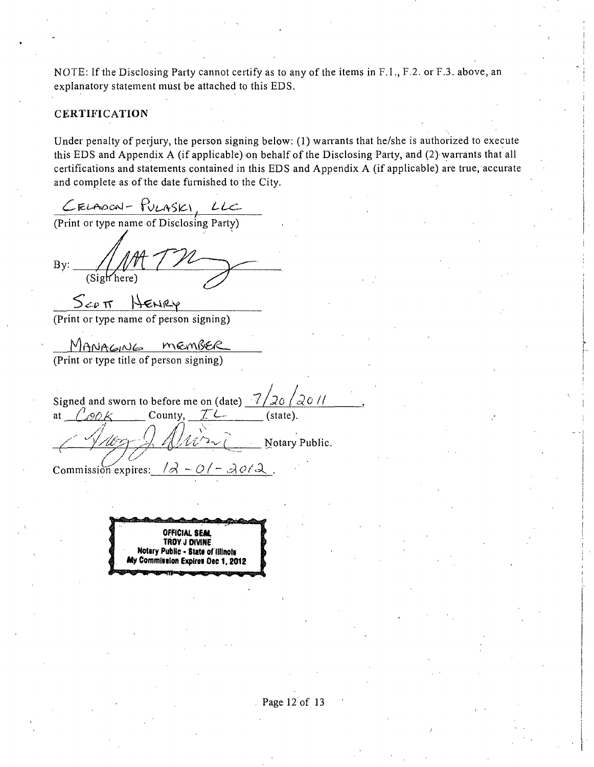NOTE: If the Disclosing Party cannot certify as to any of the items in F.1., F.2. or F.3. above, an explanatory statement must be attached to this EDS.

### CERTIFICATION

Under penalty of perjury, the person signing below: (1) warrants that he/she is authorized to execute this EDS and Appendix A (if applicable) on behalf ofthe Disclosing Party, and (2) warrants that all certifications and statements contained in this EDS and Appendix A (if applicable) are true, accurate and complete as of the date furnished to the City.

 $\mathcal L$  FLAOON -  $\mathsf{TV}$ LASKI, LLC

(Print or type name of Disclosing Party)

 $By:$ (Sigh here)

 $S_{\text{CPI}}$  HENRY<br>(Print or type name of person signing)

MANAGNG MEMBER<br>(Print or type title of person signing)

Signed and sworn to before me on (date)  $\frac{7}{20}$   $\frac{20}{10}$  at  $\frac{7}{20}$   $\frac{6}{10}$ . at  $\int \rho \rho \, k$ 1 Notary PubUc. Commission expires:  $\frac{1}{2} - \frac{\partial}{\partial z} - \frac{\partial}{\partial \alpha}$ 

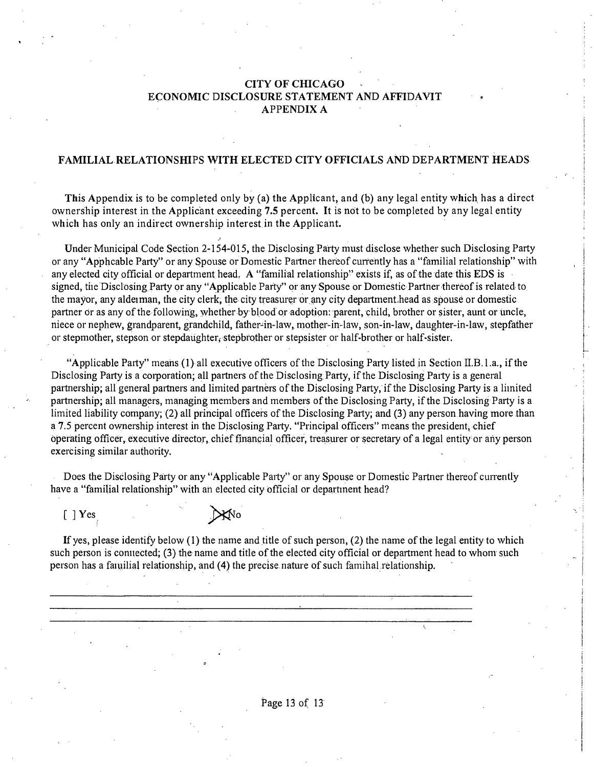### **CITYOFCHICAGO ECONOMIC DISCLOSURE STATEMENT AND AFFIDAVIT APPENDIXA**

#### **FAMILIAL RELATIONSHIPS WITH ELECTED CITY OFFICIALS AND DEPARTMENT HEADS**

**This Appendix is to be completed only by (a) the Applicant, and (b) any legal entity which has a direct ownership interest in the Applicant exceeding 7.5 percent. It is not to be completed by any legal entity which has only an indirect ownership interest in the Applicant.** 

Under Municipal Code Section 2-154-015, the Disclosing Party must disclose whether such Disclosing Party or any "Apphcable Party" or any Spouse or Domestic Partner thereof currently has a "familial relationship" with any elected city official or department head. A "familial relationship" exists if, as of the date this EDS is signed, tiie Disclosing Party or any "Applicable Party" or any Spouse or Domestic Partner thereof is related to the mayor, any aldeiman, the city clerk, the city treasurer or any city departmenf head as spouse or domestic partner or as any of the following, whether by blood or adoption: parent, child, brother or sister, aunt or uncle, niece or nephew, grandparent, grandchild, father-in-law, mother-in-law, son-in-law, daughter-in-law, stepfather or stepmother, stepson or stepdaughter, stepbrother or stepsister or half-brother or half-sister.

"Applicable Party" means (1) all executive officers of the Disclosing Party listed in Section  $II.B.1.a.,$  if the Disclosing Party is a corporation; all partners of the Disclosing Party, if the Disclosing Party is a general partnership; all general partners and limited partners of the Disclosing Party, if the Disclosing Party is a liinited partnership; all managers, managing members and members of the Disclosing Party, if the Disclosing Party is a limited liability company; (2) all principal officers of the Disclosing Party; and (3) any person having more than a 7.5 percent ownership interest in the Disclosing Party. "Principal officers" means the president, chief operating officer, executive director, chief financial officer, treasurer or secretary of a legal entity or any person exercising similar authority.

Does the Disclosing Party or any "Applicable Party" or any Spouse or Domestic Partner thereof currently have a "familial relationship" with an elected city official or department head?

 $[$  | Yes

If yes, please identify below (1) the name and title of such person, (2) the name of the legal entity to which such person is connected; (3) the name and title of the elected city official or department head to whom such person has a faiuilial relationship, and (4) the precise nature of such famihal relationship.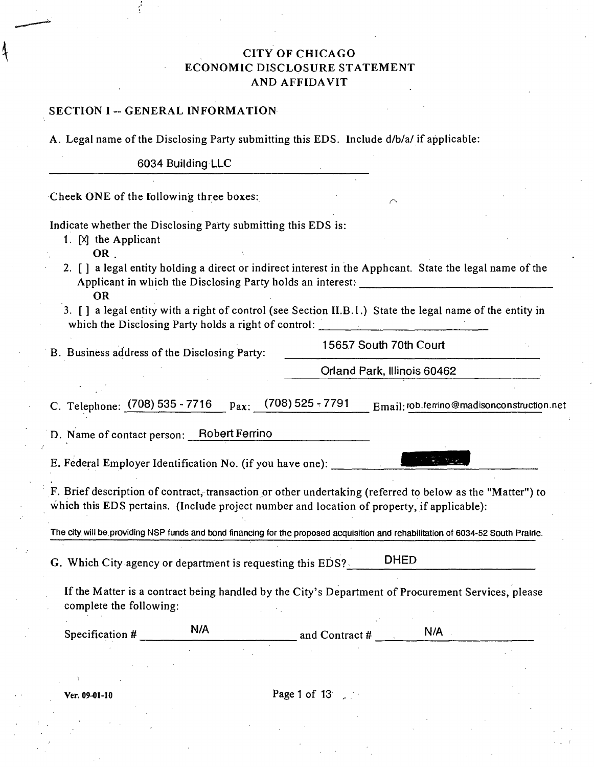# CITY OF CHICAGO ECONOMIC DISCLOSURE STATEMENT AND AFFIDAVIT

### SECTION I -- GENERAL INFORMATION

A. Legal name of the Disclosing Party submitting this EDS. Include d/b/a/ if applicable:

6034 Building LLC

Cheek ONE of the following three boxes:

Indicate whether the Disclosing Party submitting this EDS is:

1. [Xj the Applicant

OR .

- 2. [ ] a legal entity holding a direct or indirect interest in the Apphcant. State the legal name of the Applicant in which the Disclosing Party holds an interest: OR
- 3. [J a legal entity with a right of control (see Section II.B.l.) State the legal name of the entity in which the Disclosing Party holds a right of control:

B. Business address of the Disclosing Party:

15657 South 70th Court

Orland Park, Illinois 60462

C. Telephone: (708) 535 - 7716  $p_{ax}:$  (708) 525 - 7791  $E_{mail}:$ rob.ferrino@madisonconstruction.net

D. Name of contact person: Robert Ferrino

E. Federal Employer Identification No. (if you have one):

F. Brief description of contract, transaction or other undertaking (referred to below as the "Matter") to which this EDS pertains. (Include project number and location of property, if applicable):

The city will be providing NSP funds and bond financing for the proposed acquisition and rehabilitation of 6034-52 South Prairie.

G. Which City agency or department is requesting this EDS? DHED

If the Matter is a contract being handled by the City's Department of Procurement Services, please complete the following:

Specification  $#$   $N/A$  and Contract  $#$   $N/A$ 

 $\Gamma$  Ver. 09-01-10 **Page 1 of 13**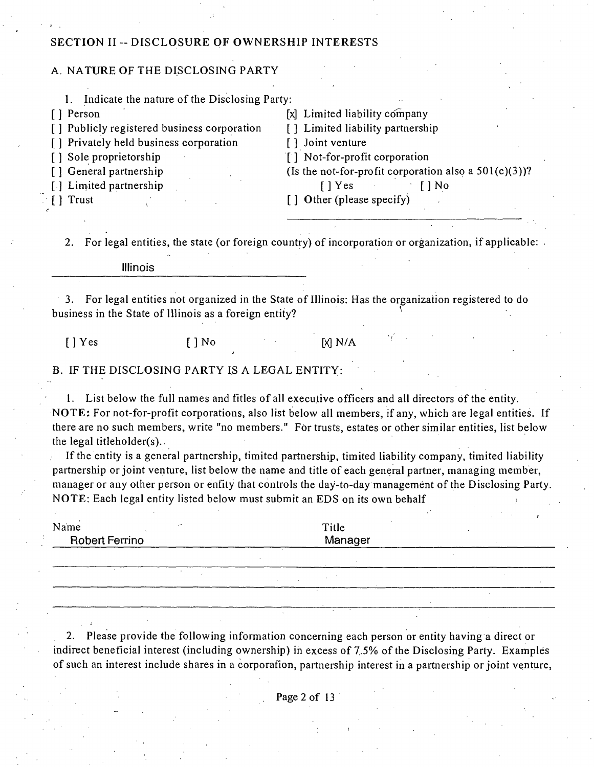### SECTION II -- DISCLOSURE OF OWNERSHIP INTERESTS

### A. NATURE OF THE DISCLOSING PARTY

1. Indicate the nature of the Disclosing Party:

- [] Person [x] Limited liability company<br>
[] Publicly registered business corporation [] Limited liability partnership [ ] Publicly registered business corporation [ ] Limited liabil<br>
[ ] Privately held business corporation [ ] Joint venture
- [ ] Privately held business corporation <br>[ ] Sole proprietorship
- 
- 
- [ ] Limited partnership [ ] Trust
- 

- 
- 
- [ ] Sole proprietorship [ ] Not-for-profit corporation [ ] General partnership ( Is the not-for-profit corporation (Is the not-for-profit corporation also a  $501(c)(3)$ )?<br>[] Yes [] No

 $[ ]$  Other (please specify)

2. For legal entities, the state (or foreign country) of incorporation or organization, if applicable:

Illinois

3. For legal entities not organized in the State of Illinois: Has the organization registered to do business in the State of Illinois as a foreign entity?

[ ] Yes [ ] No [X] N/A

### B. IF THE DISCLOSING PARTY IS A LEGAL ENTITY:

1. List below the full names and fitles of all execufive officers and all directors of the enfity. NOTE: For not-for-profit corporations, also list below all members, if any, which are legal entities. If there are no such members, write "no members." For trusts, estates or other similar entities, list below the legal titleholder(s).

If the entity is a general partnership, timited partnership, timited liability company, timited liability partnership or joint venture, list below the name and title of each general partner, managing member, manager or any other person or enfity that controls the day-to-day management of the Disclosing Party. NOTE: Each legal enfity listed below must submit an EDS on its own behalf ;

| Name                  | Title   |  |
|-----------------------|---------|--|
| <b>Robert Ferrino</b> | Manager |  |
|                       |         |  |

2. Please provide the following information concerning each person or entity having a direct or indirect beneficial interest (including ownership) in excess of 7.5% of the Disclosing Party. Examples of such an interest include shares in a corporafion, partnership interest in a partnership or joint venture,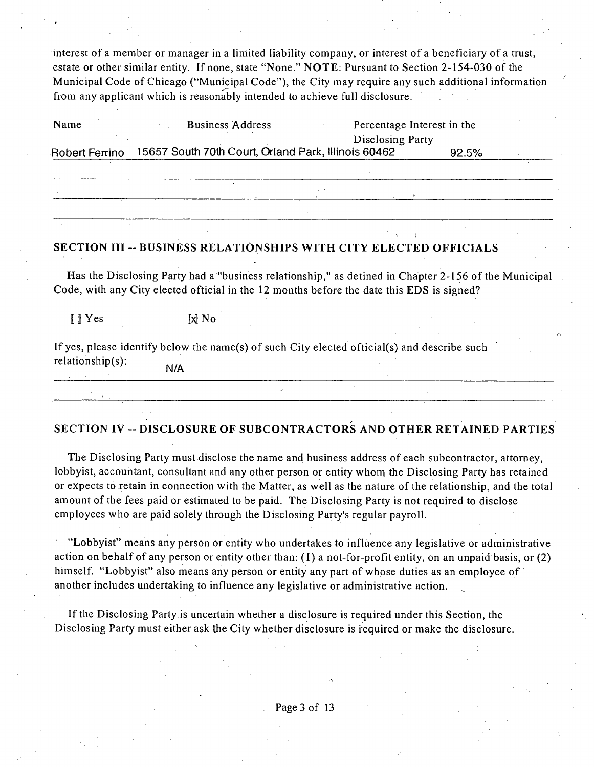interest of a member or manager in a limited liability company, or interest of a beneficiary of a trust, estate or other similar entity. If none, state "None." NOTE: Pursuant to Secfion 2-154-030 of the Municipal Code of Chicago ("Municipal Code"), the City may require any such additional information from any applicant which is reasonably intended to achieve full disclosure.

| Name           | <b>Business Address</b>                             | Percentage Interest in the<br>Disclosing Party |       |  |
|----------------|-----------------------------------------------------|------------------------------------------------|-------|--|
| Robert Ferrino | 15657 South 70th Court, Orland Park, Illinois 60462 |                                                | 92.5% |  |
|                |                                                     |                                                |       |  |
|                |                                                     |                                                |       |  |
|                |                                                     |                                                |       |  |

### **SECTION III - BUSINESS RELATIONSHIPS WITH CITY ELECTED OFFICIALS**

Has the Disclosing Party had a "business relationship," as detined in Chapter 2-156 of the Municipal Code, with any City elected official in the 12 months before the date this EDS is signed?

 $\begin{bmatrix} 1 & Y \end{bmatrix}$  Yes  $\begin{bmatrix} x \\ y \end{bmatrix}$  No

If yes, please identify below the name(s) of such City elected official(s) and describe such  $relationship(s)$ : N/A

# **SECTION IV -- DISCLOSURE OF SUBCONTRACTORS AND OTHER RETAINED PARTIES**

The Disclosing Party must disclose the name and business address of each subcontractor, attomey, lobbyist, accountant, consultant and any other person or entity whom the Disclosing Party has retained or expects to retain in connection with the Matter, as well as the nature of the relationship, and the total amount of the fees paid or estimated to be paid. The Disclosing Party is not required to disclose employees who are paid solely through the Disclosing Party's regular payroll.

"Lobbyist" means any person or entity who undertakes to influence any legislative or administrative action on behalf of any person or entity other than:  $(1)$  a not-for-profit entity, on an unpaid basis, or  $(2)$ himself. "Lobbyist" also means any person or entity any part of whose duties as an employee of another includes undertaking to influence any legislative or administrative action.

Ifthe Disclosing Party is uncertain whether a disclosure is required under this Secfion, the Disclosing Party must either ask the City whether disclosure is required or make the disclosure.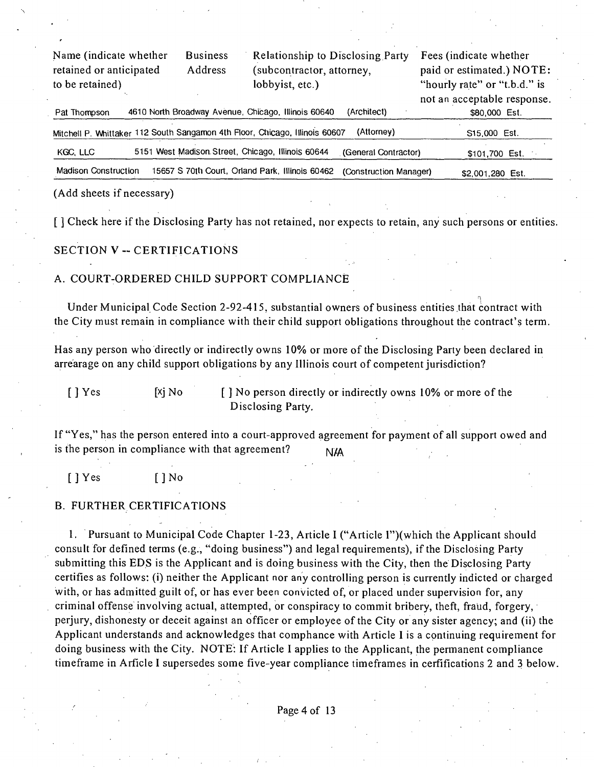| Name (indicate whether<br>retained or anticipated<br>to be retained) |  | <b>Business</b><br>Address | <b>Relationship to Disclosing Party</b><br>(subcontractor, attorney,<br>lobbyist, etc.) |                        | Fees (indicate whether<br>paid or estimated.) NOTE:<br>"hourly rate" or "t.b.d." is<br>not an acceptable response. |  |
|----------------------------------------------------------------------|--|----------------------------|-----------------------------------------------------------------------------------------|------------------------|--------------------------------------------------------------------------------------------------------------------|--|
| Pat Thompson                                                         |  |                            | 4610 North Broadway Avenue, Chicago, Illinois 60640                                     | (Architect)            | \$80,000 Est.                                                                                                      |  |
|                                                                      |  |                            | Mitchell P. Whittaker 112 South Sangamon 4th Floor, Chicago, Illinois 60607             | (Attorney)             | S <sub>15</sub> ,000 Est.                                                                                          |  |
| KGC, LLC                                                             |  |                            | 5151 West Madison Street, Chicago, Illinois 60644                                       | (General Contractor)   | $$101,700$ Est.                                                                                                    |  |
| <b>Madison Construction</b>                                          |  |                            | 15657 S 70th Court, Orland Park, Illinois 60462                                         | (Construction Manager) | \$2,001,280 Est.                                                                                                   |  |

(Add sheets if necessary)

[] Check here if the Disclosing Party has not retained, nor expects to retain, any such persons or entities.

#### **SECTION V ~ CERTIFICATIONS**

### A. COURT-ORDERED CHILD SUPPORT COMPLIANCE

Under Municipal Code Section 2-92-415, substantial owners of business entifies that contract with the City must remain in compliance with their child support obligations throughout the contract's term.

Has any person who directly or indirectly owns 10% or more of the Disclosing Party been declared in arrearage on any child support obligations by any Illinois court of competent jurisdiction?

 $[$  | Yes  $[$  | Xi No  $[$  | No person directly or indirectly owns 10% or more of the Disclosing Party.

If "Yes," has the person entered into a court-approved agreement for payment of all support owed and is the person in compliance with that agreement?  $N/A$ 

[ J Yes [ J No

### B. FURTHER CERTIFICATIONS

1. Pursuant to Municipal Code Chapter 1-23, Article I ("Article l")(which the Applicant should consult for defined terms (e.g., "doing business") and legal requirements), if the Disclosing Party submitting this EDS is the Applicant and is doing business with the City, then the Disclosing Party certifies as follows: (i) neither the Applicant nor any controlling person is currentiy indicted or charged with, or has admitted guilt of, or has ever been convicted of, or placed under supervision for, any criminal offense involving actual, attempted, or conspiracy to commit bribery, theft, fraud, forgery, perjury, dishonesty or deceit against an officer or employee of the City or any sister agency; and (ii) the Applicant understands and acknowledges that comphance with Article I is a continuing requirement for doing business with the City. NOTE: If Article I applies to the Applicant, the permanent compliance timeframe in Arficle I supersedes some five-year compliance timeframes in cerfifications 2 and 3 below.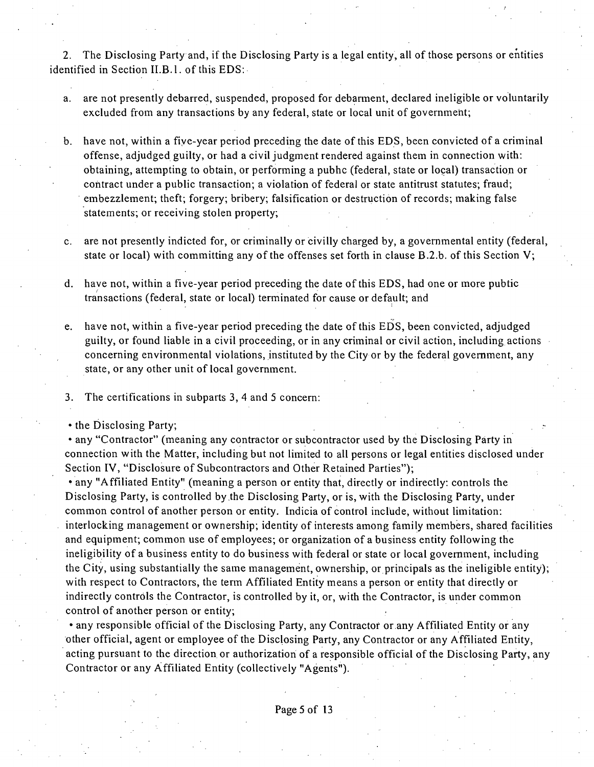2. The Disclosing Party and, if the Disclosing Party is a legal entity, all of those persons or entities identified in Section II.B.1. of this EDS:

- a. are not presently debarred, suspended, proposed for debarment, declared ineligible or voluntarily excluded from any transactions by any federal, state or local unit of government;
- b. have not, within a five-year period preceding the date of this EDS, been convicted of a criminal offense, adjudged guilty, or had a civil judgment rendered against them in connecfion with: obtaining, attempting to obtain, or performing a pubhc (federal, state or local) transaction or contract under a public transaction; a violafion of federal or state anfitrust statutes; fraud; embezzlement; theft; forgery; bribery; falsification or destruction of records; making false statements; or receiving stolen property;
- c. are not presently indicted for, or criminally or civilly charged by, a govemmental entity (federal, state or local) with committing any of the offenses set forth in clause B.2.b. of this Section V;
- d. have not, within a five-year period preceding the date of this EDS, had one or more pubfic transactions (federal, state or local) terminated for cause or default; and
- e. have not, within a five-year period preceding the date of this EDS, been convicted, adjudged guilty, or found liable in a civil proceeding, or in any criminal or civil action, including actions concerning environmental violations, instituted by the City or by the federal government, any state, or any other unit of local government.
- 3. The certifications in subparts 3, 4 and 5 concern:
- the Disclosing Party;

• any "Contractor" (meaning any contractor or subcontractor used by the Disclosing Party in connection with the Matter, including but not limited to all persons or legal entities disclosed under Section IV, "Disclosure of Subcontractors and Other Retained Parties");

• any "Affiliated Entity" (meaning a person or entity that, directly or indirectly: controls the Disclosing Party, is controlled by the Disclosing Party, or is, with the Disclosing Party, under common control of another person or entity. Indicia of control include, without limitation: interlocking management or ownership; identity of interests among family members, shared facilities and equipment; common use of employees; or organization of a business entity following the ineligibility of a business entity to do business with federal or state or local government, including the City, using substantially the same management, ownership, or principals as the ineligible entity); with respect to Contractors, the term Affiliated Entity means a person or entity that directly or indirectly controls the Contractor, is controlled by it, or, with the Contractor, is under common control of another person or entity;

• any responsible official of the Disclosing Party, any Contractor or any Affiliated Entity or any other official, agent or employee of the Disclosing Party, any Contractor or any Affiliated Enfity, acting pursuant to the direction or authorization of a responsible official of the Disclosing Party, any Contractor or any Affiliated Enfity (collectively "Agents").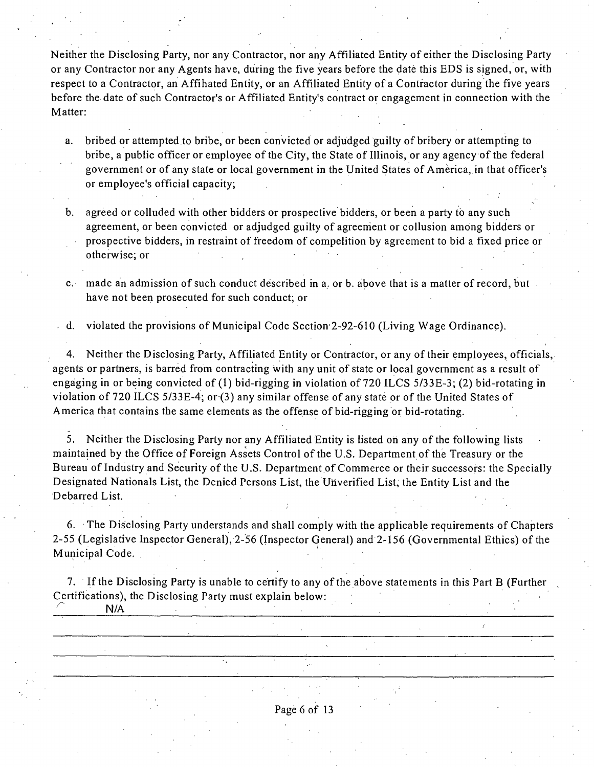Neither the Disclosing Party, nor any Contractor, nor any Affiliated Entity of either the Disclosing Party or any Contractor nor any Agents have, during the five years before the date this EDS is signed, or, with respect to a Contractor, an Affihated Entity, or an Affiliated Entity of a Contractor during the five years before the date of such Contractor's or Affiliated Entity's contract or engagement in connection with the Matter:

a. bribed or attempted to bribe, or been convicted or adjudged guilty of bribery or attempting to bribe, a public officer or employee of the City, the State of Illinois, or any agency of the federal government or of any state or local government in the United States of America, in that officer's or employee's official capacity;

b. agreed or colluded with other bidders or prospective bidders, or been a party to any such agreement, or been convicted or adjudged guilty of agreement or collusion among bidders or prospective bidders, in restiaint of freedom of compefition by agreement to bid a fixed price or otherwise; or

c. made an admission of such conduct described in a. or b. above that is a matter of record, but have not been prosecuted for such conduct; or

d. violated the provisions of Municipal Code Section-2-92-610 (Living Wage Ordinance).

4. Neither the Disclosing Party, Affiliated Entity or Contractor, or any of their employees, officials, agents or partners, is barred from contracting with any unit of state or local government as a result of engaging in or being convicted of (1) bid-rigging in violation of 720 ILCS 5/33E-3; (2) bid-rotating in violation of 720 ILCS 5/33E-4; or (3) any similar offense of any state or of the United States of America that contains the same elements as the offense of bid-rigging or bid-rotating.

5. Neither the Disclosing Party nor any Affiliated Entity is listed on any of the following lists maintained by the Office of Foreign Assets Control of the U.S. Department of the Treasury or the Bureau of Industry and Security of the U.S. Department of Commerce or their successors: the Specially Designated Nationals List, the Denied Persons List, the Uriverified List, the Entity List and the Debarred List.

6. The Disclosing Party understands and shall comply with the applicable requirements of Chapters 2-55 (Legislative Inspector General), 2-56 (Inspector General) and 2-156 (Governmental Ethics) of the Municipal Code.

7. If the Disclosing Party is unable to certify to any of the above statements in this Part B (Further Certifications), the Disclosing Party must explain below: **N/A** 

Page 6 of 13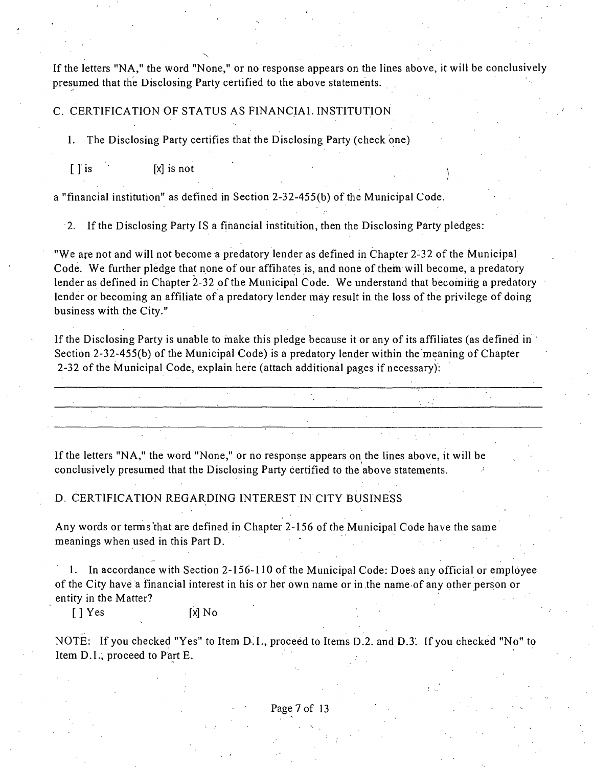If the letters "NA," the word "None," or no response appears on the lines above, it will be conclusively presumed that the Disclosing Party certified to the above statements.

C. CERTIFICATION OF STATUS AS FINANCIAL INSTITUTION

1. The Disclosing Party certifies that the Disclosing Party (check one)

 $\begin{bmatrix} \end{bmatrix}$  is not  $\begin{bmatrix} x \end{bmatrix}$  is not

a "financial institution" as defined in Section 2-32-455(b) of the Municipal Code.

2. Ifthe Disclosing Party IS a financial institution, then the Disclosing Party pledges:

"We are not and will not become a predatory lender as defined in Chapter 2-32 of the Municipal Code. We further pledge that none of our affihates is, and none of them will become, a predatory lender as defined in Chapter 2-32 of the Municipal Code. We understand that becoming a predatory lender or becoming an affiliate of a predatory lender may result in the loss of the privilege of doing business with the City."

If the Disclosing Party is unable to make this pledge because it or any of its affiliates (as defined in Section 2-32-455(b) of the Municipal Code) is a predatory lender within the meaning of Chapter 2-32 of the Municipal Code, explain here (attach additional pages if necessary):

If the letters "NA," the word "None," or no response appears on the lines above, it will be conclusively presumed that the Disclosing Party cerfified to the above statements.

D. CERTIFICATION REGARDING INTEREST IN CITY BUSINESS

Any words or terms'that are defined in Chapter 2-156 of the Municipal Code have the same meanings when used in this Part D.

1. In accordance with Section 2-156-110 of the Municipal Code: Does any official or employee of the City have a financial interest in his or her own name or in the name of any other person or entity in the Matter?

[ J Yes [X] No

NOTE: If you checked "Yes" to Item D.I., proceed to Items D.2. and D.3. If you checked "No" to Item D.L, proceed to Part E.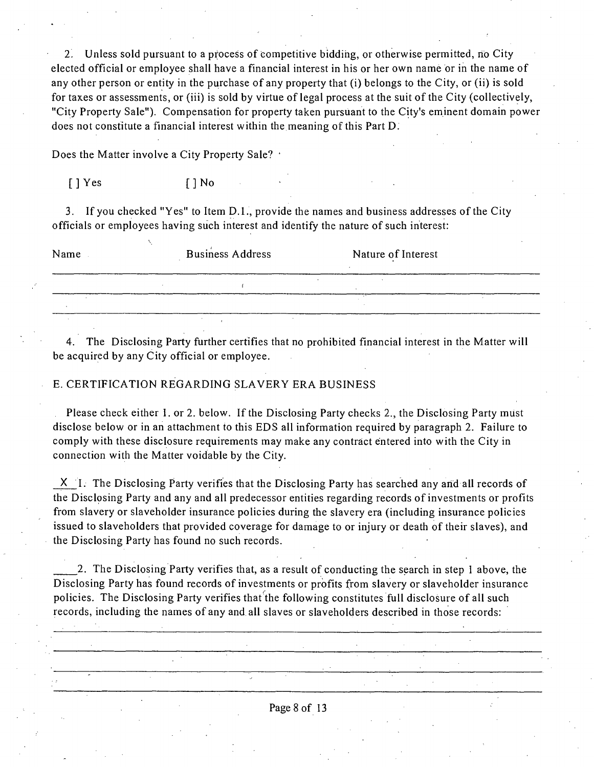2. Unless sold pursuant to a process of competitive bidding, or otherwise permitted, no City elected official or employee shall have a financial interest in his or her own name or in the name of any other person or enfity in the purchase of any property that (i) belongs to the City, or (ii) is sold for taxes or assessments, or (iii) is sold by virtue of legal process at the suit of the City (collectively, "City Property Sale"). Compensation for property taken pursuant to the City's eminent domain power does not constitute a financial interest within the meaning of this Part D.

Does the Matter involve a City Property Sale? •

[] Yes [] No

3. If you checked "Yes" to Item D.L, provide the names and business addresses of the City officials or employees having such interest and identify the nature of such interest:

| Name | <b>Business Address</b> | Nature of Interest |  |
|------|-------------------------|--------------------|--|
|      |                         |                    |  |
|      |                         |                    |  |
|      |                         |                    |  |

4. The Disclosing Party further certifies that no prohibited financial interest in the Matter will be acquired by any City official or employee.

### E. CERTIFICATION REGARDING SLAVERY ERA BUSINESS

Please check either 1. or 2. below. If the Disclosing Party checks 2., the Disclosing Party must disclose below or in an attachment to this EDS all information required by paragraph 2. Failure to comply with these disclosure requirements may make any contract entered into with the City in connection with the Matter voidable by the City.

X I. The Disclosing Party verifies that the Disclosing Party has searched any and all records of the Disclpsing Party and any and all predecessor entifies regarding records of investments or profits from slavery or slaveholder insurance policies during the slavery era (including insurance policies issued to slaveholders that provided coverage for damage to or injury or death of their slaves), and the Disclosing Party has found no such records.

2. The Disclosing Party verifies that, as a result of conducting the search in step 1 above, the Disclosing Party has found records of investments or profits from slavery or slaveholder insurance policies. The Disclosing Party verifies that the following constitutes full disclosure of all such records, including the names of any and all slaves or slaveholders described in those records: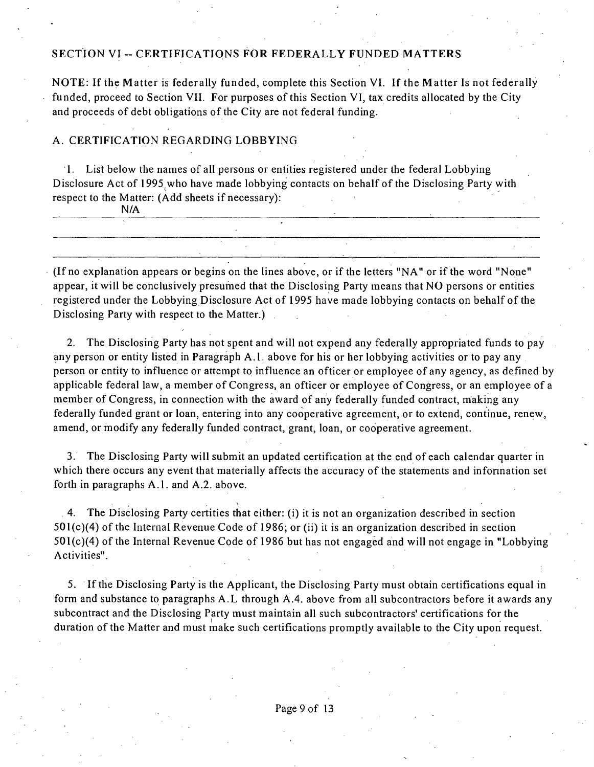### SECTION VI -- CERTIFICATIONS FOR FEDERALLY FUNDED MATTERS

**NOTE: If the Matter is federally funded, complete this Section VI. If the Matter Is not federally**  funded, proceed to Section VII. For purposes of this Section VI, tax credits allocated by the City and proceeds of debt obligations of the City are not federal funding.

### A. CERTIFICATION REGARDING LOBBYING

1. List below the names of all persons or entities registered under the federal Lobbying Disclosure Act of 1995 who have made lobbying contacts on behalf of the Disclosing Party with respect to the Matter: (Add sheets if necessary):

(If no explanation appears or begins on the lines above, or if the letters "NA" or if the word "None" appear, it will be conclusively presumed that the Disclosing Party means that NO persons or entities registered under the Lobbying Disclosure Act of 1995 have made lobbying contacts on behalf of the Disclosing Party with respect to the Matter.)

2. The Disclosing Party has not spent and will not expend any federally appropriated funds to pay any person or entity listed in Paragraph A.1. above for his or her lobbying activities or to pay any person or entity to influence or attempt to influence an officer or employee of any agency, as defined by appficable federal law, a member of Congress, an officer or employee of Congress, or an employee of a member of Congress, in connection with the award of any federally funded contract, making any federally funded grant or loan, entering into any cooperative agreement, or to extend, continue, renew, amend, or modify any federally funded contract, grant, loan, or cooperative agreement.

3. The Disclosing Party will submit an updated certification at the end of each calendar quarter in which there occurs any event that materially affects the accuracy of the statements and infonnation set forth in paragraphs A.1. and A.2. above.

4. The Disclosing Party certifies that either: (i) it is not an organizafion described in secfion 501(c)(4) of the Internal Revenue Code of 1986; or (ii) it is an organizafion described in section 501(c)(4) of the Internal Revenue Code of 1986 but has not engaged and will not engage in "Lobbying Activifies".

5. If the Disclosing Party is the Applicant, the Disclosing Party must obtain certificafions equal in form and substance to paragraphs A.L through A.4. above from all subcontractors before it awards any subcontract and the Disclosing Party must maintain all such subcontractors' certifications for the duration of the Matter and must make such certifications promptly available to the City upon request.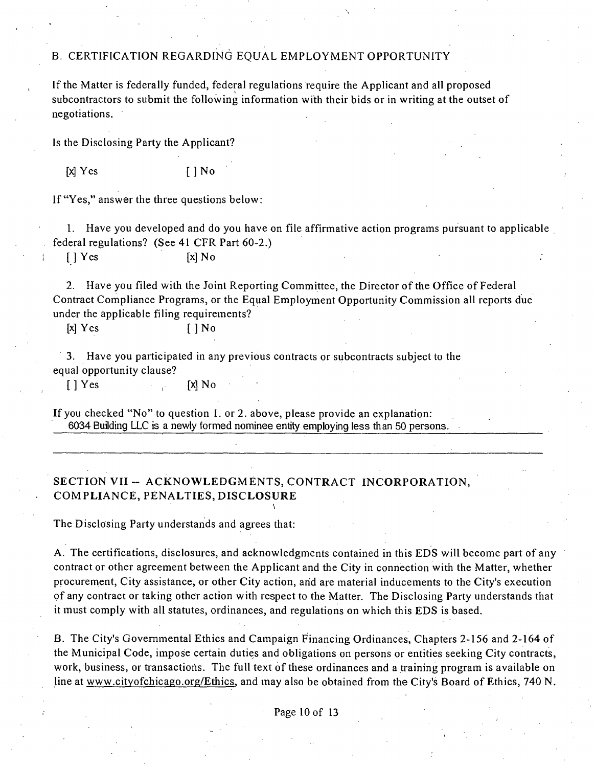### B. CERTIFICATION REGARDING EQUAL EMPLOYMENT OPPORTUNITY

If the Matter is federally funded, federal regulations require the Applicant and all proposed subcontractors to submit the following information with their bids or in writing at the outset of negotiations.

Is the Disclosing Party the Applicant?

 $[X]$   $Yes$   $[ ]$   $No$ 

If "Yes," answer the three questions below:

1. Have you developed and do you have on file affirmative action programs pursuant to applicable federal regulations? (See 41 CFR Part 60-2.)

[] Yes [x] No

2. Have you filed with the Joint Reporting Committee, the Director of the Office of Federal Contract Compliance Programs, or the Equal Employment Opportunity Commission all reports due under the applicable filing requirements?

 $[x] \text{Yes}$   $[ ] \text{No}$ 

3. Have you participated in any previous contracts or subcontracts subject to the equal opportunity clause?

 $[$  | Yes  $[$   $\mathbb{X}$  No

If you checked "No" to quesfion I. or 2. above, please provide an explanafion: 6034 Building LLC is a newly formed nominee entity employing less than 50 persons.

# SECTION VII -- ACKNOWLEDGMENTS, CONTRACT INCORPORATION, **COMPLIANCE, PENALTIES, DISCLOSURE**

The Disclosing Party understands and agrees that:

A. The certifications, disclosures, and acknowledgments contained in this EDS will become part of any contract or other agreement between the Applicant and the City in connection with the Matter, whether procurement, City assistance, or other City action, arid are material inducements to the City's execution of any contract or taking other action with respect to the Matter. The Disclosing Party understands that it must comply with all statutes, ordinances, and regulations on which this EDS is based.

B. The City's Govemmental Ethics and Campaign Financing Ordinances, Chapters 2-156 and 2-164 of the Municipal Code, impose certain duties and obligations on persons or entities seeking City contracts, work, business, or transactions. The full text of these ordinances and a training program is available on line at www.citvofchicago.org/Ethics, and may also be obtained from the City's Board of Ethics, 740 N.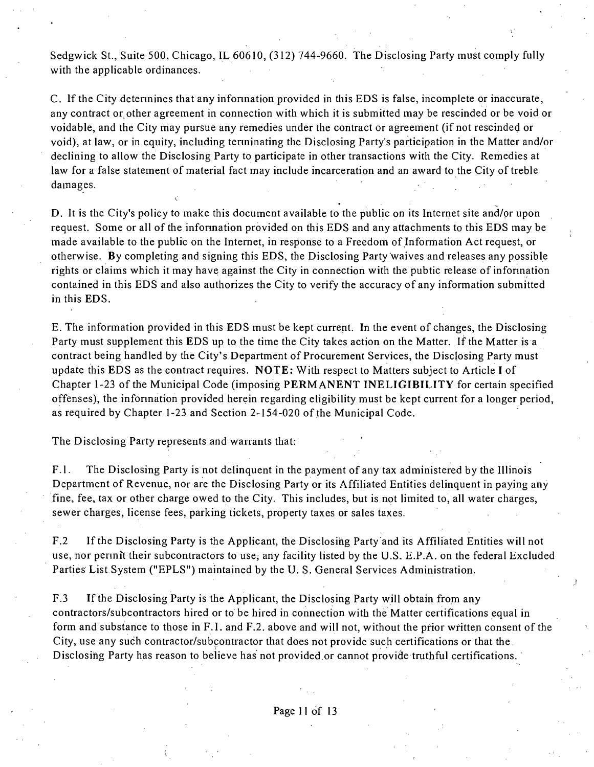Sedgwick St., Suite 500, Chicago, IL 60610, (312) 744-9660. The Disclosing Party must comply fully with the applicable ordinances.

C. If the City detennines that any infonnation provided in this EDS is false, incomplete or inaccurate, any contract or other agreement in connection with which it is submitted may be rescinded or be void or voidable, and the City may pursue any remedies under the contract or agreement (if not rescinded or void), at law, or in equity, including tenninating the Disclosing Party's participation in the Matter and/or declining to allow the Disclosing Party to participate in other transactions with the City. Remedies at law for a false statement of material fact may include incarceration and an award to the City of treble damages.

D. It is the City's policy to make this document available to the public on its Internet site and/pr upon request. Some or all of the infonnation provided on this EDS and any attachments to this EDS may be made available to the public on the Internet, in response to a Freedom of Information Act request, or otherwise. By completing and signing this EDS, the Disclosing Party waives and releases any possible rights or claims which it may have against the City in connection with the pubfic release of infonnation contained in this EDS and also authorizes the City to verify the accuracy of any information submitted in this EDS.

E. The information provided in this EDS must be kept current. In the event of changes, the Disclosing Party must supplement this EDS up to the time the City takes action on the Matter. If the Matter is a contract being handled by the City's Department of Procurement Services, the Disclosing Party must update this EDS as the contract requires. NOTE: With respect to Matters subject to Article I of Chapter 1-23 ofthe Municipal Code (imposing PERMANENT INELIGIBILITY for certain specified offenses), the infonnation provided herein regarding eligibility must be kept current for a longer period, as required by Chapter 1-23 and Section 2-154-020 of the Municipal Code.

The Disclosing Party represents and warrants that:

V.'

F.1. The Disclosing Party is not delinquent in the payment of any tax administered by the Illinois Department of Revenue, nor are the Disclosing Party or its Affiliated Entities delinquent in paying any fine, fee, tax or other charge owed to the City. This includes, but is not limited to, all water charges, sewer charges, license fees, parking tickets, property taxes or sales taxes.

F.2 If the Disclosing Party is the Applicant, the Disclosing Party and its Affiliated Entities will not use, nor pennit their subcontractors to use; any facility listed by the U.S. E.P.A. on the federal Excluded Parties List, System ("EPLS") maintained by the U.S. General Services Administration.

F.3 If the Disclosing Party is the Applicant, the Disclosing Party will obtain from any contractors/subcontractors hired or to be hired in connection with the Matter certifications equal in form and substance to those in F.I. and F.2. above and will not, without the prior written consent of the City, use any such contractor/subcontractor that does not provide such certifications or that the Disclosing Party has reason to believe has not provided or cannot provide truthful certifications.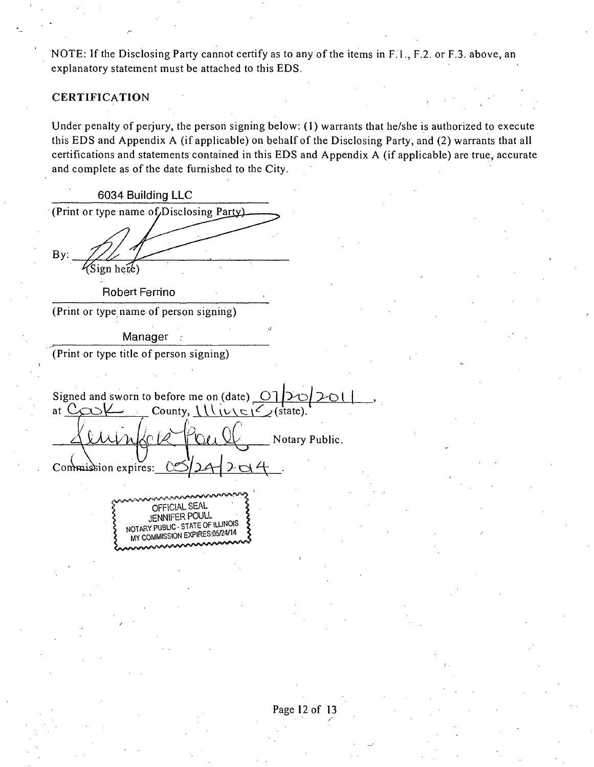NOTE: If the Disclosing Party cannot certify as to any of the items in F.I., F.2. or F.3. above, an explanatory statement must be attached to this EDS.

## **CERTIFICATION**

Under penalty of perjury, the person signing below: (I) warrants that he/she is authorized to execute this EDS and Appendix A (if applicable) on behalf of the Disclosing Party, and (2) warrants that all certifications and statements contained in this EDS and Appendix A (if applicable) are true, accurate and complete as of the date furnished to the City.

**6034 Building LLC**  (Print or type name of Disclosing Party) By: **>ign hece) Robert Ferrino**  (Print or type name of person signing) Manager (Print or type fitle of person signing) Signed and sworn to before me on (date)  $\boxed{\text{O}}$ at  $C_{Q}Q$  $\vee$  County,  $\bigcup_{v\in C}C_{(state)}$ . Notary Public.  $\vee$ Commission expires: OFFICIAL SEAL JENNIFER POULL ^ NOTmY PUBLIC - STATE OF ILLINOIS WINSSION EXPIRES:05/24/14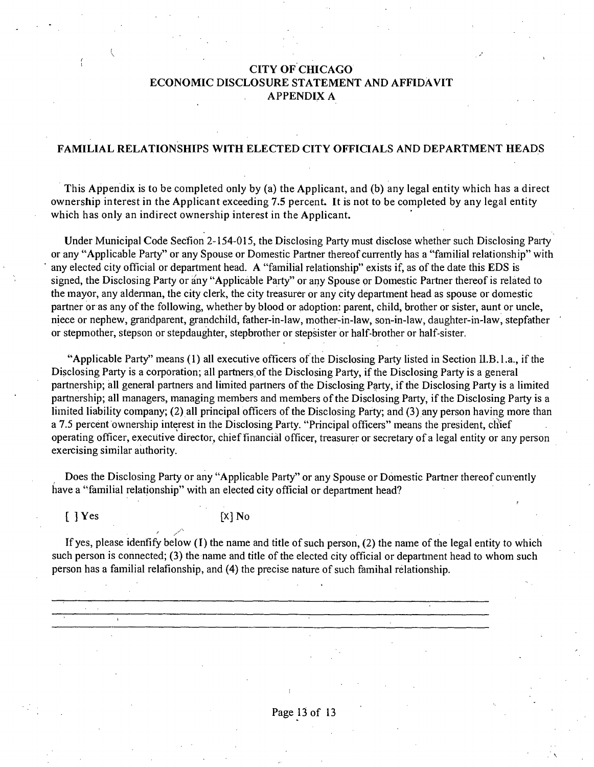# **CITY OF CHICAGO ECONOMIC DISCLOSURE STATEMENT AND AFFIDAVIT APPENDIX A**

### **FAMILIAL RELATIONSHIPS WITH ELECTED CITY OFFICIALS AND DEPARTMENT HEADS**

**This Appendix is to be completed only by (a) the Applicant, and (b) any legal entity which has a direct ownership interest in the Applicant exceeding 7.5 percent. It is not to be completed by any legal entity which has only an indirect ownership interest in the Applicant.** 

Under Municipal Code Secfion 2-154-015, the Disclosing Party must disclose whether such Disclosing Paity or any "Applicable Party" or any Spouse or Domesfic Partner thereof currently has a "familial relationship" with any elected city official or department head. A "familial relationship" exists if, as of the date this EDS is signed, the Disclosing Party or any "Applicable Party" or any Spouse or Domestic Partner thereof is related to the mayor, any aldennan, the city clerk, the city treasurer or any city department head as spouse or domestic partner or as any of the following, whether by blood or adoption: parent, child, brother or sister, aunt or uncle, niece or nephew, grandparent, grandchild, father-in-law, mother-in-law, son-in-law, daughter-in-law, stepfather or stepmother, stepson or stepdaughter, stepbrother or stepsister or half-brother or half-sister.

"Applicable Party" means (1) all executive officers of the Disclosing Party listed in Section II.B.1.a., if the Disclosing Party is a corporation; all partners of the Disclosing Party, if the Disclosing Party is a general partnership; all general partners and limited partners of the Disclosing Party, if the Disclosing Party is a limited partnership; all managers, managing members and members of the Disclosing Party, if the Disclosing Party is a liinited liability company; (2) all principal officers of the Disclosing Party; and (3) any person having more than a 7.5 percent ownership interest in the Disclosing Party. "Principal officers" means the president, chief operafing officer, execufive director, chief financial officer, treasurer or secretary of a legal entity or any person exercising similar authority.

Does the Disclosing Party or any "Applicable Party" or any Spouse or Domestic Partner thereof cun-ently have a "familial relationship" with an elected city official or department head?

### $[$   $]$  Yes  $[$   $X]$  No

If yes, please idenfify below (I) the name and title of such person, (2) the name of the legal entity to which such person is connected; (3) the name and title of the elected city official or departinent head to whom such person has a familial relafionship, and (4) the precise nature of such famihal relationship.